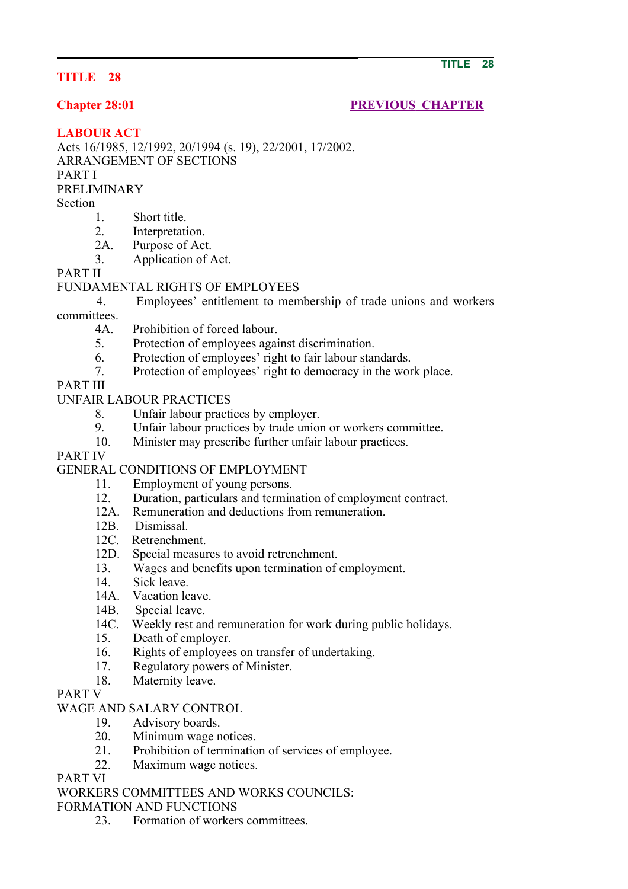# **TITLE 28**

# **Chapter 28:01** PREVIOUS CHAPTER

**TITLE 28**

#### **LABOUR ACT**

Acts 16/1985, 12/1992, 20/1994 (s. 19), 22/2001, 17/2002. ARRANGEMENT OF SECTIONS PART I PRELIMINARY

#### Section

- 1. Short title.
- 2. Interpretation.
- 2A. Purpose of Act.
- 3. Application of Act.

# PART II

# FUNDAMENTAL RIGHTS OF EMPLOYEES

 4. Employees' entitlement to membership of trade unions and workers committees.

- 4A. Prohibition of forced labour.
- 5. Protection of employees against discrimination.
- 6. Protection of employees' right to fair labour standards.
- 7. Protection of employees' right to democracy in the work place.

# PART III

- UNFAIR LABOUR PRACTICES
	- 8. Unfair labour practices by employer.
	- 9. Unfair labour practices by trade union or workers committee.
	- 10. Minister may prescribe further unfair labour practices.

# PART IV

# GENERAL CONDITIONS OF EMPLOYMENT

- 11. Employment of young persons.
- 12. Duration, particulars and termination of employment contract.
- 12A. Remuneration and deductions from remuneration.
- 12B. Dismissal.
- 12C. Retrenchment.
- 12D. Special measures to avoid retrenchment.
- 13. Wages and benefits upon termination of employment.
- 14. Sick leave.
- 14A. Vacation leave.
- 14B. Special leave.
- 14C. Weekly rest and remuneration for work during public holidays.
- 15. Death of employer.
- 16. Rights of employees on transfer of undertaking.
- 17. Regulatory powers of Minister.
- 18. Maternity leave.

# PART V

# WAGE AND SALARY CONTROL

- 19. Advisory boards.
- 20. Minimum wage notices.
- 21. Prohibition of termination of services of employee.
- 22. Maximum wage notices.

# PART VI

WORKERS COMMITTEES AND WORKS COUNCILS:

- FORMATION AND FUNCTIONS
	- 23. Formation of workers committees.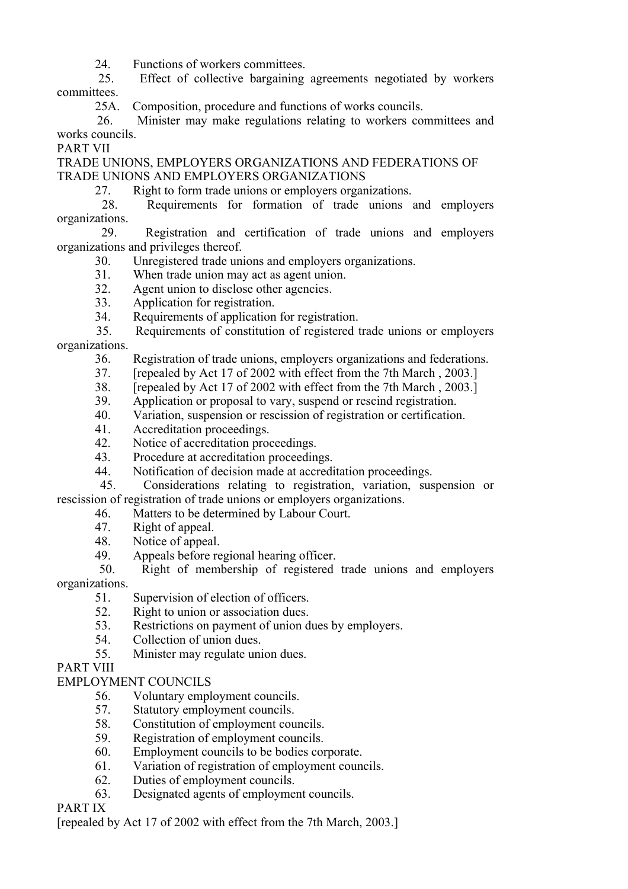24. Functions of workers committees.

 25. Effect of collective bargaining agreements negotiated by workers committees.

25A. Composition, procedure and functions of works councils.

 26. Minister may make regulations relating to workers committees and works councils.

#### PART VII

TRADE UNIONS, EMPLOYERS ORGANIZATIONS AND FEDERATIONS OF TRADE UNIONS AND EMPLOYERS ORGANIZATIONS

27. Right to form trade unions or employers organizations.<br>28. Requirements for formation of trade unions a

Requirements for formation of trade unions and employers organizations.

 29. Registration and certification of trade unions and employers organizations and privileges thereof.

- 30. Unregistered trade unions and employers organizations.
- 31. When trade union may act as agent union.
- 32. Agent union to disclose other agencies.
- 33. Application for registration.
- 34. Requirements of application for registration.

# 35. Requirements of constitution of registered trade unions or employers

organizations.

- 36. Registration of trade unions, employers organizations and federations.
- 37. [repealed by Act 17 of 2002 with effect from the 7th March , 2003.]
- 38. [repealed by Act 17 of 2002 with effect from the 7th March , 2003.]
- 39. Application or proposal to vary, suspend or rescind registration.
- 40. Variation, suspension or rescission of registration or certification.
- 41. Accreditation proceedings.
- 42. Notice of accreditation proceedings.
- 43. Procedure at accreditation proceedings.
- 44. Notification of decision made at accreditation proceedings.

 45. Considerations relating to registration, variation, suspension or rescission of registration of trade unions or employers organizations.

- 46. Matters to be determined by Labour Court.
	- 47. Right of appeal.
	- 48. Notice of appeal.
	- 49. Appeals before regional hearing officer.

 50. Right of membership of registered trade unions and employers organizations.

- 51. Supervision of election of officers.
- 52. Right to union or association dues.
- 53. Restrictions on payment of union dues by employers.
- 54. Collection of union dues.
- 55. Minister may regulate union dues.

PART VIII

#### EMPLOYMENT COUNCILS

- 56. Voluntary employment councils.
- 57. Statutory employment councils.
- 58. Constitution of employment councils.
- 59. Registration of employment councils.
- 60. Employment councils to be bodies corporate.
- 61. Variation of registration of employment councils.
- 62. Duties of employment councils.
- 63. Designated agents of employment councils.

#### PART IX

[repealed by Act 17 of 2002 with effect from the 7th March, 2003.]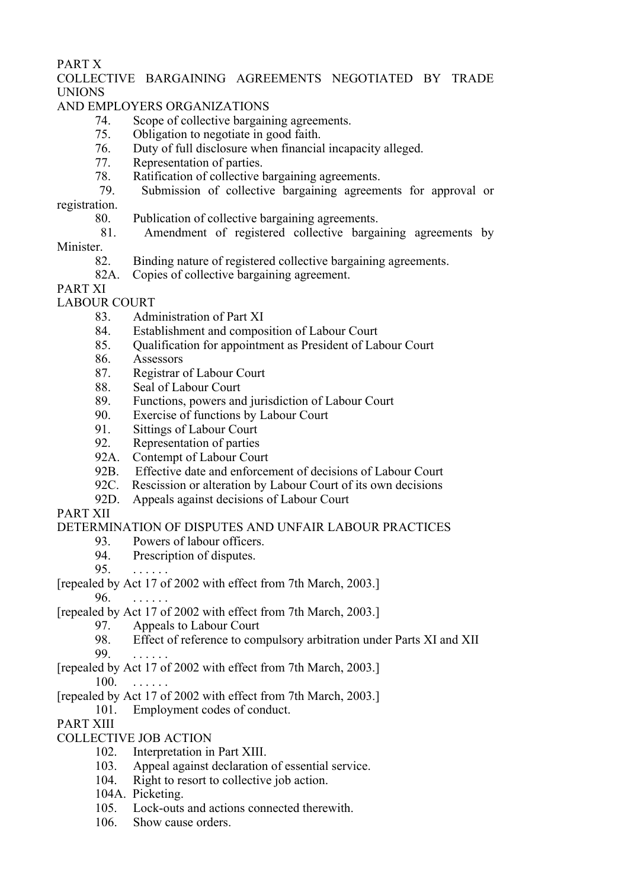# PART X

# COLLECTIVE BARGAINING AGREEMENTS NEGOTIATED BY TRADE UNIONS

# AND EMPLOYERS ORGANIZATIONS

- 74. Scope of collective bargaining agreements.
- 75. Obligation to negotiate in good faith.
- 76. Duty of full disclosure when financial incapacity alleged.
- 77. Representation of parties.
- 78. Ratification of collective bargaining agreements.
- 79. Submission of collective bargaining agreements for approval or registration.
	- 80. Publication of collective bargaining agreements.
	- 81. Amendment of registered collective bargaining agreements by

# **Minister**

- 82. Binding nature of registered collective bargaining agreements.
- 82A. Copies of collective bargaining agreement.

# PART XI

# LABOUR COURT

- 83. Administration of Part XI
- 84. Establishment and composition of Labour Court
- 85. Qualification for appointment as President of Labour Court
- 86. Assessors
- 87. Registrar of Labour Court
- 88. Seal of Labour Court
- 89. Functions, powers and jurisdiction of Labour Court
- 90. Exercise of functions by Labour Court
- 91. Sittings of Labour Court
- 92. Representation of parties
- 92A. Contempt of Labour Court
- 92B. Effective date and enforcement of decisions of Labour Court
- 92C. Rescission or alteration by Labour Court of its own decisions
- 92D. Appeals against decisions of Labour Court

# PART XII

# DETERMINATION OF DISPUTES AND UNFAIR LABOUR PRACTICES

- 93. Powers of labour officers.
- 94. Prescription of disputes.
- 95. . . . . . .

[repealed by Act 17 of 2002 with effect from 7th March, 2003.]

96.

[repealed by Act 17 of 2002 with effect from 7th March, 2003.]

- 97. Appeals to Labour Court
- 98. Effect of reference to compulsory arbitration under Parts XI and XII 99. . . . . . .
- [repealed by Act 17 of 2002 with effect from 7th March, 2003.]

100

- [repealed by Act 17 of 2002 with effect from 7th March, 2003.]
	- 101. Employment codes of conduct.

PART XIII

# COLLECTIVE JOB ACTION

- 102. Interpretation in Part XIII.
- 103. Appeal against declaration of essential service.
- 104. Right to resort to collective job action.
- 104A. Picketing.
- 105. Lock-outs and actions connected therewith.
- 106 Show cause orders.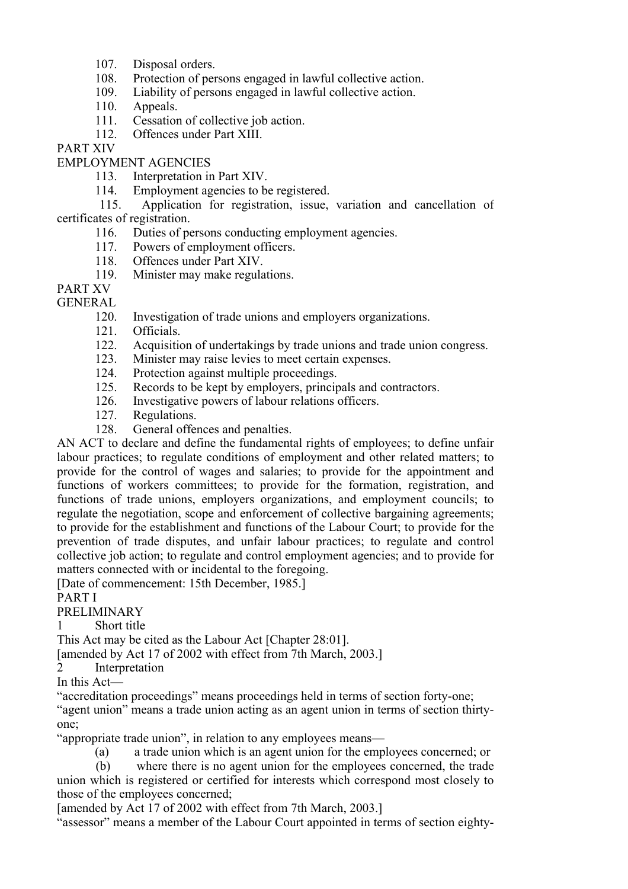- 107. Disposal orders.
- 108. Protection of persons engaged in lawful collective action.<br>109 I iability of persons engaged in lawful collective action.
- Liability of persons engaged in lawful collective action.
- 110. Appeals.
- 111. Cessation of collective job action.
- 112. Offences under Part XIII.

PART XIV

EMPLOYMENT AGENCIES

- 113. Interpretation in Part XIV.
- 114. Employment agencies to be registered.
- 115. Application for registration, issue, variation and cancellation of certificates of registration.
	- 116. Duties of persons conducting employment agencies.
	- 117. Powers of employment officers.
	- 118. Offences under Part XIV.
	- 119. Minister may make regulations.

PART XV

#### GENERAL

- 120. Investigation of trade unions and employers organizations.
- 121 Officials
- 122. Acquisition of undertakings by trade unions and trade union congress.
- 123. Minister may raise levies to meet certain expenses.
- 124. Protection against multiple proceedings.
- 125. Records to be kept by employers, principals and contractors.
- 126. Investigative powers of labour relations officers.
- 127. Regulations.
- 128. General offences and penalties.

AN ACT to declare and define the fundamental rights of employees; to define unfair labour practices; to regulate conditions of employment and other related matters; to provide for the control of wages and salaries; to provide for the appointment and functions of workers committees; to provide for the formation, registration, and functions of trade unions, employers organizations, and employment councils; to regulate the negotiation, scope and enforcement of collective bargaining agreements; to provide for the establishment and functions of the Labour Court; to provide for the prevention of trade disputes, and unfair labour practices; to regulate and control collective job action; to regulate and control employment agencies; and to provide for matters connected with or incidental to the foregoing.

[Date of commencement: 15th December, 1985.]

# PART I

PRELIMINARY

1 Short title

This Act may be cited as the Labour Act [Chapter 28:01].

[amended by Act 17 of 2002 with effect from 7th March, 2003.]

2 Interpretation

In this Act—

"accreditation proceedings" means proceedings held in terms of section forty-one;

"agent union" means a trade union acting as an agent union in terms of section thirtyone;

"appropriate trade union", in relation to any employees means—

(a) a trade union which is an agent union for the employees concerned; or

 (b) where there is no agent union for the employees concerned, the trade union which is registered or certified for interests which correspond most closely to those of the employees concerned;

[amended by Act 17 of 2002 with effect from 7th March, 2003.]

"assessor" means a member of the Labour Court appointed in terms of section eighty-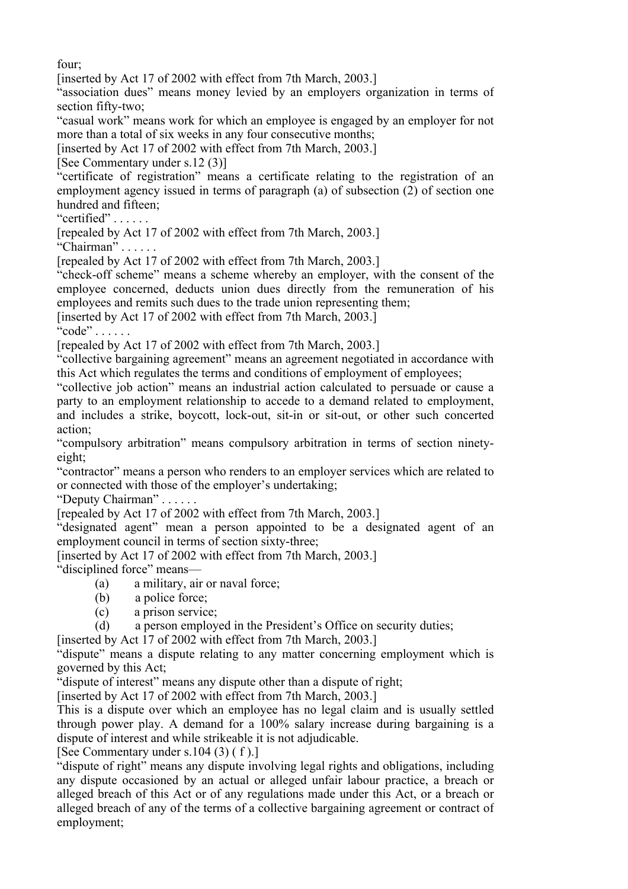four;

[inserted by Act 17 of 2002 with effect from 7th March, 2003.]

"association dues" means money levied by an employers organization in terms of section fifty-two;

"casual work" means work for which an employee is engaged by an employer for not more than a total of six weeks in any four consecutive months;

[inserted by Act 17 of 2002 with effect from 7th March, 2003.]

[See Commentary under s.12 (3)]

"certificate of registration" means a certificate relating to the registration of an employment agency issued in terms of paragraph (a) of subsection (2) of section one hundred and fifteen;

"certified" . . . . . .

[repealed by Act 17 of 2002 with effect from 7th March, 2003.]

"Chairman" . . . . . .

[repealed by Act 17 of 2002 with effect from 7th March, 2003.]

"check-off scheme" means a scheme whereby an employer, with the consent of the employee concerned, deducts union dues directly from the remuneration of his employees and remits such dues to the trade union representing them;

[inserted by Act 17 of 2002 with effect from 7th March, 2003.]

 $\alpha$  code"

[repealed by Act 17 of 2002 with effect from 7th March, 2003.]

"collective bargaining agreement" means an agreement negotiated in accordance with this Act which regulates the terms and conditions of employment of employees;

"collective job action" means an industrial action calculated to persuade or cause a party to an employment relationship to accede to a demand related to employment, and includes a strike, boycott, lock-out, sit-in or sit-out, or other such concerted action;

"compulsory arbitration" means compulsory arbitration in terms of section ninetyeight;

"contractor" means a person who renders to an employer services which are related to or connected with those of the employer's undertaking;

"Deputy Chairman" . . . . . .

[repealed by Act 17 of 2002 with effect from 7th March, 2003.]

"designated agent" mean a person appointed to be a designated agent of an employment council in terms of section sixty-three;

[inserted by Act 17 of 2002 with effect from 7th March, 2003.]

"disciplined force" means—

- (a) a military, air or naval force;
- (b) a police force;
- (c) a prison service;

(d) a person employed in the President's Office on security duties;

[inserted by Act 17 of 2002 with effect from 7th March, 2003.]

"dispute" means a dispute relating to any matter concerning employment which is governed by this Act;

"dispute of interest" means any dispute other than a dispute of right;

[inserted by Act 17 of 2002 with effect from 7th March, 2003.]

This is a dispute over which an employee has no legal claim and is usually settled through power play. A demand for a 100% salary increase during bargaining is a dispute of interest and while strikeable it is not adjudicable.

[See Commentary under s.104 (3) (f).]

"dispute of right" means any dispute involving legal rights and obligations, including any dispute occasioned by an actual or alleged unfair labour practice, a breach or alleged breach of this Act or of any regulations made under this Act, or a breach or alleged breach of any of the terms of a collective bargaining agreement or contract of employment;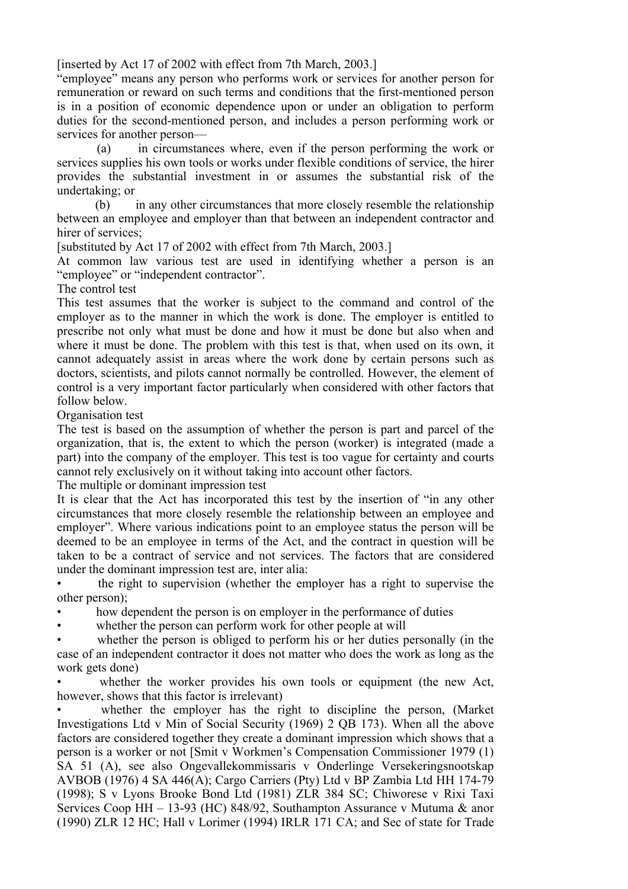[inserted by Act 17 of 2002 with effect from 7th March, 2003.]

"employee" means any person who performs work or services for another person for remuneration or reward on such terms and conditions that the first-mentioned person is in a position of economic dependence upon or under an obligation to perform duties for the second-mentioned person, and includes a person performing work or services for another person—

 (a) in circumstances where, even if the person performing the work or services supplies his own tools or works under flexible conditions of service, the hirer provides the substantial investment in or assumes the substantial risk of the undertaking; or

 (b) in any other circumstances that more closely resemble the relationship between an employee and employer than that between an independent contractor and hirer of services;

[substituted by Act 17 of 2002 with effect from 7th March, 2003.]

At common law various test are used in identifying whether a person is an "employee" or "independent contractor".

The control test

This test assumes that the worker is subject to the command and control of the employer as to the manner in which the work is done. The employer is entitled to prescribe not only what must be done and how it must be done but also when and where it must be done. The problem with this test is that, when used on its own, it cannot adequately assist in areas where the work done by certain persons such as doctors, scientists, and pilots cannot normally be controlled. However, the element of control is a very important factor particularly when considered with other factors that follow below.

Organisation test

The test is based on the assumption of whether the person is part and parcel of the organization, that is, the extent to which the person (worker) is integrated (made a part) into the company of the employer. This test is too vague for certainty and courts cannot rely exclusively on it without taking into account other factors.

The multiple or dominant impression test

It is clear that the Act has incorporated this test by the insertion of "in any other circumstances that more closely resemble the relationship between an employee and employer". Where various indications point to an employee status the person will be deemed to be an employee in terms of the Act, and the contract in question will be taken to be a contract of service and not services. The factors that are considered under the dominant impression test are, inter alia:

• the right to supervision (whether the employer has a right to supervise the other person);

• how dependent the person is on employer in the performance of duties

whether the person can perform work for other people at will

whether the person is obliged to perform his or her duties personally (in the case of an independent contractor it does not matter who does the work as long as the work gets done)

whether the worker provides his own tools or equipment (the new Act, however, shows that this factor is irrelevant)

whether the employer has the right to discipline the person, (Market Investigations Ltd v Min of Social Security (1969) 2 QB 173). When all the above factors are considered together they create a dominant impression which shows that a person is a worker or not [Smit v Workmen's Compensation Commissioner 1979 (1) SA 51 (A), see also Ongevallekommissaris v Onderlinge Versekeringsnootskap AVBOB (1976) 4 SA 446(A); Cargo Carriers (Pty) Ltd v BP Zambia Ltd HH 174-79 (1998); S v Lyons Brooke Bond Ltd (1981) ZLR 384 SC; Chiworese v Rixi Taxi Services Coop HH – 13-93 (HC) 848/92, Southampton Assurance v Mutuma & anor (1990) ZLR 12 HC; Hall v Lorimer (1994) IRLR 171 CA; and Sec of state for Trade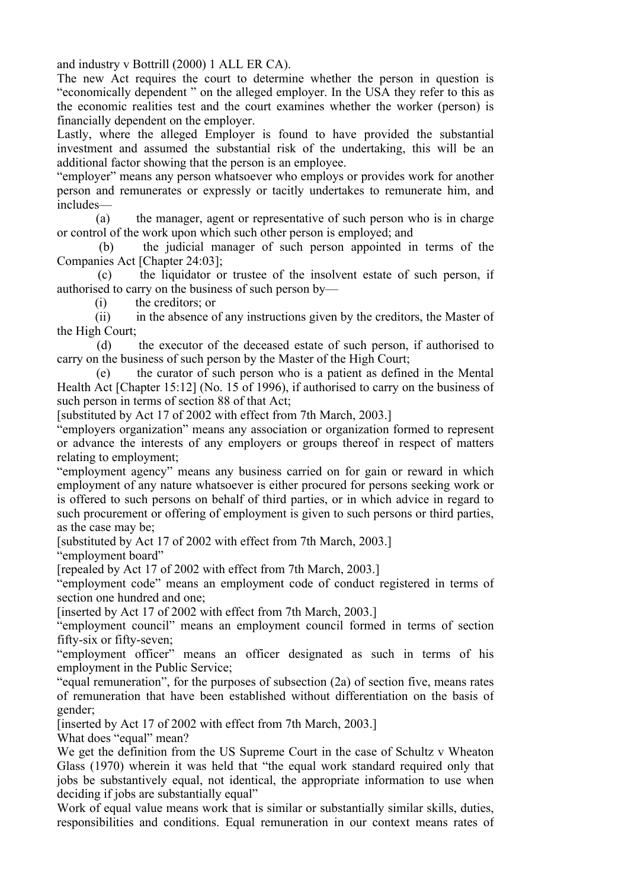and industry v Bottrill (2000) 1 ALL ER CA).

The new Act requires the court to determine whether the person in question is "economically dependent " on the alleged employer. In the USA they refer to this as the economic realities test and the court examines whether the worker (person) is financially dependent on the employer.

Lastly, where the alleged Employer is found to have provided the substantial investment and assumed the substantial risk of the undertaking, this will be an additional factor showing that the person is an employee.

"employer" means any person whatsoever who employs or provides work for another person and remunerates or expressly or tacitly undertakes to remunerate him, and includes—

 (a) the manager, agent or representative of such person who is in charge or control of the work upon which such other person is employed; and

 (b) the judicial manager of such person appointed in terms of the Companies Act [Chapter 24:03];

 (c) the liquidator or trustee of the insolvent estate of such person, if authorised to carry on the business of such person by—

(i) the creditors; or

 (ii) in the absence of any instructions given by the creditors, the Master of the High Court;

 (d) the executor of the deceased estate of such person, if authorised to carry on the business of such person by the Master of the High Court;

the curator of such person who is a patient as defined in the Mental Health Act [Chapter 15:12] (No. 15 of 1996), if authorised to carry on the business of such person in terms of section 88 of that Act;

[substituted by Act 17 of 2002 with effect from 7th March, 2003.]

"employers organization" means any association or organization formed to represent or advance the interests of any employers or groups thereof in respect of matters relating to employment;

"employment agency" means any business carried on for gain or reward in which employment of any nature whatsoever is either procured for persons seeking work or is offered to such persons on behalf of third parties, or in which advice in regard to such procurement or offering of employment is given to such persons or third parties, as the case may be;

[substituted by Act 17 of 2002 with effect from 7th March, 2003.]

"employment board"

[repealed by Act 17 of 2002 with effect from 7th March, 2003.]

"employment code" means an employment code of conduct registered in terms of section one hundred and one;

[inserted by Act 17 of 2002 with effect from 7th March, 2003.]

"employment council" means an employment council formed in terms of section fifty-six or fifty-seven;

"employment officer" means an officer designated as such in terms of his employment in the Public Service;

"equal remuneration", for the purposes of subsection (2a) of section five, means rates of remuneration that have been established without differentiation on the basis of gender;

[inserted by Act 17 of 2002 with effect from 7th March, 2003.]

What does "equal" mean?

We get the definition from the US Supreme Court in the case of Schultz v Wheaton Glass (1970) wherein it was held that "the equal work standard required only that jobs be substantively equal, not identical, the appropriate information to use when deciding if jobs are substantially equal"

Work of equal value means work that is similar or substantially similar skills, duties, responsibilities and conditions. Equal remuneration in our context means rates of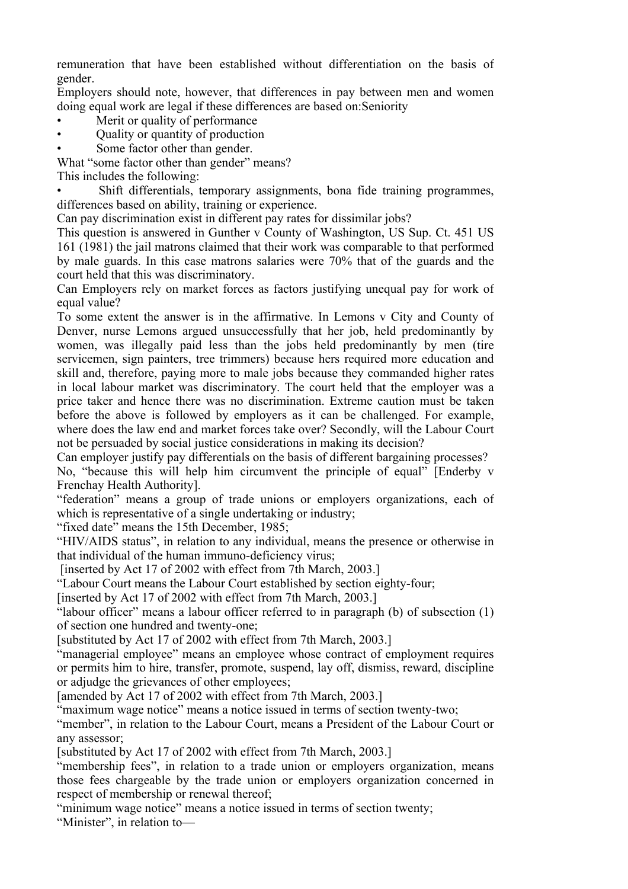remuneration that have been established without differentiation on the basis of gender.

Employers should note, however, that differences in pay between men and women doing equal work are legal if these differences are based on:Seniority

- Merit or quality of performance
- Quality or quantity of production

Some factor other than gender.

What "some factor other than gender" means?

This includes the following:

• Shift differentials, temporary assignments, bona fide training programmes, differences based on ability, training or experience.

Can pay discrimination exist in different pay rates for dissimilar jobs?

This question is answered in Gunther v County of Washington, US Sup. Ct. 451 US 161 (1981) the jail matrons claimed that their work was comparable to that performed by male guards. In this case matrons salaries were 70% that of the guards and the court held that this was discriminatory.

Can Employers rely on market forces as factors justifying unequal pay for work of equal value?

To some extent the answer is in the affirmative. In Lemons v City and County of Denver, nurse Lemons argued unsuccessfully that her job, held predominantly by women, was illegally paid less than the jobs held predominantly by men (tire servicemen, sign painters, tree trimmers) because hers required more education and skill and, therefore, paying more to male jobs because they commanded higher rates in local labour market was discriminatory. The court held that the employer was a price taker and hence there was no discrimination. Extreme caution must be taken before the above is followed by employers as it can be challenged. For example, where does the law end and market forces take over? Secondly, will the Labour Court not be persuaded by social justice considerations in making its decision?

Can employer justify pay differentials on the basis of different bargaining processes? No, "because this will help him circumvent the principle of equal" [Enderby v Frenchay Health Authority].

"federation" means a group of trade unions or employers organizations, each of which is representative of a single undertaking or industry;

"fixed date" means the 15th December, 1985;

"HIV/AIDS status", in relation to any individual, means the presence or otherwise in that individual of the human immuno-deficiency virus;

[inserted by Act 17 of 2002 with effect from 7th March, 2003.]

"Labour Court means the Labour Court established by section eighty-four;

[inserted by Act 17 of 2002 with effect from 7th March, 2003.]

"labour officer" means a labour officer referred to in paragraph (b) of subsection (1) of section one hundred and twenty-one;

[substituted by Act 17 of 2002 with effect from 7th March, 2003.]

"managerial employee" means an employee whose contract of employment requires or permits him to hire, transfer, promote, suspend, lay off, dismiss, reward, discipline or adjudge the grievances of other employees;

[amended by Act 17 of 2002 with effect from 7th March, 2003.]

"maximum wage notice" means a notice issued in terms of section twenty-two;

"member", in relation to the Labour Court, means a President of the Labour Court or any assessor;

[substituted by Act 17 of 2002 with effect from 7th March, 2003.]

"membership fees", in relation to a trade union or employers organization, means those fees chargeable by the trade union or employers organization concerned in respect of membership or renewal thereof:

"minimum wage notice" means a notice issued in terms of section twenty;

"Minister", in relation to—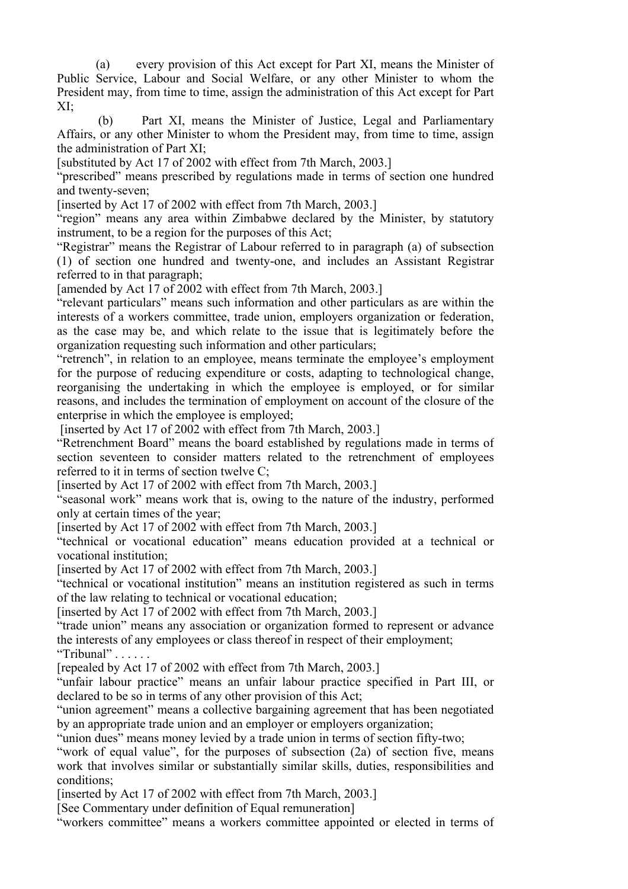(a) every provision of this Act except for Part XI, means the Minister of Public Service, Labour and Social Welfare, or any other Minister to whom the President may, from time to time, assign the administration of this Act except for Part XI;

 (b) Part XI, means the Minister of Justice, Legal and Parliamentary Affairs, or any other Minister to whom the President may, from time to time, assign the administration of Part XI;

[substituted by Act 17 of 2002 with effect from 7th March, 2003.]

"prescribed" means prescribed by regulations made in terms of section one hundred and twenty-seven;

[inserted by Act 17 of 2002 with effect from 7th March, 2003.]

"region" means any area within Zimbabwe declared by the Minister, by statutory instrument, to be a region for the purposes of this Act;

"Registrar" means the Registrar of Labour referred to in paragraph (a) of subsection (1) of section one hundred and twenty-one, and includes an Assistant Registrar referred to in that paragraph;

[amended by Act 17 of 2002 with effect from 7th March, 2003.]

"relevant particulars" means such information and other particulars as are within the interests of a workers committee, trade union, employers organization or federation, as the case may be, and which relate to the issue that is legitimately before the organization requesting such information and other particulars;

"retrench", in relation to an employee, means terminate the employee's employment for the purpose of reducing expenditure or costs, adapting to technological change, reorganising the undertaking in which the employee is employed, or for similar reasons, and includes the termination of employment on account of the closure of the enterprise in which the employee is employed;

[inserted by Act 17 of 2002 with effect from 7th March, 2003.]

"Retrenchment Board" means the board established by regulations made in terms of section seventeen to consider matters related to the retrenchment of employees referred to it in terms of section twelve C;

[inserted by Act 17 of 2002 with effect from 7th March, 2003.]

"seasonal work" means work that is, owing to the nature of the industry, performed only at certain times of the year;

[inserted by Act 17 of 2002 with effect from 7th March, 2003.]

"technical or vocational education" means education provided at a technical or vocational institution;

[inserted by Act 17 of 2002 with effect from 7th March, 2003.]

"technical or vocational institution" means an institution registered as such in terms of the law relating to technical or vocational education;

[inserted by Act 17 of 2002 with effect from 7th March, 2003.]

"trade union" means any association or organization formed to represent or advance the interests of any employees or class thereof in respect of their employment; "Tribunal" . . . . . .

[repealed by Act 17 of 2002 with effect from 7th March, 2003.]

"unfair labour practice" means an unfair labour practice specified in Part III, or declared to be so in terms of any other provision of this Act;

"union agreement" means a collective bargaining agreement that has been negotiated by an appropriate trade union and an employer or employers organization;

"union dues" means money levied by a trade union in terms of section fifty-two;

"work of equal value", for the purposes of subsection (2a) of section five, means work that involves similar or substantially similar skills, duties, responsibilities and conditions;

[inserted by Act 17 of 2002 with effect from 7th March, 2003.]

[See Commentary under definition of Equal remuneration]

"workers committee" means a workers committee appointed or elected in terms of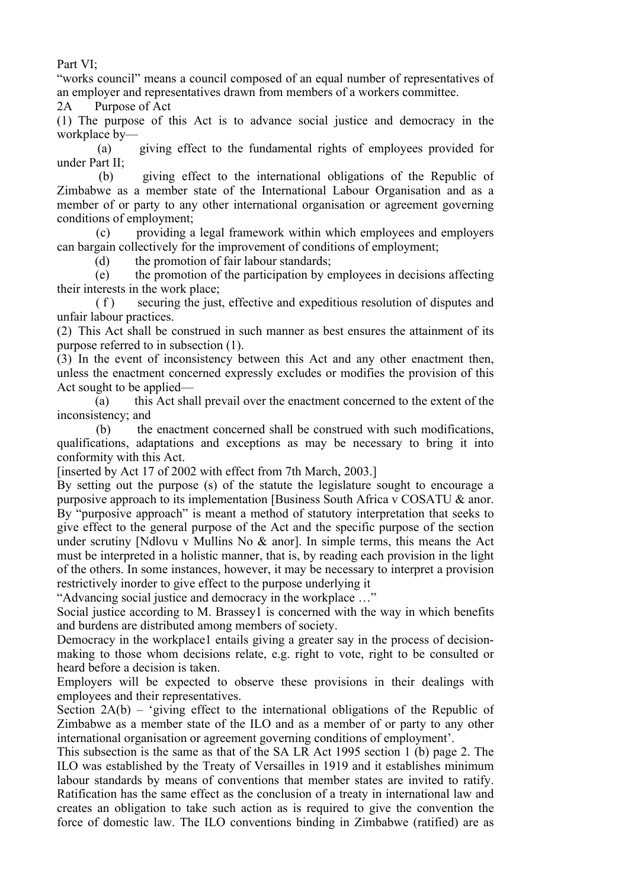Part VI;

"works council" means a council composed of an equal number of representatives of an employer and representatives drawn from members of a workers committee.

2A Purpose of Act

(1) The purpose of this Act is to advance social justice and democracy in the workplace by—

 (a) giving effect to the fundamental rights of employees provided for under Part II;

 (b) giving effect to the international obligations of the Republic of Zimbabwe as a member state of the International Labour Organisation and as a member of or party to any other international organisation or agreement governing conditions of employment;

 (c) providing a legal framework within which employees and employers can bargain collectively for the improvement of conditions of employment;

(d) the promotion of fair labour standards;

 (e) the promotion of the participation by employees in decisions affecting their interests in the work place;

 ( f ) securing the just, effective and expeditious resolution of disputes and unfair labour practices.

(2) This Act shall be construed in such manner as best ensures the attainment of its purpose referred to in subsection (1).

(3) In the event of inconsistency between this Act and any other enactment then, unless the enactment concerned expressly excludes or modifies the provision of this Act sought to be applied—

 (a) this Act shall prevail over the enactment concerned to the extent of the inconsistency; and

 (b) the enactment concerned shall be construed with such modifications, qualifications, adaptations and exceptions as may be necessary to bring it into conformity with this Act.

[inserted by Act 17 of 2002 with effect from 7th March, 2003.]

By setting out the purpose (s) of the statute the legislature sought to encourage a purposive approach to its implementation [Business South Africa v COSATU & anor. By "purposive approach" is meant a method of statutory interpretation that seeks to give effect to the general purpose of the Act and the specific purpose of the section under scrutiny [Ndlovu v Mullins No & anor]. In simple terms, this means the Act must be interpreted in a holistic manner, that is, by reading each provision in the light of the others. In some instances, however, it may be necessary to interpret a provision restrictively inorder to give effect to the purpose underlying it

"Advancing social justice and democracy in the workplace …"

Social justice according to M. Brassey1 is concerned with the way in which benefits and burdens are distributed among members of society.

Democracy in the workplace1 entails giving a greater say in the process of decisionmaking to those whom decisions relate, e.g. right to vote, right to be consulted or heard before a decision is taken.

Employers will be expected to observe these provisions in their dealings with employees and their representatives.

Section  $2A(b)$  – 'giving effect to the international obligations of the Republic of Zimbabwe as a member state of the ILO and as a member of or party to any other international organisation or agreement governing conditions of employment'.

This subsection is the same as that of the SA LR Act 1995 section 1 (b) page 2. The ILO was established by the Treaty of Versailles in 1919 and it establishes minimum labour standards by means of conventions that member states are invited to ratify. Ratification has the same effect as the conclusion of a treaty in international law and creates an obligation to take such action as is required to give the convention the force of domestic law. The ILO conventions binding in Zimbabwe (ratified) are as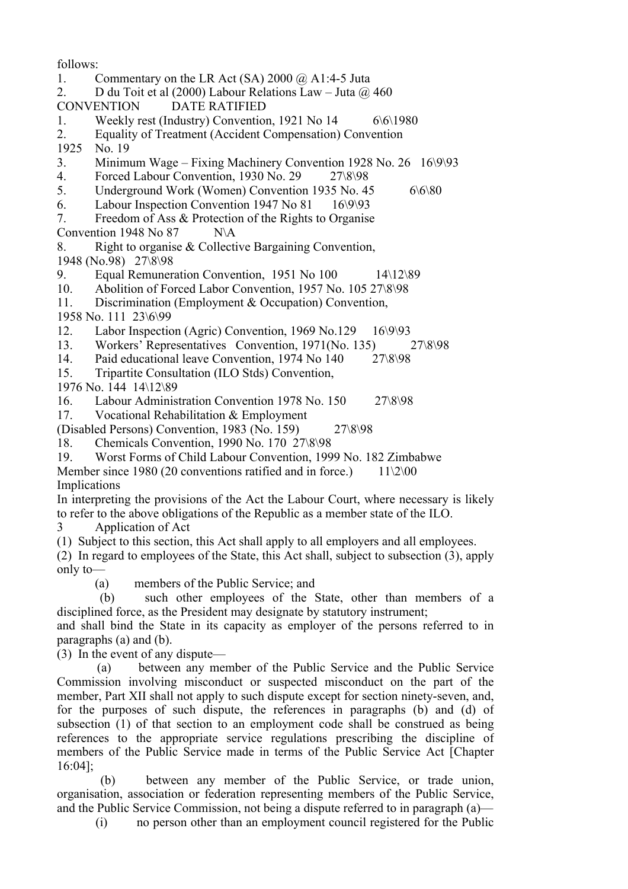follows:

- 1. Commentary on the LR Act  $(SA)$  2000  $\omega$  A1:4-5 Juta
- 2. D du Toit et al (2000) Labour Relations Law Juta  $\omega$  460
- CONVENTION DATE RATIFIED
- 1. Weekly rest (Industry) Convention, 1921 No 14 6\6\1980
- 2. Equality of Treatment (Accident Compensation) Convention<br>1925 No. 19
- No. 19
- 3. Minimum Wage Fixing Machinery Convention 1928 No. 26 16\9\93
- 4. Forced Labour Convention, 1930 No. 29 27\8\98
- 5. Underground Work (Women) Convention 1935 No. 45 6\6\80
- 6. Labour Inspection Convention 1947 No 81 16\9\93
- 7. Freedom of Ass & Protection of the Rights to Organise
- Convention 1948 No  $87$  N\A
- 8. Right to organise & Collective Bargaining Convention,
- 1948 (No.98) 27\8\98
- 9. Equal Remuneration Convention, 1951 No 100 14\12\89
- 10. Abolition of Forced Labor Convention, 1957 No. 105 27\8\98
- 11. Discrimination (Employment & Occupation) Convention,
- 1958 No. 111 23\6\99
- 12. Labor Inspection (Agric) Convention, 1969 No.129 16\9\93
- 13. Workers' Representatives Convention, 1971(No. 135) 27\8\98
- 14. Paid educational leave Convention, 1974 No 140 27\8\98
- 15. Tripartite Consultation (ILO Stds) Convention,
- 1976 No. 144 14\12\89
- 16. Labour Administration Convention 1978 No. 150 27\8\98
- 17. Vocational Rehabilitation & Employment
- (Disabled Persons) Convention, 1983 (No. 159) 27\8\98
- 18. Chemicals Convention, 1990 No. 170 27\8\98
- 19. Worst Forms of Child Labour Convention, 1999 No. 182 Zimbabwe
- Member since 1980 (20 conventions ratified and in force.) 11\2\00 Implications
- In interpreting the provisions of the Act the Labour Court, where necessary is likely to refer to the above obligations of the Republic as a member state of the ILO.
- 3 Application of Act
- (1) Subject to this section, this Act shall apply to all employers and all employees.
- (2) In regard to employees of the State, this Act shall, subject to subsection (3), apply only to—
	- (a) members of the Public Service; and
- (b) such other employees of the State, other than members of a disciplined force, as the President may designate by statutory instrument;
- and shall bind the State in its capacity as employer of the persons referred to in paragraphs (a) and (b).
- (3) In the event of any dispute—
- (a) between any member of the Public Service and the Public Service Commission involving misconduct or suspected misconduct on the part of the member, Part XII shall not apply to such dispute except for section ninety-seven, and, for the purposes of such dispute, the references in paragraphs (b) and (d) of subsection (1) of that section to an employment code shall be construed as being references to the appropriate service regulations prescribing the discipline of members of the Public Service made in terms of the Public Service Act [Chapter 16:04];
- (b) between any member of the Public Service, or trade union, organisation, association or federation representing members of the Public Service, and the Public Service Commission, not being a dispute referred to in paragraph (a)—
	- (i) no person other than an employment council registered for the Public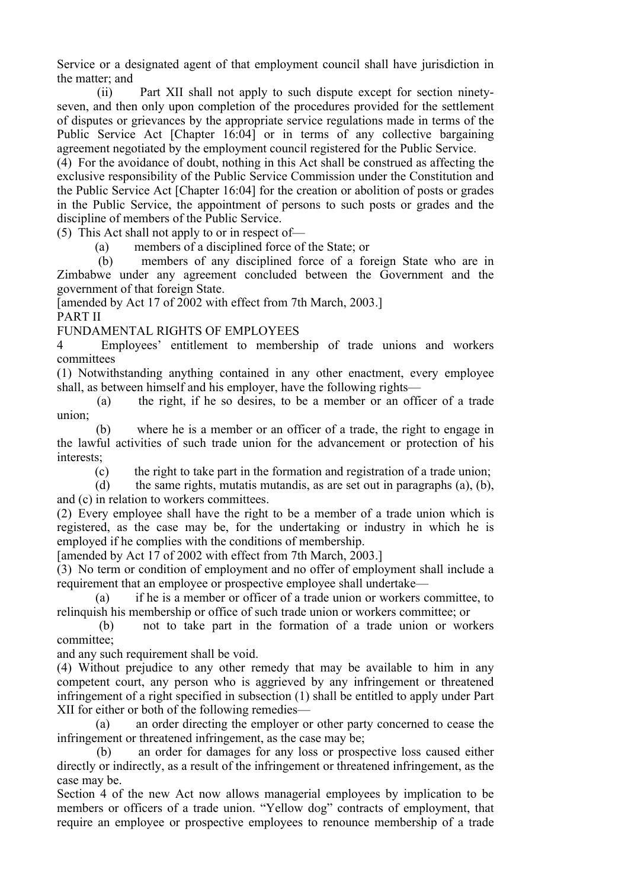Service or a designated agent of that employment council shall have jurisdiction in the matter; and

 (ii) Part XII shall not apply to such dispute except for section ninetyseven, and then only upon completion of the procedures provided for the settlement of disputes or grievances by the appropriate service regulations made in terms of the Public Service Act [Chapter 16:04] or in terms of any collective bargaining agreement negotiated by the employment council registered for the Public Service.

(4) For the avoidance of doubt, nothing in this Act shall be construed as affecting the exclusive responsibility of the Public Service Commission under the Constitution and the Public Service Act [Chapter 16:04] for the creation or abolition of posts or grades in the Public Service, the appointment of persons to such posts or grades and the discipline of members of the Public Service.

(5) This Act shall not apply to or in respect of—

(a) members of a disciplined force of the State; or

 (b) members of any disciplined force of a foreign State who are in Zimbabwe under any agreement concluded between the Government and the government of that foreign State.

[amended by Act 17 of 2002 with effect from 7th March, 2003.]

PART II

FUNDAMENTAL RIGHTS OF EMPLOYEES

4 Employees' entitlement to membership of trade unions and workers committees

(1) Notwithstanding anything contained in any other enactment, every employee shall, as between himself and his employer, have the following rights—

 (a) the right, if he so desires, to be a member or an officer of a trade union;

 (b) where he is a member or an officer of a trade, the right to engage in the lawful activities of such trade union for the advancement or protection of his interests;

(c) the right to take part in the formation and registration of a trade union;

 (d) the same rights, mutatis mutandis, as are set out in paragraphs (a), (b), and (c) in relation to workers committees.

(2) Every employee shall have the right to be a member of a trade union which is registered, as the case may be, for the undertaking or industry in which he is employed if he complies with the conditions of membership.

[amended by Act 17 of 2002 with effect from 7th March, 2003.]

(3) No term or condition of employment and no offer of employment shall include a requirement that an employee or prospective employee shall undertake—

 (a) if he is a member or officer of a trade union or workers committee, to relinquish his membership or office of such trade union or workers committee; or

 (b) not to take part in the formation of a trade union or workers committee;

and any such requirement shall be void.

(4) Without prejudice to any other remedy that may be available to him in any competent court, any person who is aggrieved by any infringement or threatened infringement of a right specified in subsection (1) shall be entitled to apply under Part XII for either or both of the following remedies—

 (a) an order directing the employer or other party concerned to cease the infringement or threatened infringement, as the case may be;

 (b) an order for damages for any loss or prospective loss caused either directly or indirectly, as a result of the infringement or threatened infringement, as the case may be.

Section 4 of the new Act now allows managerial employees by implication to be members or officers of a trade union. "Yellow dog" contracts of employment, that require an employee or prospective employees to renounce membership of a trade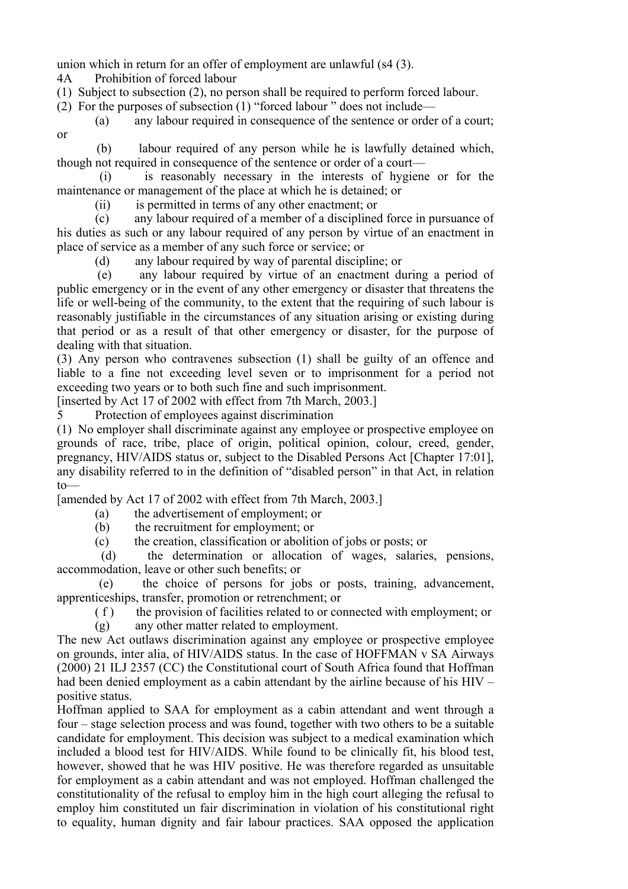union which in return for an offer of employment are unlawful (s4 (3).

4A Prohibition of forced labour

(1) Subject to subsection (2), no person shall be required to perform forced labour.

(2) For the purposes of subsection (1) "forced labour " does not include—

 (a) any labour required in consequence of the sentence or order of a court; or

 (b) labour required of any person while he is lawfully detained which, though not required in consequence of the sentence or order of a court—

 (i) is reasonably necessary in the interests of hygiene or for the maintenance or management of the place at which he is detained; or

(ii) is permitted in terms of any other enactment; or

 (c) any labour required of a member of a disciplined force in pursuance of his duties as such or any labour required of any person by virtue of an enactment in place of service as a member of any such force or service; or

(d) any labour required by way of parental discipline; or

 (e) any labour required by virtue of an enactment during a period of public emergency or in the event of any other emergency or disaster that threatens the life or well-being of the community, to the extent that the requiring of such labour is reasonably justifiable in the circumstances of any situation arising or existing during that period or as a result of that other emergency or disaster, for the purpose of dealing with that situation.

(3) Any person who contravenes subsection (1) shall be guilty of an offence and liable to a fine not exceeding level seven or to imprisonment for a period not exceeding two years or to both such fine and such imprisonment.

[inserted by Act 17 of 2002 with effect from 7th March, 2003.]

5 Protection of employees against discrimination

(1) No employer shall discriminate against any employee or prospective employee on grounds of race, tribe, place of origin, political opinion, colour, creed, gender, pregnancy, HIV/AIDS status or, subject to the Disabled Persons Act [Chapter 17:01], any disability referred to in the definition of "disabled person" in that Act, in relation to—

[amended by Act 17 of 2002 with effect from 7th March, 2003.]

(a) the advertisement of employment; or

- (b) the recruitment for employment; or
- (c) the creation, classification or abolition of jobs or posts; or

 (d) the determination or allocation of wages, salaries, pensions, accommodation, leave or other such benefits; or

 (e) the choice of persons for jobs or posts, training, advancement, apprenticeships, transfer, promotion or retrenchment; or

( f ) the provision of facilities related to or connected with employment; or

(g) any other matter related to employment.

The new Act outlaws discrimination against any employee or prospective employee on grounds, inter alia, of HIV/AIDS status. In the case of HOFFMAN v SA Airways (2000) 21 ILJ 2357 (CC) the Constitutional court of South Africa found that Hoffman had been denied employment as a cabin attendant by the airline because of his HIV – positive status.

Hoffman applied to SAA for employment as a cabin attendant and went through a four – stage selection process and was found, together with two others to be a suitable candidate for employment. This decision was subject to a medical examination which included a blood test for HIV/AIDS. While found to be clinically fit, his blood test, however, showed that he was HIV positive. He was therefore regarded as unsuitable for employment as a cabin attendant and was not employed. Hoffman challenged the constitutionality of the refusal to employ him in the high court alleging the refusal to employ him constituted un fair discrimination in violation of his constitutional right to equality, human dignity and fair labour practices. SAA opposed the application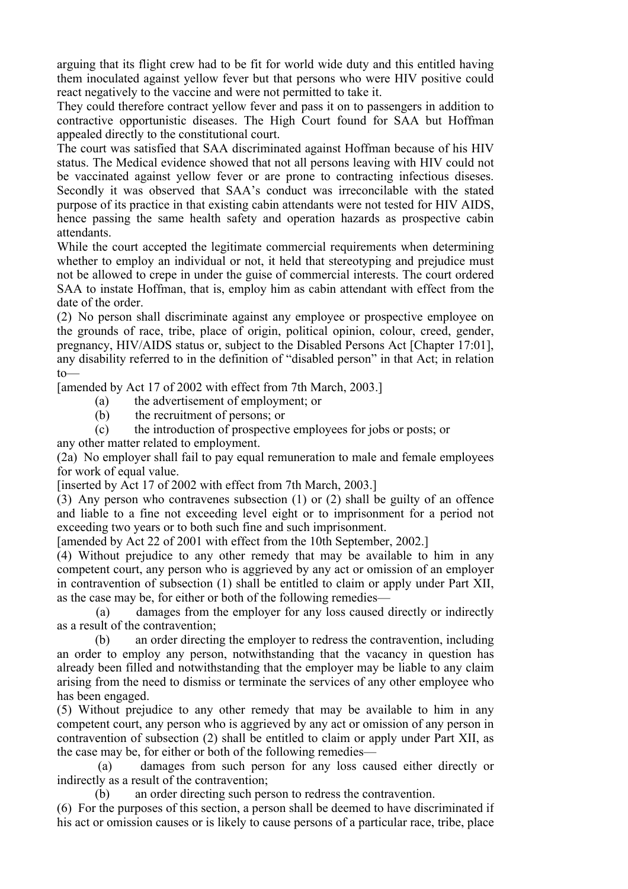arguing that its flight crew had to be fit for world wide duty and this entitled having them inoculated against yellow fever but that persons who were HIV positive could react negatively to the vaccine and were not permitted to take it.

They could therefore contract yellow fever and pass it on to passengers in addition to contractive opportunistic diseases. The High Court found for SAA but Hoffman appealed directly to the constitutional court.

The court was satisfied that SAA discriminated against Hoffman because of his HIV status. The Medical evidence showed that not all persons leaving with HIV could not be vaccinated against yellow fever or are prone to contracting infectious diseses. Secondly it was observed that SAA's conduct was irreconcilable with the stated purpose of its practice in that existing cabin attendants were not tested for HIV AIDS, hence passing the same health safety and operation hazards as prospective cabin attendants.

While the court accepted the legitimate commercial requirements when determining whether to employ an individual or not, it held that stereotyping and prejudice must not be allowed to crepe in under the guise of commercial interests. The court ordered SAA to instate Hoffman, that is, employ him as cabin attendant with effect from the date of the order.

(2) No person shall discriminate against any employee or prospective employee on the grounds of race, tribe, place of origin, political opinion, colour, creed, gender, pregnancy, HIV/AIDS status or, subject to the Disabled Persons Act [Chapter 17:01], any disability referred to in the definition of "disabled person" in that Act; in relation to—

[amended by Act 17 of 2002 with effect from 7th March, 2003.]

(a) the advertisement of employment; or

(b) the recruitment of persons; or

(c) the introduction of prospective employees for jobs or posts; or

any other matter related to employment.

(2a) No employer shall fail to pay equal remuneration to male and female employees for work of equal value.

[inserted by Act 17 of 2002 with effect from 7th March, 2003.]

(3) Any person who contravenes subsection (1) or (2) shall be guilty of an offence and liable to a fine not exceeding level eight or to imprisonment for a period not exceeding two years or to both such fine and such imprisonment.

[amended by Act 22 of 2001 with effect from the 10th September, 2002.]

(4) Without prejudice to any other remedy that may be available to him in any competent court, any person who is aggrieved by any act or omission of an employer in contravention of subsection (1) shall be entitled to claim or apply under Part XII, as the case may be, for either or both of the following remedies—

 (a) damages from the employer for any loss caused directly or indirectly as a result of the contravention;

 (b) an order directing the employer to redress the contravention, including an order to employ any person, notwithstanding that the vacancy in question has already been filled and notwithstanding that the employer may be liable to any claim arising from the need to dismiss or terminate the services of any other employee who has been engaged.

(5) Without prejudice to any other remedy that may be available to him in any competent court, any person who is aggrieved by any act or omission of any person in contravention of subsection (2) shall be entitled to claim or apply under Part XII, as the case may be, for either or both of the following remedies—

 (a) damages from such person for any loss caused either directly or indirectly as a result of the contravention;

(b) an order directing such person to redress the contravention.

(6) For the purposes of this section, a person shall be deemed to have discriminated if his act or omission causes or is likely to cause persons of a particular race, tribe, place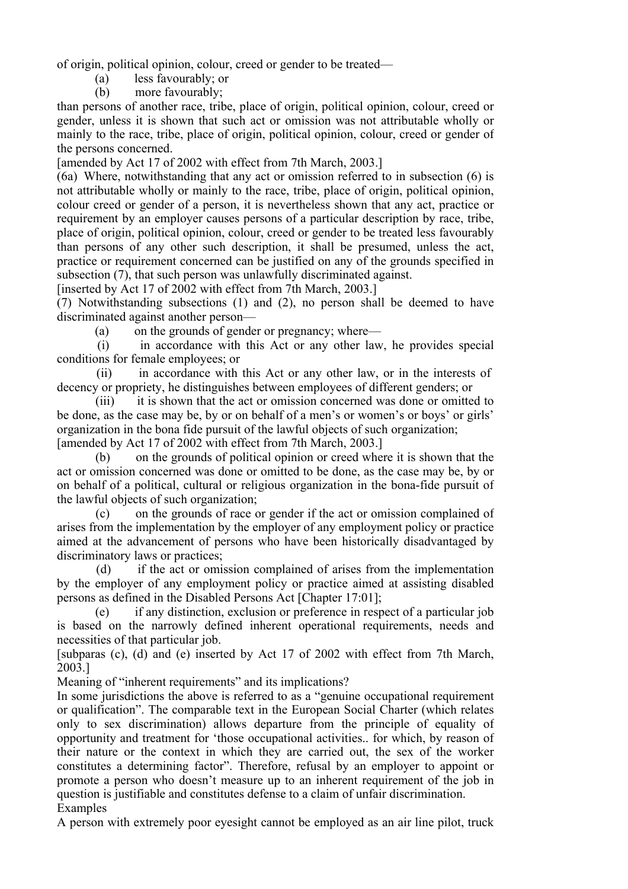of origin, political opinion, colour, creed or gender to be treated—

- (a) less favourably; or
- (b) more favourably;

than persons of another race, tribe, place of origin, political opinion, colour, creed or gender, unless it is shown that such act or omission was not attributable wholly or mainly to the race, tribe, place of origin, political opinion, colour, creed or gender of the persons concerned.

[amended by Act 17 of 2002 with effect from 7th March, 2003.]

(6a) Where, notwithstanding that any act or omission referred to in subsection (6) is not attributable wholly or mainly to the race, tribe, place of origin, political opinion, colour creed or gender of a person, it is nevertheless shown that any act, practice or requirement by an employer causes persons of a particular description by race, tribe, place of origin, political opinion, colour, creed or gender to be treated less favourably than persons of any other such description, it shall be presumed, unless the act, practice or requirement concerned can be justified on any of the grounds specified in subsection (7), that such person was unlawfully discriminated against.

[inserted by Act 17 of 2002 with effect from 7th March, 2003.]

(7) Notwithstanding subsections (1) and (2), no person shall be deemed to have discriminated against another person—

(a) on the grounds of gender or pregnancy; where—

 (i) in accordance with this Act or any other law, he provides special conditions for female employees; or

 (ii) in accordance with this Act or any other law, or in the interests of decency or propriety, he distinguishes between employees of different genders; or

(iii) it is shown that the act or omission concerned was done or omitted to be done, as the case may be, by or on behalf of a men's or women's or boys' or girls' organization in the bona fide pursuit of the lawful objects of such organization; [amended by Act 17 of 2002 with effect from 7th March, 2003.]

 (b) on the grounds of political opinion or creed where it is shown that the act or omission concerned was done or omitted to be done, as the case may be, by or on behalf of a political, cultural or religious organization in the bona-fide pursuit of the lawful objects of such organization;

 (c) on the grounds of race or gender if the act or omission complained of arises from the implementation by the employer of any employment policy or practice aimed at the advancement of persons who have been historically disadvantaged by discriminatory laws or practices;

 (d) if the act or omission complained of arises from the implementation by the employer of any employment policy or practice aimed at assisting disabled persons as defined in the Disabled Persons Act [Chapter 17:01];

 (e) if any distinction, exclusion or preference in respect of a particular job is based on the narrowly defined inherent operational requirements, needs and necessities of that particular job.

[subparas (c), (d) and (e) inserted by Act 17 of 2002 with effect from 7th March, 2003.]

Meaning of "inherent requirements" and its implications?

In some jurisdictions the above is referred to as a "genuine occupational requirement or qualification". The comparable text in the European Social Charter (which relates only to sex discrimination) allows departure from the principle of equality of opportunity and treatment for 'those occupational activities.. for which, by reason of their nature or the context in which they are carried out, the sex of the worker constitutes a determining factor". Therefore, refusal by an employer to appoint or promote a person who doesn't measure up to an inherent requirement of the job in question is justifiable and constitutes defense to a claim of unfair discrimination. Examples

A person with extremely poor eyesight cannot be employed as an air line pilot, truck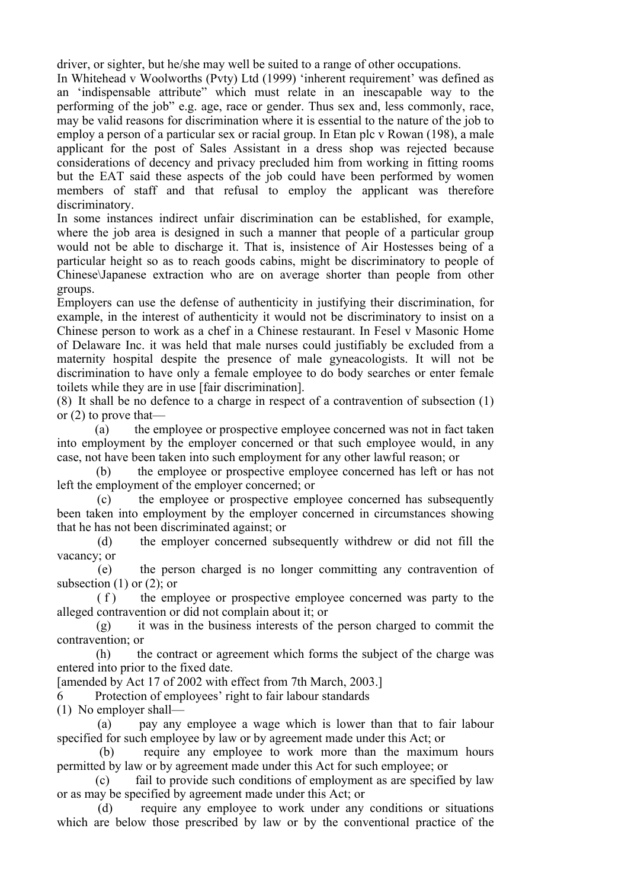driver, or sighter, but he/she may well be suited to a range of other occupations.

In Whitehead v Woolworths (Pvty) Ltd (1999) 'inherent requirement' was defined as an 'indispensable attribute" which must relate in an inescapable way to the performing of the job" e.g. age, race or gender. Thus sex and, less commonly, race, may be valid reasons for discrimination where it is essential to the nature of the job to employ a person of a particular sex or racial group. In Etan plc v Rowan (198), a male applicant for the post of Sales Assistant in a dress shop was rejected because considerations of decency and privacy precluded him from working in fitting rooms but the EAT said these aspects of the job could have been performed by women members of staff and that refusal to employ the applicant was therefore discriminatory.

In some instances indirect unfair discrimination can be established, for example, where the job area is designed in such a manner that people of a particular group would not be able to discharge it. That is, insistence of Air Hostesses being of a particular height so as to reach goods cabins, might be discriminatory to people of Chinese\Japanese extraction who are on average shorter than people from other groups.

Employers can use the defense of authenticity in justifying their discrimination, for example, in the interest of authenticity it would not be discriminatory to insist on a Chinese person to work as a chef in a Chinese restaurant. In Fesel v Masonic Home of Delaware Inc. it was held that male nurses could justifiably be excluded from a maternity hospital despite the presence of male gyneacologists. It will not be discrimination to have only a female employee to do body searches or enter female toilets while they are in use [fair discrimination].

(8) It shall be no defence to a charge in respect of a contravention of subsection (1) or (2) to prove that—

 (a) the employee or prospective employee concerned was not in fact taken into employment by the employer concerned or that such employee would, in any case, not have been taken into such employment for any other lawful reason; or

 (b) the employee or prospective employee concerned has left or has not left the employment of the employer concerned; or

 (c) the employee or prospective employee concerned has subsequently been taken into employment by the employer concerned in circumstances showing that he has not been discriminated against; or

 (d) the employer concerned subsequently withdrew or did not fill the vacancy; or

 (e) the person charged is no longer committing any contravention of subsection  $(1)$  or  $(2)$ ; or

 $(f)$  the employee or prospective employee concerned was party to the alleged contravention or did not complain about it; or

 (g) it was in the business interests of the person charged to commit the contravention; or

 (h) the contract or agreement which forms the subject of the charge was entered into prior to the fixed date.

[amended by Act 17 of 2002 with effect from 7th March, 2003.]

6 Protection of employees' right to fair labour standards

(1) No employer shall—

 (a) pay any employee a wage which is lower than that to fair labour specified for such employee by law or by agreement made under this Act; or

 (b) require any employee to work more than the maximum hours permitted by law or by agreement made under this Act for such employee; or

 (c) fail to provide such conditions of employment as are specified by law or as may be specified by agreement made under this Act; or

 (d) require any employee to work under any conditions or situations which are below those prescribed by law or by the conventional practice of the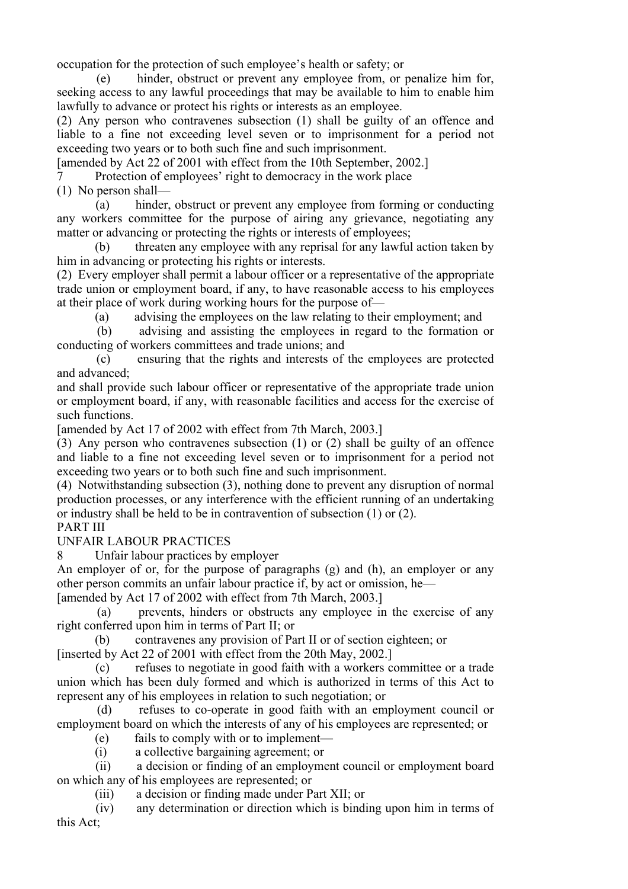occupation for the protection of such employee's health or safety; or

 (e) hinder, obstruct or prevent any employee from, or penalize him for, seeking access to any lawful proceedings that may be available to him to enable him lawfully to advance or protect his rights or interests as an employee.

(2) Any person who contravenes subsection (1) shall be guilty of an offence and liable to a fine not exceeding level seven or to imprisonment for a period not exceeding two years or to both such fine and such imprisonment.

[amended by Act 22 of 2001 with effect from the 10th September, 2002.]

7 Protection of employees' right to democracy in the work place

(1) No person shall—

 (a) hinder, obstruct or prevent any employee from forming or conducting any workers committee for the purpose of airing any grievance, negotiating any matter or advancing or protecting the rights or interests of employees;

 (b) threaten any employee with any reprisal for any lawful action taken by him in advancing or protecting his rights or interests.

(2) Every employer shall permit a labour officer or a representative of the appropriate trade union or employment board, if any, to have reasonable access to his employees at their place of work during working hours for the purpose of—

(a) advising the employees on the law relating to their employment; and

 (b) advising and assisting the employees in regard to the formation or conducting of workers committees and trade unions; and

 (c) ensuring that the rights and interests of the employees are protected and advanced;

and shall provide such labour officer or representative of the appropriate trade union or employment board, if any, with reasonable facilities and access for the exercise of such functions.

[amended by Act 17 of 2002 with effect from 7th March, 2003.]

(3) Any person who contravenes subsection (1) or (2) shall be guilty of an offence and liable to a fine not exceeding level seven or to imprisonment for a period not exceeding two years or to both such fine and such imprisonment.

(4) Notwithstanding subsection (3), nothing done to prevent any disruption of normal production processes, or any interference with the efficient running of an undertaking or industry shall be held to be in contravention of subsection (1) or (2).

# PART III

UNFAIR LABOUR PRACTICES

8 Unfair labour practices by employer

An employer of or, for the purpose of paragraphs (g) and (h), an employer or any other person commits an unfair labour practice if, by act or omission, he—

[amended by Act 17 of 2002 with effect from 7th March, 2003.]

 (a) prevents, hinders or obstructs any employee in the exercise of any right conferred upon him in terms of Part II; or

 (b) contravenes any provision of Part II or of section eighteen; or [inserted by Act 22 of 2001 with effect from the 20th May, 2002.]

 (c) refuses to negotiate in good faith with a workers committee or a trade union which has been duly formed and which is authorized in terms of this Act to represent any of his employees in relation to such negotiation; or

 (d) refuses to co-operate in good faith with an employment council or employment board on which the interests of any of his employees are represented; or

(e) fails to comply with or to implement—

(i) a collective bargaining agreement; or

 (ii) a decision or finding of an employment council or employment board on which any of his employees are represented; or

(iii) a decision or finding made under Part XII; or

 (iv) any determination or direction which is binding upon him in terms of this Act;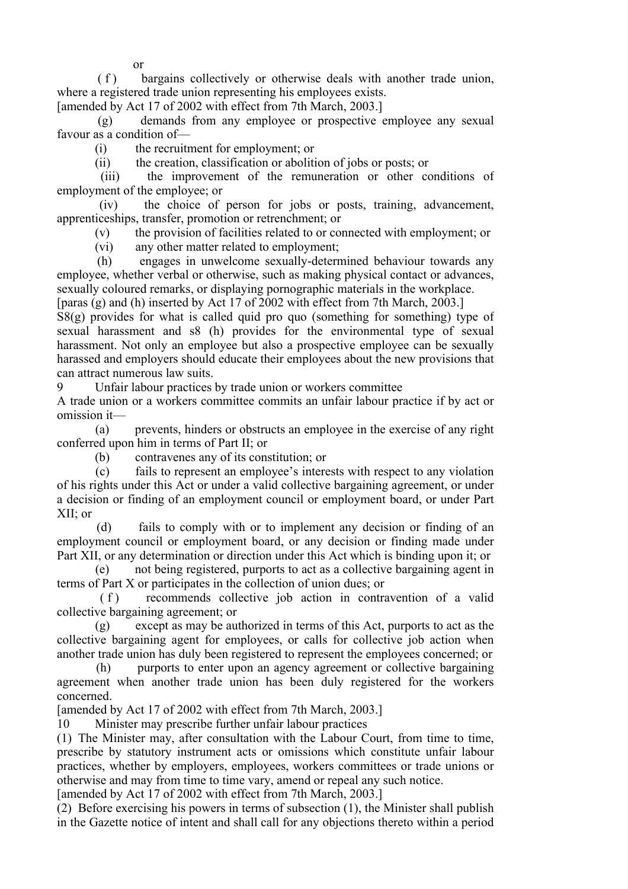or

(f) bargains collectively or otherwise deals with another trade union, where a registered trade union representing his employees exists.

[amended by Act 17 of 2002 with effect from 7th March, 2003.]

 (g) demands from any employee or prospective employee any sexual favour as a condition of—

(i) the recruitment for employment; or

(ii) the creation, classification or abolition of jobs or posts; or

 (iii) the improvement of the remuneration or other conditions of employment of the employee; or

 (iv) the choice of person for jobs or posts, training, advancement, apprenticeships, transfer, promotion or retrenchment; or

(v) the provision of facilities related to or connected with employment; or

(vi) any other matter related to employment;

 (h) engages in unwelcome sexually-determined behaviour towards any employee, whether verbal or otherwise, such as making physical contact or advances, sexually coloured remarks, or displaying pornographic materials in the workplace.

[paras (g) and (h) inserted by Act 17 of 2002 with effect from 7th March, 2003.]

S8(g) provides for what is called quid pro quo (something for something) type of sexual harassment and s8 (h) provides for the environmental type of sexual harassment. Not only an employee but also a prospective employee can be sexually harassed and employers should educate their employees about the new provisions that can attract numerous law suits.

9 Unfair labour practices by trade union or workers committee

A trade union or a workers committee commits an unfair labour practice if by act or omission it—

 (a) prevents, hinders or obstructs an employee in the exercise of any right conferred upon him in terms of Part II; or

(b) contravenes any of its constitution; or

 (c) fails to represent an employee's interests with respect to any violation of his rights under this Act or under a valid collective bargaining agreement, or under a decision or finding of an employment council or employment board, or under Part XII; or

 (d) fails to comply with or to implement any decision or finding of an employment council or employment board, or any decision or finding made under Part XII, or any determination or direction under this Act which is binding upon it; or

 (e) not being registered, purports to act as a collective bargaining agent in terms of Part X or participates in the collection of union dues; or

(f) recommends collective job action in contravention of a valid collective bargaining agreement; or

 (g) except as may be authorized in terms of this Act, purports to act as the collective bargaining agent for employees, or calls for collective job action when another trade union has duly been registered to represent the employees concerned; or

 (h) purports to enter upon an agency agreement or collective bargaining agreement when another trade union has been duly registered for the workers concerned.

[amended by Act 17 of 2002 with effect from 7th March, 2003.]

10 Minister may prescribe further unfair labour practices

(1) The Minister may, after consultation with the Labour Court, from time to time, prescribe by statutory instrument acts or omissions which constitute unfair labour practices, whether by employers, employees, workers committees or trade unions or otherwise and may from time to time vary, amend or repeal any such notice.

[amended by Act 17 of 2002 with effect from 7th March, 2003.]

(2) Before exercising his powers in terms of subsection (1), the Minister shall publish in the Gazette notice of intent and shall call for any objections thereto within a period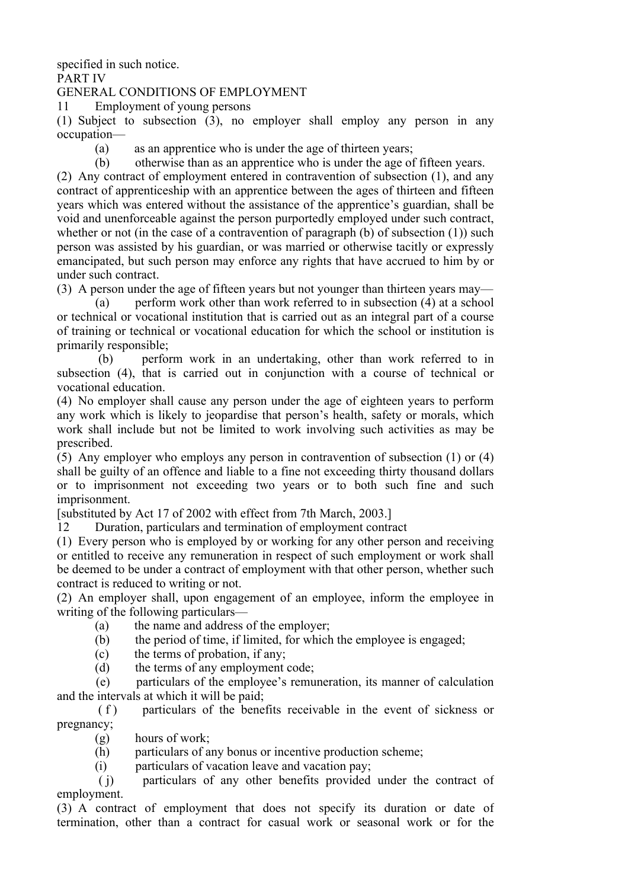specified in such notice.

# PART IV

# GENERAL CONDITIONS OF EMPLOYMENT

11 Employment of young persons

(1) Subject to subsection (3), no employer shall employ any person in any occupation—

(a) as an apprentice who is under the age of thirteen years;

(b) otherwise than as an apprentice who is under the age of fifteen years.

(2) Any contract of employment entered in contravention of subsection (1), and any contract of apprenticeship with an apprentice between the ages of thirteen and fifteen years which was entered without the assistance of the apprentice's guardian, shall be void and unenforceable against the person purportedly employed under such contract, whether or not (in the case of a contravention of paragraph (b) of subsection (1)) such person was assisted by his guardian, or was married or otherwise tacitly or expressly emancipated, but such person may enforce any rights that have accrued to him by or under such contract.

(3) A person under the age of fifteen years but not younger than thirteen years may—

 (a) perform work other than work referred to in subsection (4) at a school or technical or vocational institution that is carried out as an integral part of a course of training or technical or vocational education for which the school or institution is primarily responsible;

 (b) perform work in an undertaking, other than work referred to in subsection (4), that is carried out in conjunction with a course of technical or vocational education.

(4) No employer shall cause any person under the age of eighteen years to perform any work which is likely to jeopardise that person's health, safety or morals, which work shall include but not be limited to work involving such activities as may be prescribed.

(5) Any employer who employs any person in contravention of subsection (1) or (4) shall be guilty of an offence and liable to a fine not exceeding thirty thousand dollars or to imprisonment not exceeding two years or to both such fine and such imprisonment.

[substituted by Act 17 of 2002 with effect from 7th March, 2003.]

12 Duration, particulars and termination of employment contract

(1) Every person who is employed by or working for any other person and receiving or entitled to receive any remuneration in respect of such employment or work shall be deemed to be under a contract of employment with that other person, whether such contract is reduced to writing or not.

(2) An employer shall, upon engagement of an employee, inform the employee in writing of the following particulars—

- (a) the name and address of the employer;
- (b) the period of time, if limited, for which the employee is engaged;
- (c) the terms of probation, if any;
- (d) the terms of any employment code;

 (e) particulars of the employee's remuneration, its manner of calculation and the intervals at which it will be paid;

(f) particulars of the benefits receivable in the event of sickness or pregnancy;

- (g) hours of work;
- (h) particulars of any bonus or incentive production scheme;
- (i) particulars of vacation leave and vacation pay;

 ( j) particulars of any other benefits provided under the contract of employment.

(3) A contract of employment that does not specify its duration or date of termination, other than a contract for casual work or seasonal work or for the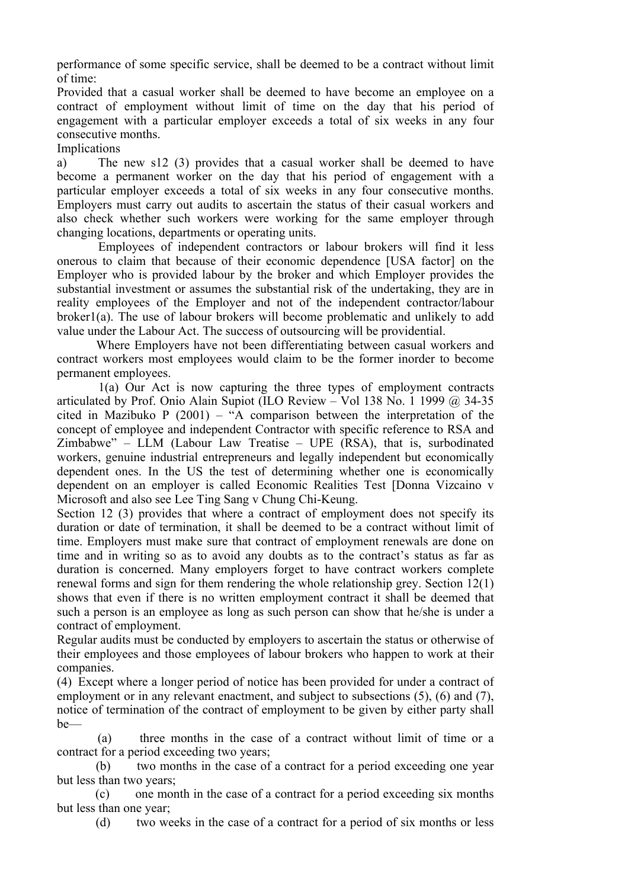performance of some specific service, shall be deemed to be a contract without limit of time:

Provided that a casual worker shall be deemed to have become an employee on a contract of employment without limit of time on the day that his period of engagement with a particular employer exceeds a total of six weeks in any four consecutive months.

Implications

a) The new s12 (3) provides that a casual worker shall be deemed to have become a permanent worker on the day that his period of engagement with a particular employer exceeds a total of six weeks in any four consecutive months. Employers must carry out audits to ascertain the status of their casual workers and also check whether such workers were working for the same employer through changing locations, departments or operating units.

 Employees of independent contractors or labour brokers will find it less onerous to claim that because of their economic dependence [USA factor] on the Employer who is provided labour by the broker and which Employer provides the substantial investment or assumes the substantial risk of the undertaking, they are in reality employees of the Employer and not of the independent contractor/labour broker1(a). The use of labour brokers will become problematic and unlikely to add value under the Labour Act. The success of outsourcing will be providential.

 Where Employers have not been differentiating between casual workers and contract workers most employees would claim to be the former inorder to become permanent employees.

 1(a) Our Act is now capturing the three types of employment contracts articulated by Prof. Onio Alain Supiot (ILO Review – Vol 138 No. 1 1999 @ 34-35 cited in Mazibuko P (2001) – "A comparison between the interpretation of the concept of employee and independent Contractor with specific reference to RSA and Zimbabwe" – LLM (Labour Law Treatise – UPE (RSA), that is, surbodinated workers, genuine industrial entrepreneurs and legally independent but economically dependent ones. In the US the test of determining whether one is economically dependent on an employer is called Economic Realities Test [Donna Vizcaino v Microsoft and also see Lee Ting Sang v Chung Chi-Keung.

Section 12 (3) provides that where a contract of employment does not specify its duration or date of termination, it shall be deemed to be a contract without limit of time. Employers must make sure that contract of employment renewals are done on time and in writing so as to avoid any doubts as to the contract's status as far as duration is concerned. Many employers forget to have contract workers complete renewal forms and sign for them rendering the whole relationship grey. Section 12(1) shows that even if there is no written employment contract it shall be deemed that such a person is an employee as long as such person can show that he/she is under a contract of employment.

Regular audits must be conducted by employers to ascertain the status or otherwise of their employees and those employees of labour brokers who happen to work at their companies.

(4) Except where a longer period of notice has been provided for under a contract of employment or in any relevant enactment, and subject to subsections (5), (6) and (7), notice of termination of the contract of employment to be given by either party shall be—

 (a) three months in the case of a contract without limit of time or a contract for a period exceeding two years;

 (b) two months in the case of a contract for a period exceeding one year but less than two years;

 (c) one month in the case of a contract for a period exceeding six months but less than one year;

(d) two weeks in the case of a contract for a period of six months or less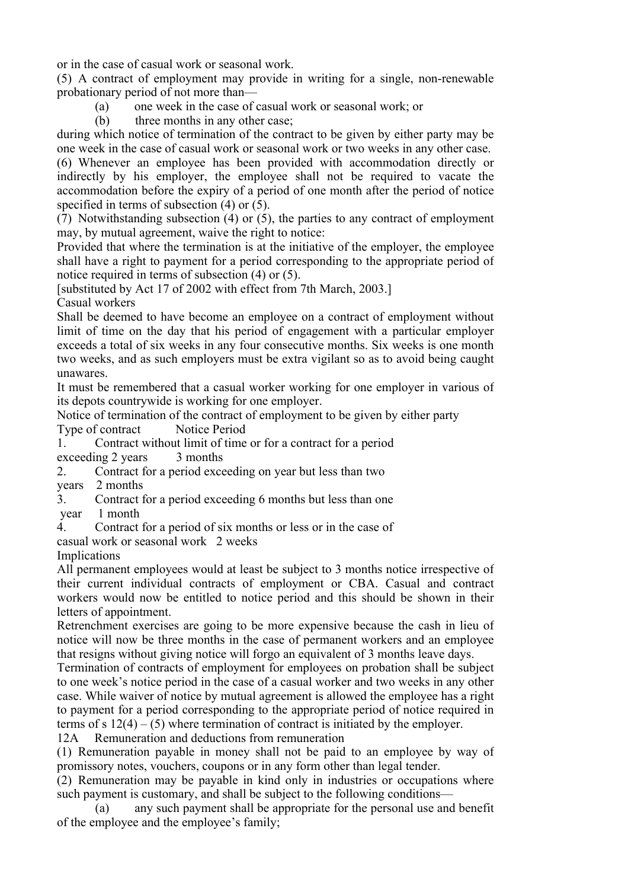or in the case of casual work or seasonal work.

(5) A contract of employment may provide in writing for a single, non-renewable probationary period of not more than—

- (a) one week in the case of casual work or seasonal work; or
- (b) three months in any other case;

during which notice of termination of the contract to be given by either party may be one week in the case of casual work or seasonal work or two weeks in any other case.

(6) Whenever an employee has been provided with accommodation directly or indirectly by his employer, the employee shall not be required to vacate the accommodation before the expiry of a period of one month after the period of notice specified in terms of subsection (4) or (5).

(7) Notwithstanding subsection (4) or (5), the parties to any contract of employment may, by mutual agreement, waive the right to notice:

Provided that where the termination is at the initiative of the employer, the employee shall have a right to payment for a period corresponding to the appropriate period of notice required in terms of subsection (4) or (5).

[substituted by Act 17 of 2002 with effect from 7th March, 2003.]

Casual workers

Shall be deemed to have become an employee on a contract of employment without limit of time on the day that his period of engagement with a particular employer exceeds a total of six weeks in any four consecutive months. Six weeks is one month two weeks, and as such employers must be extra vigilant so as to avoid being caught unawares.

It must be remembered that a casual worker working for one employer in various of its depots countrywide is working for one employer.

Notice of termination of the contract of employment to be given by either party

Type of contract Notice Period

1. Contract without limit of time or for a contract for a period

exceeding 2 years 3 months

2. Contract for a period exceeding on year but less than two

years 2 months

3. Contract for a period exceeding 6 months but less than one

year 1 month

4. Contract for a period of six months or less or in the case of

casual work or seasonal work 2 weeks

Implications

All permanent employees would at least be subject to 3 months notice irrespective of their current individual contracts of employment or CBA. Casual and contract workers would now be entitled to notice period and this should be shown in their letters of appointment.

Retrenchment exercises are going to be more expensive because the cash in lieu of notice will now be three months in the case of permanent workers and an employee that resigns without giving notice will forgo an equivalent of 3 months leave days.

Termination of contracts of employment for employees on probation shall be subject to one week's notice period in the case of a casual worker and two weeks in any other case. While waiver of notice by mutual agreement is allowed the employee has a right to payment for a period corresponding to the appropriate period of notice required in terms of s  $12(4) - (5)$  where termination of contract is initiated by the employer.

12A Remuneration and deductions from remuneration

(1) Remuneration payable in money shall not be paid to an employee by way of promissory notes, vouchers, coupons or in any form other than legal tender.

(2) Remuneration may be payable in kind only in industries or occupations where such payment is customary, and shall be subject to the following conditions—

 (a) any such payment shall be appropriate for the personal use and benefit of the employee and the employee's family;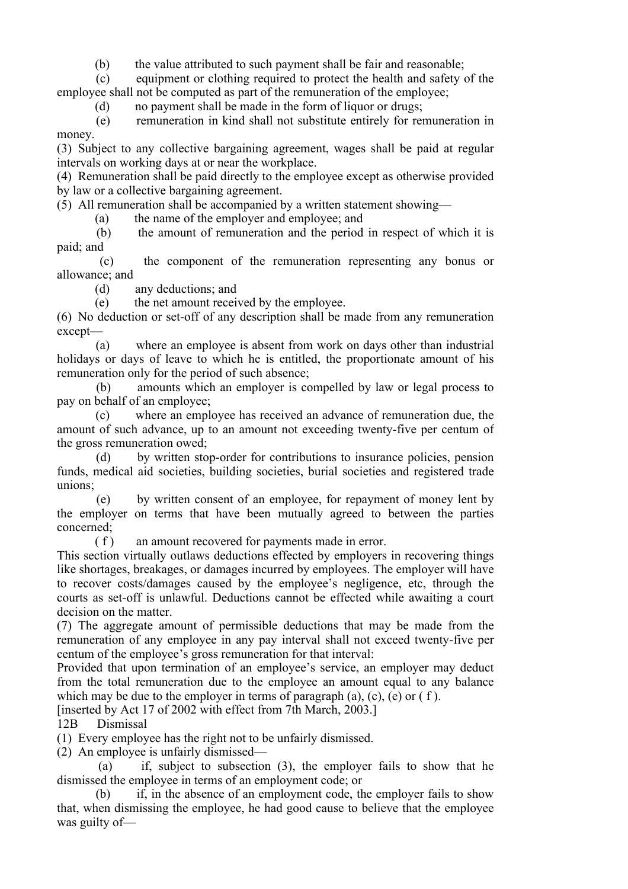(b) the value attributed to such payment shall be fair and reasonable;

 (c) equipment or clothing required to protect the health and safety of the employee shall not be computed as part of the remuneration of the employee;

(d) no payment shall be made in the form of liquor or drugs;

 (e) remuneration in kind shall not substitute entirely for remuneration in money.

(3) Subject to any collective bargaining agreement, wages shall be paid at regular intervals on working days at or near the workplace.

(4) Remuneration shall be paid directly to the employee except as otherwise provided by law or a collective bargaining agreement.

(5) All remuneration shall be accompanied by a written statement showing—

(a) the name of the employer and employee; and

 (b) the amount of remuneration and the period in respect of which it is paid; and

 (c) the component of the remuneration representing any bonus or allowance; and

(d) any deductions; and

(e) the net amount received by the employee.

(6) No deduction or set-off of any description shall be made from any remuneration except—

 (a) where an employee is absent from work on days other than industrial holidays or days of leave to which he is entitled, the proportionate amount of his remuneration only for the period of such absence;

 (b) amounts which an employer is compelled by law or legal process to pay on behalf of an employee;

 (c) where an employee has received an advance of remuneration due, the amount of such advance, up to an amount not exceeding twenty-five per centum of the gross remuneration owed;

 (d) by written stop-order for contributions to insurance policies, pension funds, medical aid societies, building societies, burial societies and registered trade unions;

 (e) by written consent of an employee, for repayment of money lent by the employer on terms that have been mutually agreed to between the parties concerned;

( f ) an amount recovered for payments made in error.

This section virtually outlaws deductions effected by employers in recovering things like shortages, breakages, or damages incurred by employees. The employer will have to recover costs/damages caused by the employee's negligence, etc, through the courts as set-off is unlawful. Deductions cannot be effected while awaiting a court decision on the matter.

(7) The aggregate amount of permissible deductions that may be made from the remuneration of any employee in any pay interval shall not exceed twenty-five per centum of the employee's gross remuneration for that interval:

Provided that upon termination of an employee's service, an employer may deduct from the total remuneration due to the employee an amount equal to any balance which may be due to the employer in terms of paragraph  $(a)$ ,  $(c)$ ,  $(e)$  or  $(f)$ .

[inserted by Act 17 of 2002 with effect from 7th March, 2003.]

12B Dismissal

(1) Every employee has the right not to be unfairly dismissed.

(2) An employee is unfairly dismissed—

 (a) if, subject to subsection (3), the employer fails to show that he dismissed the employee in terms of an employment code; or

 (b) if, in the absence of an employment code, the employer fails to show that, when dismissing the employee, he had good cause to believe that the employee was guilty of—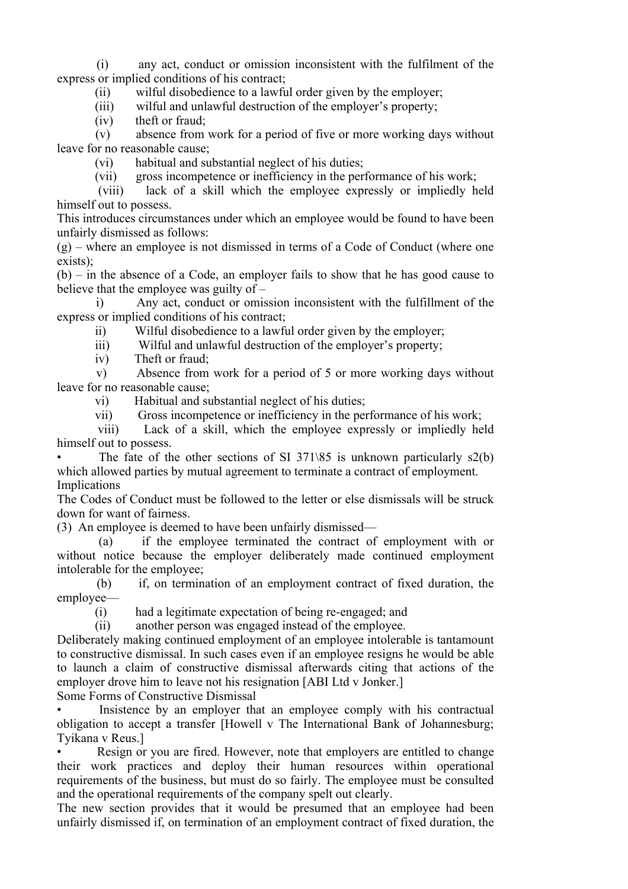(i) any act, conduct or omission inconsistent with the fulfilment of the express or implied conditions of his contract;

(ii) wilful disobedience to a lawful order given by the employer;

(iii) wilful and unlawful destruction of the employer's property;

(iv) theft or fraud;

 (v) absence from work for a period of five or more working days without leave for no reasonable cause;

(vi) habitual and substantial neglect of his duties;

(vii) gross incompetence or inefficiency in the performance of his work;

 (viii) lack of a skill which the employee expressly or impliedly held himself out to possess.

This introduces circumstances under which an employee would be found to have been unfairly dismissed as follows:

(g) – where an employee is not dismissed in terms of a Code of Conduct (where one exists);

(b) – in the absence of a Code, an employer fails to show that he has good cause to believe that the employee was guilty of  $-$ 

 i) Any act, conduct or omission inconsistent with the fulfillment of the express or implied conditions of his contract;

ii) Wilful disobedience to a lawful order given by the employer;

iii) Wilful and unlawful destruction of the employer's property;

iv) Theft or fraud;

 v) Absence from work for a period of 5 or more working days without leave for no reasonable cause;

vi) Habitual and substantial neglect of his duties;

vii) Gross incompetence or inefficiency in the performance of his work;

 viii) Lack of a skill, which the employee expressly or impliedly held himself out to possess.

The fate of the other sections of SI 371\85 is unknown particularly  $s2(b)$ which allowed parties by mutual agreement to terminate a contract of employment. **Implications** 

The Codes of Conduct must be followed to the letter or else dismissals will be struck down for want of fairness.

(3) An employee is deemed to have been unfairly dismissed—

 (a) if the employee terminated the contract of employment with or without notice because the employer deliberately made continued employment intolerable for the employee;

 (b) if, on termination of an employment contract of fixed duration, the employee—

(i) had a legitimate expectation of being re-engaged; and

(ii) another person was engaged instead of the employee.

Deliberately making continued employment of an employee intolerable is tantamount to constructive dismissal. In such cases even if an employee resigns he would be able to launch a claim of constructive dismissal afterwards citing that actions of the employer drove him to leave not his resignation [ABI Ltd v Jonker.] Some Forms of Constructive Dismissal

Insistence by an employer that an employee comply with his contractual obligation to accept a transfer [Howell v The International Bank of Johannesburg; Tyikana v Reus.]

Resign or you are fired. However, note that employers are entitled to change their work practices and deploy their human resources within operational requirements of the business, but must do so fairly. The employee must be consulted and the operational requirements of the company spelt out clearly.

The new section provides that it would be presumed that an employee had been unfairly dismissed if, on termination of an employment contract of fixed duration, the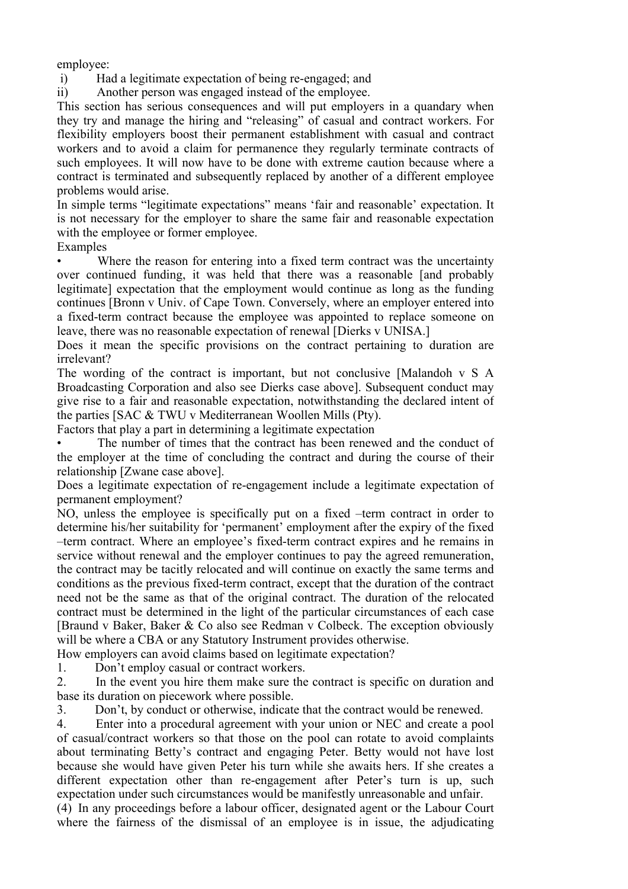employee:

i) Had a legitimate expectation of being re-engaged; and

ii) Another person was engaged instead of the employee.

This section has serious consequences and will put employers in a quandary when they try and manage the hiring and "releasing" of casual and contract workers. For flexibility employers boost their permanent establishment with casual and contract workers and to avoid a claim for permanence they regularly terminate contracts of such employees. It will now have to be done with extreme caution because where a contract is terminated and subsequently replaced by another of a different employee problems would arise.

In simple terms "legitimate expectations" means 'fair and reasonable' expectation. It is not necessary for the employer to share the same fair and reasonable expectation with the employee or former employee.

Examples

Where the reason for entering into a fixed term contract was the uncertainty over continued funding, it was held that there was a reasonable [and probably legitimate] expectation that the employment would continue as long as the funding continues [Bronn v Univ. of Cape Town. Conversely, where an employer entered into a fixed-term contract because the employee was appointed to replace someone on leave, there was no reasonable expectation of renewal [Dierks v UNISA.]

Does it mean the specific provisions on the contract pertaining to duration are irrelevant?

The wording of the contract is important, but not conclusive [Malandoh v S A Broadcasting Corporation and also see Dierks case above]. Subsequent conduct may give rise to a fair and reasonable expectation, notwithstanding the declared intent of the parties [SAC & TWU v Mediterranean Woollen Mills (Pty).

Factors that play a part in determining a legitimate expectation

The number of times that the contract has been renewed and the conduct of the employer at the time of concluding the contract and during the course of their relationship [Zwane case above].

Does a legitimate expectation of re-engagement include a legitimate expectation of permanent employment?

NO, unless the employee is specifically put on a fixed –term contract in order to determine his/her suitability for 'permanent' employment after the expiry of the fixed –term contract. Where an employee's fixed-term contract expires and he remains in service without renewal and the employer continues to pay the agreed remuneration, the contract may be tacitly relocated and will continue on exactly the same terms and conditions as the previous fixed-term contract, except that the duration of the contract need not be the same as that of the original contract. The duration of the relocated contract must be determined in the light of the particular circumstances of each case [Braund v Baker, Baker & Co also see Redman v Colbeck. The exception obviously will be where a CBA or any Statutory Instrument provides otherwise.

How employers can avoid claims based on legitimate expectation?

1. Don't employ casual or contract workers.

2. In the event you hire them make sure the contract is specific on duration and base its duration on piecework where possible.

3. Don't, by conduct or otherwise, indicate that the contract would be renewed.

4. Enter into a procedural agreement with your union or NEC and create a pool of casual/contract workers so that those on the pool can rotate to avoid complaints about terminating Betty's contract and engaging Peter. Betty would not have lost because she would have given Peter his turn while she awaits hers. If she creates a different expectation other than re-engagement after Peter's turn is up, such expectation under such circumstances would be manifestly unreasonable and unfair.

(4) In any proceedings before a labour officer, designated agent or the Labour Court where the fairness of the dismissal of an employee is in issue, the adjudicating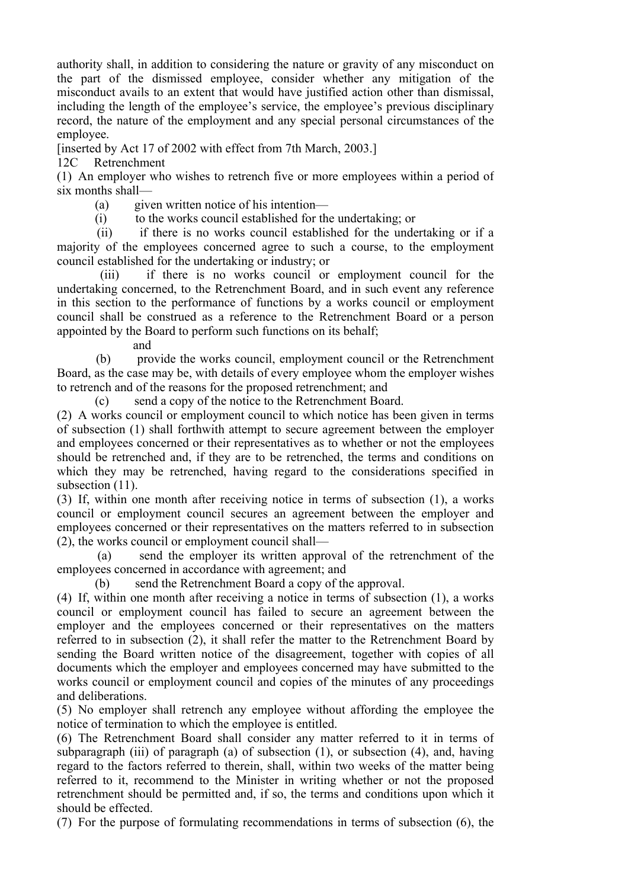authority shall, in addition to considering the nature or gravity of any misconduct on the part of the dismissed employee, consider whether any mitigation of the misconduct avails to an extent that would have justified action other than dismissal, including the length of the employee's service, the employee's previous disciplinary record, the nature of the employment and any special personal circumstances of the employee.

[inserted by Act 17 of 2002 with effect from 7th March, 2003.]

12C Retrenchment

(1) An employer who wishes to retrench five or more employees within a period of six months shall—

(a) given written notice of his intention—

(i) to the works council established for the undertaking; or

 (ii) if there is no works council established for the undertaking or if a majority of the employees concerned agree to such a course, to the employment council established for the undertaking or industry; or

 (iii) if there is no works council or employment council for the undertaking concerned, to the Retrenchment Board, and in such event any reference in this section to the performance of functions by a works council or employment council shall be construed as a reference to the Retrenchment Board or a person appointed by the Board to perform such functions on its behalf;

and

 (b) provide the works council, employment council or the Retrenchment Board, as the case may be, with details of every employee whom the employer wishes to retrench and of the reasons for the proposed retrenchment; and

(c) send a copy of the notice to the Retrenchment Board.

(2) A works council or employment council to which notice has been given in terms of subsection (1) shall forthwith attempt to secure agreement between the employer and employees concerned or their representatives as to whether or not the employees should be retrenched and, if they are to be retrenched, the terms and conditions on which they may be retrenched, having regard to the considerations specified in subsection  $(11)$ .

(3) If, within one month after receiving notice in terms of subsection (1), a works council or employment council secures an agreement between the employer and employees concerned or their representatives on the matters referred to in subsection (2), the works council or employment council shall—

 (a) send the employer its written approval of the retrenchment of the employees concerned in accordance with agreement; and

(b) send the Retrenchment Board a copy of the approval.

(4) If, within one month after receiving a notice in terms of subsection (1), a works council or employment council has failed to secure an agreement between the employer and the employees concerned or their representatives on the matters referred to in subsection (2), it shall refer the matter to the Retrenchment Board by sending the Board written notice of the disagreement, together with copies of all documents which the employer and employees concerned may have submitted to the works council or employment council and copies of the minutes of any proceedings and deliberations.

(5) No employer shall retrench any employee without affording the employee the notice of termination to which the employee is entitled.

(6) The Retrenchment Board shall consider any matter referred to it in terms of subparagraph (iii) of paragraph (a) of subsection  $(1)$ , or subsection  $(4)$ , and, having regard to the factors referred to therein, shall, within two weeks of the matter being referred to it, recommend to the Minister in writing whether or not the proposed retrenchment should be permitted and, if so, the terms and conditions upon which it should be effected.

(7) For the purpose of formulating recommendations in terms of subsection (6), the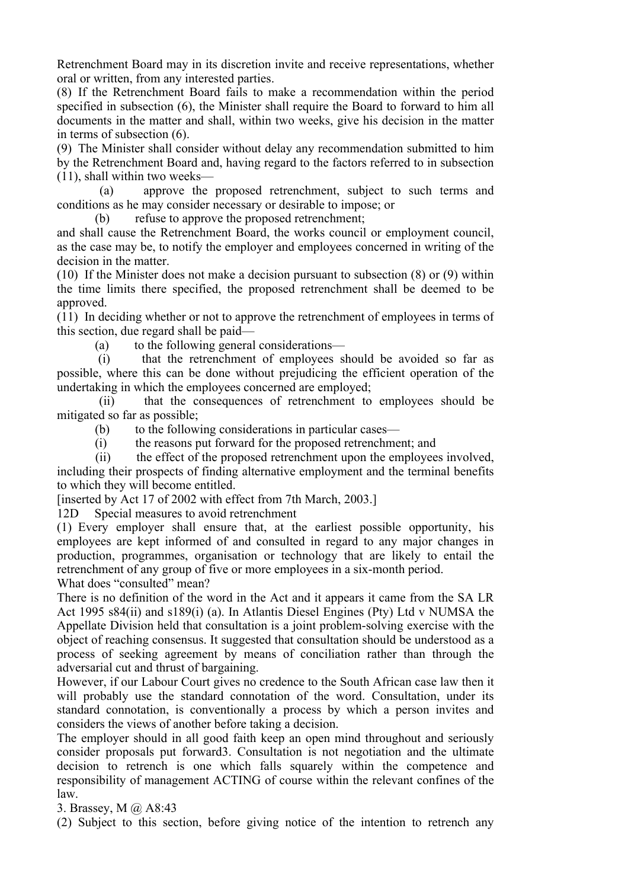Retrenchment Board may in its discretion invite and receive representations, whether oral or written, from any interested parties.

(8) If the Retrenchment Board fails to make a recommendation within the period specified in subsection (6), the Minister shall require the Board to forward to him all documents in the matter and shall, within two weeks, give his decision in the matter in terms of subsection (6).

(9) The Minister shall consider without delay any recommendation submitted to him by the Retrenchment Board and, having regard to the factors referred to in subsection (11), shall within two weeks—

 (a) approve the proposed retrenchment, subject to such terms and conditions as he may consider necessary or desirable to impose; or

(b) refuse to approve the proposed retrenchment;

and shall cause the Retrenchment Board, the works council or employment council, as the case may be, to notify the employer and employees concerned in writing of the decision in the matter.

(10) If the Minister does not make a decision pursuant to subsection (8) or (9) within the time limits there specified, the proposed retrenchment shall be deemed to be approved.

(11) In deciding whether or not to approve the retrenchment of employees in terms of this section, due regard shall be paid—

(a) to the following general considerations—

 (i) that the retrenchment of employees should be avoided so far as possible, where this can be done without prejudicing the efficient operation of the undertaking in which the employees concerned are employed;

 (ii) that the consequences of retrenchment to employees should be mitigated so far as possible;

(b) to the following considerations in particular cases—

(i) the reasons put forward for the proposed retrenchment; and

 (ii) the effect of the proposed retrenchment upon the employees involved, including their prospects of finding alternative employment and the terminal benefits to which they will become entitled.

[inserted by Act 17 of 2002 with effect from 7th March, 2003.]

12D Special measures to avoid retrenchment

(1) Every employer shall ensure that, at the earliest possible opportunity, his employees are kept informed of and consulted in regard to any major changes in production, programmes, organisation or technology that are likely to entail the retrenchment of any group of five or more employees in a six-month period. What does "consulted" mean?

There is no definition of the word in the Act and it appears it came from the SA LR Act 1995 s84(ii) and s189(i) (a). In Atlantis Diesel Engines (Pty) Ltd v NUMSA the Appellate Division held that consultation is a joint problem-solving exercise with the object of reaching consensus. It suggested that consultation should be understood as a process of seeking agreement by means of conciliation rather than through the adversarial cut and thrust of bargaining.

However, if our Labour Court gives no credence to the South African case law then it will probably use the standard connotation of the word. Consultation, under its standard connotation, is conventionally a process by which a person invites and considers the views of another before taking a decision.

The employer should in all good faith keep an open mind throughout and seriously consider proposals put forward3. Consultation is not negotiation and the ultimate decision to retrench is one which falls squarely within the competence and responsibility of management ACTING of course within the relevant confines of the law.

3. Brassey, M @ A8:43

(2) Subject to this section, before giving notice of the intention to retrench any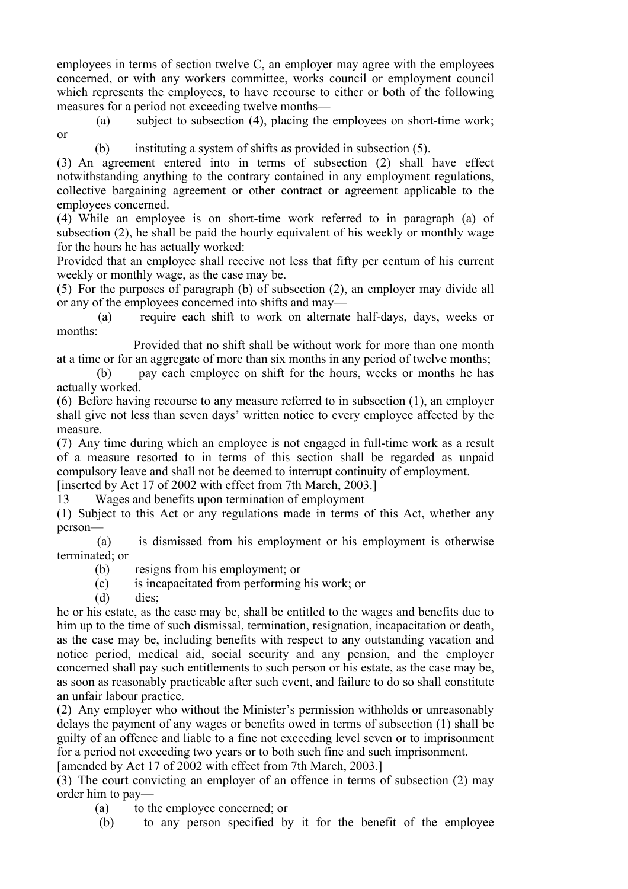employees in terms of section twelve C, an employer may agree with the employees concerned, or with any workers committee, works council or employment council which represents the employees, to have recourse to either or both of the following measures for a period not exceeding twelve months—

 (a) subject to subsection (4), placing the employees on short-time work; or

(b) instituting a system of shifts as provided in subsection (5).

(3) An agreement entered into in terms of subsection (2) shall have effect notwithstanding anything to the contrary contained in any employment regulations, collective bargaining agreement or other contract or agreement applicable to the employees concerned.

(4) While an employee is on short-time work referred to in paragraph (a) of subsection (2), he shall be paid the hourly equivalent of his weekly or monthly wage for the hours he has actually worked:

Provided that an employee shall receive not less that fifty per centum of his current weekly or monthly wage, as the case may be.

(5) For the purposes of paragraph (b) of subsection (2), an employer may divide all or any of the employees concerned into shifts and may—

 (a) require each shift to work on alternate half-days, days, weeks or months:

 Provided that no shift shall be without work for more than one month at a time or for an aggregate of more than six months in any period of twelve months;

 (b) pay each employee on shift for the hours, weeks or months he has actually worked.

(6) Before having recourse to any measure referred to in subsection (1), an employer shall give not less than seven days' written notice to every employee affected by the measure.

(7) Any time during which an employee is not engaged in full-time work as a result of a measure resorted to in terms of this section shall be regarded as unpaid compulsory leave and shall not be deemed to interrupt continuity of employment.

[inserted by Act 17 of 2002 with effect from 7th March, 2003.]

13 Wages and benefits upon termination of employment

(1) Subject to this Act or any regulations made in terms of this Act, whether any person—

 (a) is dismissed from his employment or his employment is otherwise terminated; or

(b) resigns from his employment; or

(c) is incapacitated from performing his work; or

(d) dies;

he or his estate, as the case may be, shall be entitled to the wages and benefits due to him up to the time of such dismissal, termination, resignation, incapacitation or death, as the case may be, including benefits with respect to any outstanding vacation and notice period, medical aid, social security and any pension, and the employer concerned shall pay such entitlements to such person or his estate, as the case may be, as soon as reasonably practicable after such event, and failure to do so shall constitute an unfair labour practice.

(2) Any employer who without the Minister's permission withholds or unreasonably delays the payment of any wages or benefits owed in terms of subsection (1) shall be guilty of an offence and liable to a fine not exceeding level seven or to imprisonment for a period not exceeding two years or to both such fine and such imprisonment.

[amended by Act 17 of 2002 with effect from 7th March, 2003.]

(3) The court convicting an employer of an offence in terms of subsection (2) may order him to pay—

(a) to the employee concerned; or

(b) to any person specified by it for the benefit of the employee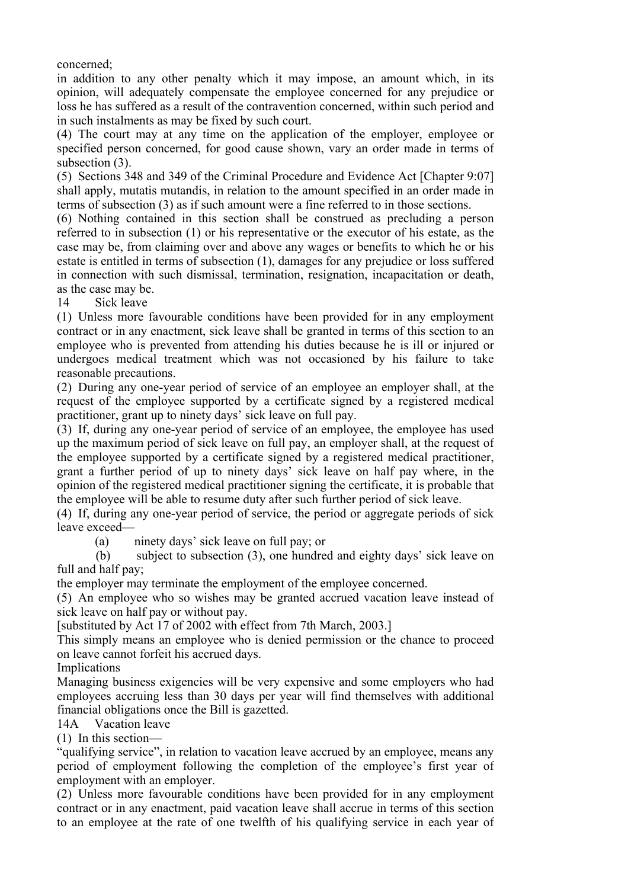concerned;

in addition to any other penalty which it may impose, an amount which, in its opinion, will adequately compensate the employee concerned for any prejudice or loss he has suffered as a result of the contravention concerned, within such period and in such instalments as may be fixed by such court.

(4) The court may at any time on the application of the employer, employee or specified person concerned, for good cause shown, vary an order made in terms of subsection (3).

(5) Sections 348 and 349 of the Criminal Procedure and Evidence Act [Chapter 9:07] shall apply, mutatis mutandis, in relation to the amount specified in an order made in terms of subsection (3) as if such amount were a fine referred to in those sections.

(6) Nothing contained in this section shall be construed as precluding a person referred to in subsection (1) or his representative or the executor of his estate, as the case may be, from claiming over and above any wages or benefits to which he or his estate is entitled in terms of subsection (1), damages for any prejudice or loss suffered in connection with such dismissal, termination, resignation, incapacitation or death, as the case may be.

14 Sick leave

(1) Unless more favourable conditions have been provided for in any employment contract or in any enactment, sick leave shall be granted in terms of this section to an employee who is prevented from attending his duties because he is ill or injured or undergoes medical treatment which was not occasioned by his failure to take reasonable precautions.

(2) During any one-year period of service of an employee an employer shall, at the request of the employee supported by a certificate signed by a registered medical practitioner, grant up to ninety days' sick leave on full pay.

(3) If, during any one-year period of service of an employee, the employee has used up the maximum period of sick leave on full pay, an employer shall, at the request of the employee supported by a certificate signed by a registered medical practitioner, grant a further period of up to ninety days' sick leave on half pay where, in the opinion of the registered medical practitioner signing the certificate, it is probable that the employee will be able to resume duty after such further period of sick leave.

(4) If, during any one-year period of service, the period or aggregate periods of sick leave exceed—

(a) ninety days' sick leave on full pay; or

 (b) subject to subsection (3), one hundred and eighty days' sick leave on full and half pay;

the employer may terminate the employment of the employee concerned.

(5) An employee who so wishes may be granted accrued vacation leave instead of sick leave on half pay or without pay.

[substituted by Act 17 of 2002 with effect from 7th March, 2003.]

This simply means an employee who is denied permission or the chance to proceed on leave cannot forfeit his accrued days.

Implications

Managing business exigencies will be very expensive and some employers who had employees accruing less than 30 days per year will find themselves with additional financial obligations once the Bill is gazetted.

14A Vacation leave

(1) In this section—

"qualifying service", in relation to vacation leave accrued by an employee, means any period of employment following the completion of the employee's first year of employment with an employer.

(2) Unless more favourable conditions have been provided for in any employment contract or in any enactment, paid vacation leave shall accrue in terms of this section to an employee at the rate of one twelfth of his qualifying service in each year of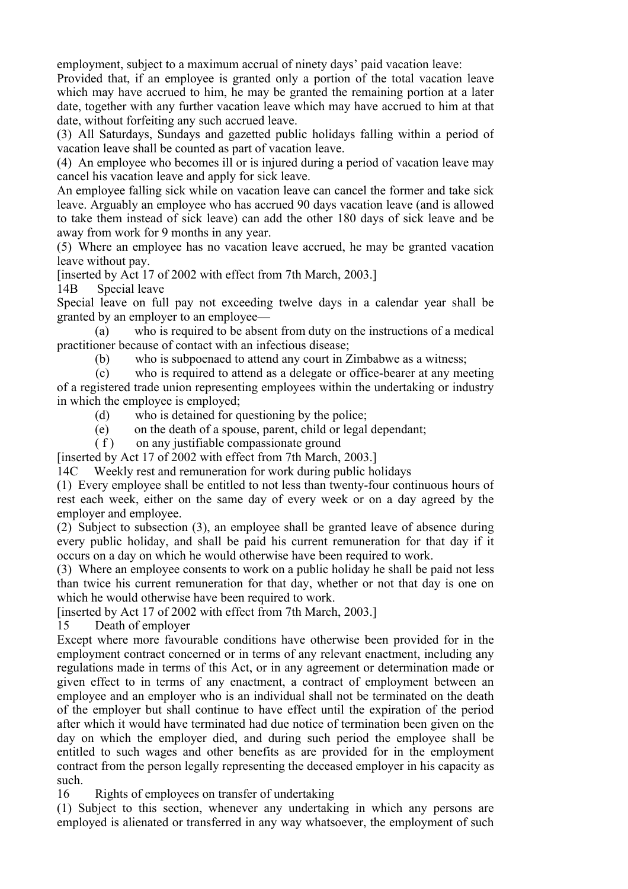employment, subject to a maximum accrual of ninety days' paid vacation leave:

Provided that, if an employee is granted only a portion of the total vacation leave which may have accrued to him, he may be granted the remaining portion at a later date, together with any further vacation leave which may have accrued to him at that date, without forfeiting any such accrued leave.

(3) All Saturdays, Sundays and gazetted public holidays falling within a period of vacation leave shall be counted as part of vacation leave.

(4) An employee who becomes ill or is injured during a period of vacation leave may cancel his vacation leave and apply for sick leave.

An employee falling sick while on vacation leave can cancel the former and take sick leave. Arguably an employee who has accrued 90 days vacation leave (and is allowed to take them instead of sick leave) can add the other 180 days of sick leave and be away from work for 9 months in any year.

(5) Where an employee has no vacation leave accrued, he may be granted vacation leave without pay.

[inserted by Act 17 of 2002 with effect from 7th March, 2003.]

14B Special leave

Special leave on full pay not exceeding twelve days in a calendar year shall be granted by an employer to an employee—

 (a) who is required to be absent from duty on the instructions of a medical practitioner because of contact with an infectious disease;

(b) who is subpoenaed to attend any court in Zimbabwe as a witness;

 (c) who is required to attend as a delegate or office-bearer at any meeting of a registered trade union representing employees within the undertaking or industry in which the employee is employed;

- (d) who is detained for questioning by the police;
- (e) on the death of a spouse, parent, child or legal dependant;
- ( f ) on any justifiable compassionate ground

[inserted by Act 17 of 2002 with effect from 7th March, 2003.]

14C Weekly rest and remuneration for work during public holidays

(1) Every employee shall be entitled to not less than twenty-four continuous hours of rest each week, either on the same day of every week or on a day agreed by the employer and employee.

(2) Subject to subsection (3), an employee shall be granted leave of absence during every public holiday, and shall be paid his current remuneration for that day if it occurs on a day on which he would otherwise have been required to work.

(3) Where an employee consents to work on a public holiday he shall be paid not less than twice his current remuneration for that day, whether or not that day is one on which he would otherwise have been required to work.

[inserted by Act 17 of 2002 with effect from 7th March, 2003.]

15 Death of employer

Except where more favourable conditions have otherwise been provided for in the employment contract concerned or in terms of any relevant enactment, including any regulations made in terms of this Act, or in any agreement or determination made or given effect to in terms of any enactment, a contract of employment between an employee and an employer who is an individual shall not be terminated on the death of the employer but shall continue to have effect until the expiration of the period after which it would have terminated had due notice of termination been given on the day on which the employer died, and during such period the employee shall be entitled to such wages and other benefits as are provided for in the employment contract from the person legally representing the deceased employer in his capacity as such.

16 Rights of employees on transfer of undertaking

(1) Subject to this section, whenever any undertaking in which any persons are employed is alienated or transferred in any way whatsoever, the employment of such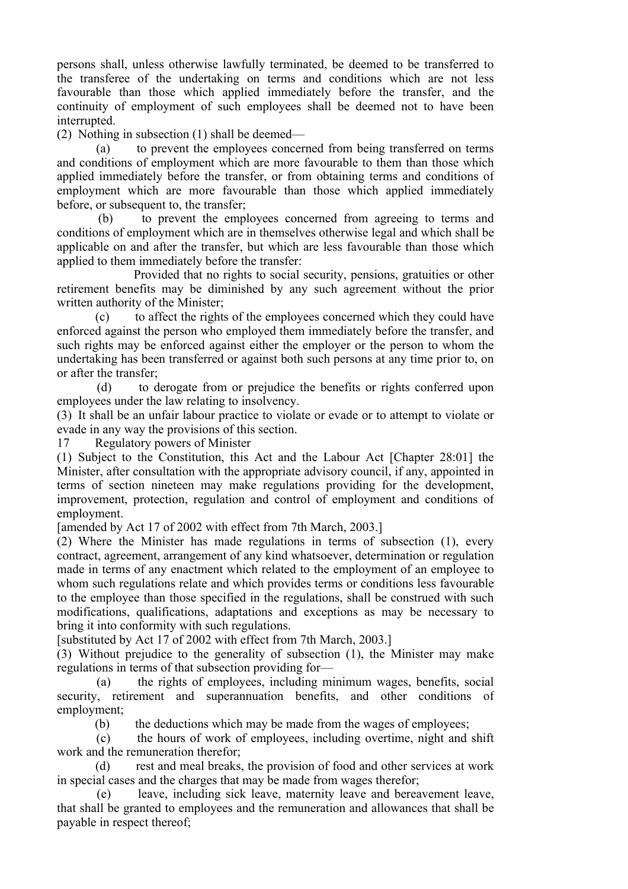persons shall, unless otherwise lawfully terminated, be deemed to be transferred to the transferee of the undertaking on terms and conditions which are not less favourable than those which applied immediately before the transfer, and the continuity of employment of such employees shall be deemed not to have been interrupted.

(2) Nothing in subsection (1) shall be deemed—

 (a) to prevent the employees concerned from being transferred on terms and conditions of employment which are more favourable to them than those which applied immediately before the transfer, or from obtaining terms and conditions of employment which are more favourable than those which applied immediately before, or subsequent to, the transfer;

 (b) to prevent the employees concerned from agreeing to terms and conditions of employment which are in themselves otherwise legal and which shall be applicable on and after the transfer, but which are less favourable than those which applied to them immediately before the transfer:

 Provided that no rights to social security, pensions, gratuities or other retirement benefits may be diminished by any such agreement without the prior written authority of the Minister;

 (c) to affect the rights of the employees concerned which they could have enforced against the person who employed them immediately before the transfer, and such rights may be enforced against either the employer or the person to whom the undertaking has been transferred or against both such persons at any time prior to, on or after the transfer;

 (d) to derogate from or prejudice the benefits or rights conferred upon employees under the law relating to insolvency.

(3) It shall be an unfair labour practice to violate or evade or to attempt to violate or evade in any way the provisions of this section.

17 Regulatory powers of Minister

(1) Subject to the Constitution, this Act and the Labour Act [Chapter 28:01] the Minister, after consultation with the appropriate advisory council, if any, appointed in terms of section nineteen may make regulations providing for the development, improvement, protection, regulation and control of employment and conditions of employment.

[amended by Act 17 of 2002 with effect from 7th March, 2003.]

(2) Where the Minister has made regulations in terms of subsection (1), every contract, agreement, arrangement of any kind whatsoever, determination or regulation made in terms of any enactment which related to the employment of an employee to whom such regulations relate and which provides terms or conditions less favourable to the employee than those specified in the regulations, shall be construed with such modifications, qualifications, adaptations and exceptions as may be necessary to bring it into conformity with such regulations.

[substituted by Act 17 of 2002 with effect from 7th March, 2003.]

(3) Without prejudice to the generality of subsection (1), the Minister may make regulations in terms of that subsection providing for—

 (a) the rights of employees, including minimum wages, benefits, social security, retirement and superannuation benefits, and other conditions of employment;

(b) the deductions which may be made from the wages of employees;

 (c) the hours of work of employees, including overtime, night and shift work and the remuneration therefor;

 (d) rest and meal breaks, the provision of food and other services at work in special cases and the charges that may be made from wages therefor;

 (e) leave, including sick leave, maternity leave and bereavement leave, that shall be granted to employees and the remuneration and allowances that shall be payable in respect thereof;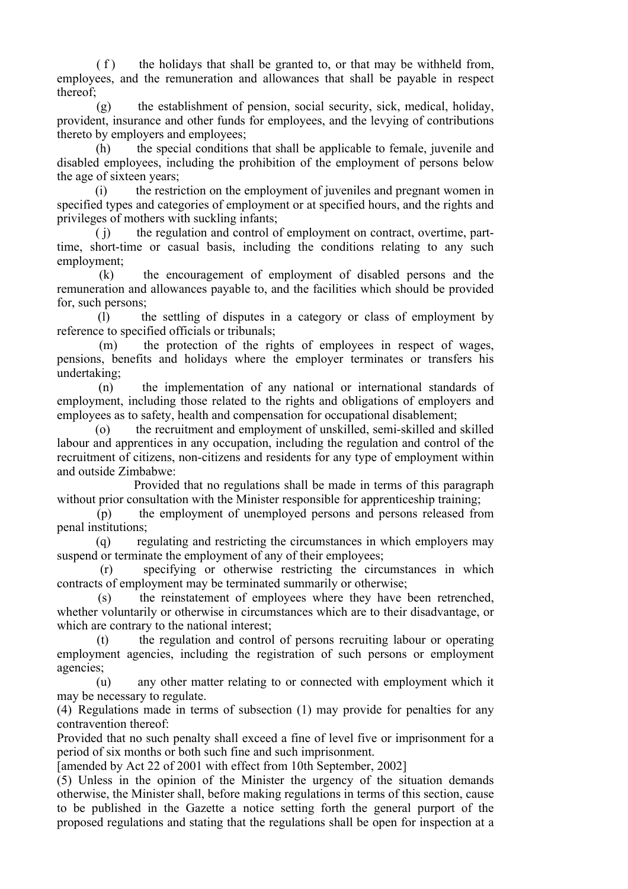$(f)$  the holidays that shall be granted to, or that may be withheld from, employees, and the remuneration and allowances that shall be payable in respect thereof;

 (g) the establishment of pension, social security, sick, medical, holiday, provident, insurance and other funds for employees, and the levying of contributions thereto by employers and employees;

 (h) the special conditions that shall be applicable to female, juvenile and disabled employees, including the prohibition of the employment of persons below the age of sixteen years;

 (i) the restriction on the employment of juveniles and pregnant women in specified types and categories of employment or at specified hours, and the rights and privileges of mothers with suckling infants;

 ( j) the regulation and control of employment on contract, overtime, parttime, short-time or casual basis, including the conditions relating to any such employment;

 (k) the encouragement of employment of disabled persons and the remuneration and allowances payable to, and the facilities which should be provided for, such persons;

 (l) the settling of disputes in a category or class of employment by reference to specified officials or tribunals;

 (m) the protection of the rights of employees in respect of wages, pensions, benefits and holidays where the employer terminates or transfers his undertaking;

 (n) the implementation of any national or international standards of employment, including those related to the rights and obligations of employers and employees as to safety, health and compensation for occupational disablement;

 (o) the recruitment and employment of unskilled, semi-skilled and skilled labour and apprentices in any occupation, including the regulation and control of the recruitment of citizens, non-citizens and residents for any type of employment within and outside Zimbabwe:

 Provided that no regulations shall be made in terms of this paragraph without prior consultation with the Minister responsible for apprenticeship training;

 (p) the employment of unemployed persons and persons released from penal institutions;

 (q) regulating and restricting the circumstances in which employers may suspend or terminate the employment of any of their employees;

 (r) specifying or otherwise restricting the circumstances in which contracts of employment may be terminated summarily or otherwise;

 (s) the reinstatement of employees where they have been retrenched, whether voluntarily or otherwise in circumstances which are to their disadvantage, or which are contrary to the national interest;

 (t) the regulation and control of persons recruiting labour or operating employment agencies, including the registration of such persons or employment agencies;

 (u) any other matter relating to or connected with employment which it may be necessary to regulate.

(4) Regulations made in terms of subsection (1) may provide for penalties for any contravention thereof:

Provided that no such penalty shall exceed a fine of level five or imprisonment for a period of six months or both such fine and such imprisonment.

[amended by Act 22 of 2001 with effect from 10th September, 2002]

(5) Unless in the opinion of the Minister the urgency of the situation demands otherwise, the Minister shall, before making regulations in terms of this section, cause to be published in the Gazette a notice setting forth the general purport of the proposed regulations and stating that the regulations shall be open for inspection at a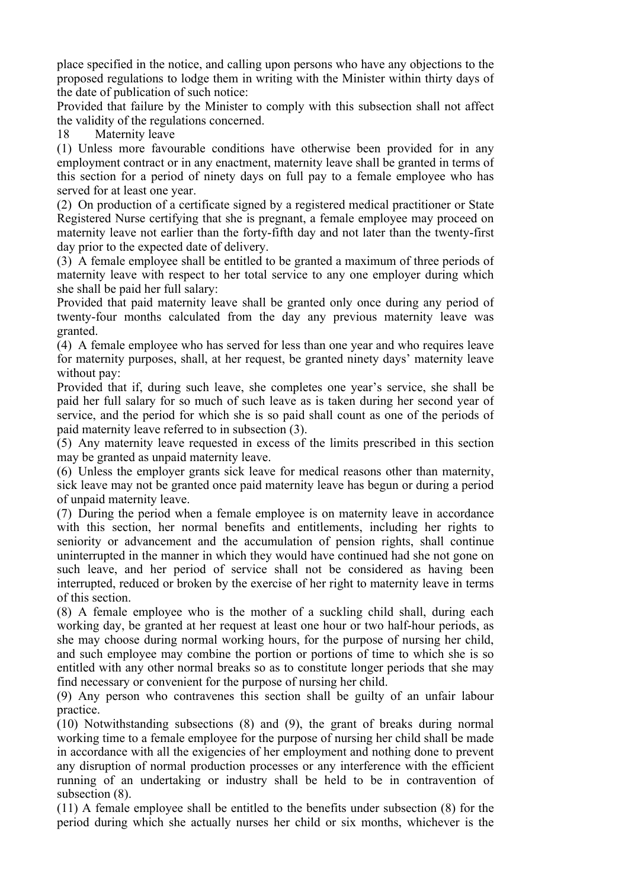place specified in the notice, and calling upon persons who have any objections to the proposed regulations to lodge them in writing with the Minister within thirty days of the date of publication of such notice:

Provided that failure by the Minister to comply with this subsection shall not affect the validity of the regulations concerned.

18 Maternity leave

(1) Unless more favourable conditions have otherwise been provided for in any employment contract or in any enactment, maternity leave shall be granted in terms of this section for a period of ninety days on full pay to a female employee who has served for at least one year.

(2) On production of a certificate signed by a registered medical practitioner or State Registered Nurse certifying that she is pregnant, a female employee may proceed on maternity leave not earlier than the forty-fifth day and not later than the twenty-first day prior to the expected date of delivery.

(3) A female employee shall be entitled to be granted a maximum of three periods of maternity leave with respect to her total service to any one employer during which she shall be paid her full salary:

Provided that paid maternity leave shall be granted only once during any period of twenty-four months calculated from the day any previous maternity leave was granted.

(4) A female employee who has served for less than one year and who requires leave for maternity purposes, shall, at her request, be granted ninety days' maternity leave without pay:

Provided that if, during such leave, she completes one year's service, she shall be paid her full salary for so much of such leave as is taken during her second year of service, and the period for which she is so paid shall count as one of the periods of paid maternity leave referred to in subsection (3).

(5) Any maternity leave requested in excess of the limits prescribed in this section may be granted as unpaid maternity leave.

(6) Unless the employer grants sick leave for medical reasons other than maternity, sick leave may not be granted once paid maternity leave has begun or during a period of unpaid maternity leave.

(7) During the period when a female employee is on maternity leave in accordance with this section, her normal benefits and entitlements, including her rights to seniority or advancement and the accumulation of pension rights, shall continue uninterrupted in the manner in which they would have continued had she not gone on such leave, and her period of service shall not be considered as having been interrupted, reduced or broken by the exercise of her right to maternity leave in terms of this section.

(8) A female employee who is the mother of a suckling child shall, during each working day, be granted at her request at least one hour or two half-hour periods, as she may choose during normal working hours, for the purpose of nursing her child, and such employee may combine the portion or portions of time to which she is so entitled with any other normal breaks so as to constitute longer periods that she may find necessary or convenient for the purpose of nursing her child.

(9) Any person who contravenes this section shall be guilty of an unfair labour practice.

(10) Notwithstanding subsections (8) and (9), the grant of breaks during normal working time to a female employee for the purpose of nursing her child shall be made in accordance with all the exigencies of her employment and nothing done to prevent any disruption of normal production processes or any interference with the efficient running of an undertaking or industry shall be held to be in contravention of subsection  $(8)$ .

(11) A female employee shall be entitled to the benefits under subsection (8) for the period during which she actually nurses her child or six months, whichever is the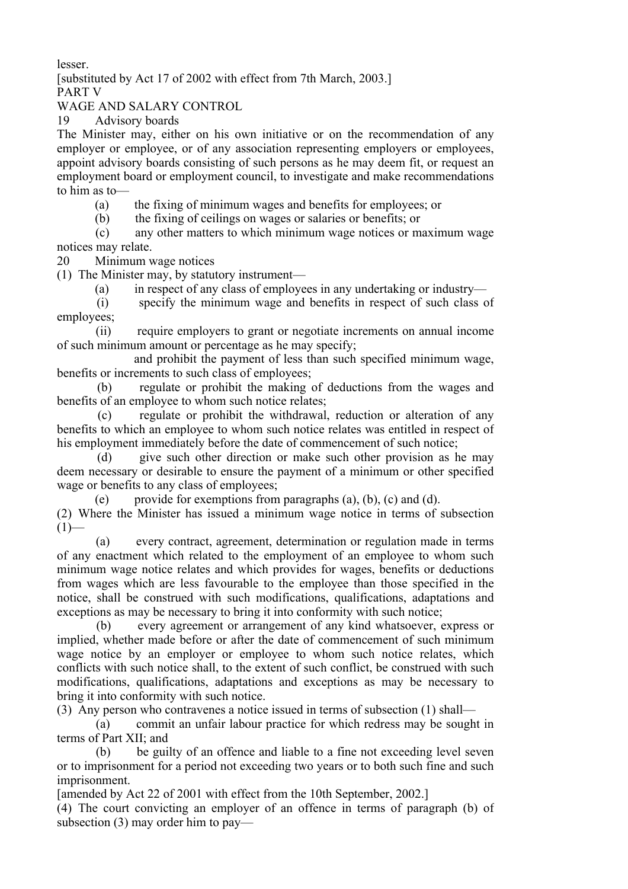lesser.

[substituted by Act 17 of 2002 with effect from 7th March, 2003.] PART V

# WAGE AND SALARY CONTROL

19 Advisory boards

The Minister may, either on his own initiative or on the recommendation of any employer or employee, or of any association representing employers or employees, appoint advisory boards consisting of such persons as he may deem fit, or request an employment board or employment council, to investigate and make recommendations to him as to—

(a) the fixing of minimum wages and benefits for employees; or

(b) the fixing of ceilings on wages or salaries or benefits; or

 (c) any other matters to which minimum wage notices or maximum wage notices may relate.

20 Minimum wage notices

(1) The Minister may, by statutory instrument—

(a) in respect of any class of employees in any undertaking or industry—

 (i) specify the minimum wage and benefits in respect of such class of employees;

 (ii) require employers to grant or negotiate increments on annual income of such minimum amount or percentage as he may specify;

 and prohibit the payment of less than such specified minimum wage, benefits or increments to such class of employees;

 (b) regulate or prohibit the making of deductions from the wages and benefits of an employee to whom such notice relates;

 (c) regulate or prohibit the withdrawal, reduction or alteration of any benefits to which an employee to whom such notice relates was entitled in respect of his employment immediately before the date of commencement of such notice;

 (d) give such other direction or make such other provision as he may deem necessary or desirable to ensure the payment of a minimum or other specified wage or benefits to any class of employees;

(e) provide for exemptions from paragraphs  $(a)$ ,  $(b)$ ,  $(c)$  and  $(d)$ .

(2) Where the Minister has issued a minimum wage notice in terms of subsection  $(1)$ —

 (a) every contract, agreement, determination or regulation made in terms of any enactment which related to the employment of an employee to whom such minimum wage notice relates and which provides for wages, benefits or deductions from wages which are less favourable to the employee than those specified in the notice, shall be construed with such modifications, qualifications, adaptations and exceptions as may be necessary to bring it into conformity with such notice;

 (b) every agreement or arrangement of any kind whatsoever, express or implied, whether made before or after the date of commencement of such minimum wage notice by an employer or employee to whom such notice relates, which conflicts with such notice shall, to the extent of such conflict, be construed with such modifications, qualifications, adaptations and exceptions as may be necessary to bring it into conformity with such notice.

(3) Any person who contravenes a notice issued in terms of subsection (1) shall—

 (a) commit an unfair labour practice for which redress may be sought in terms of Part XII<sup> $\cdot$ </sup> and

 (b) be guilty of an offence and liable to a fine not exceeding level seven or to imprisonment for a period not exceeding two years or to both such fine and such imprisonment.

[amended by Act 22 of 2001 with effect from the 10th September, 2002.]

(4) The court convicting an employer of an offence in terms of paragraph (b) of subsection (3) may order him to pay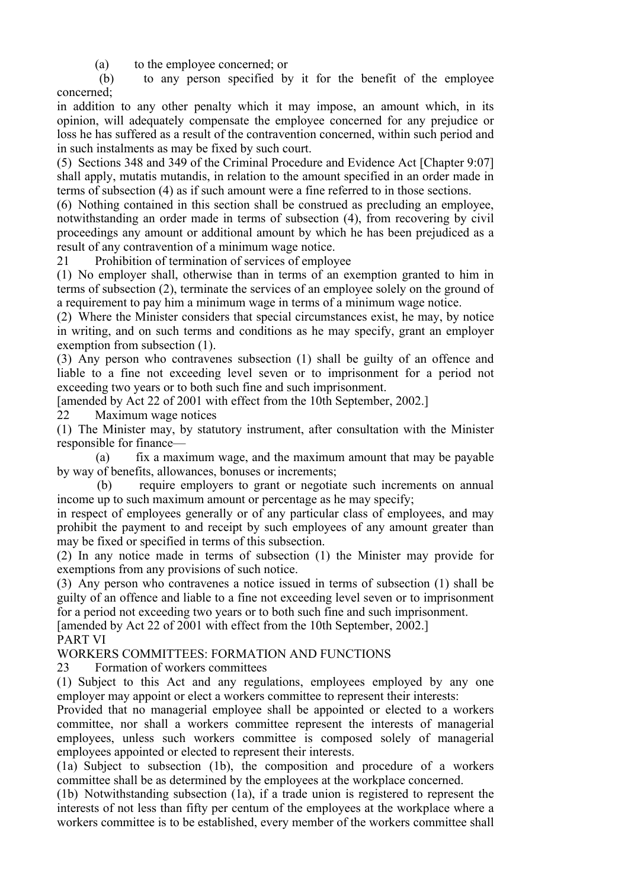(a) to the employee concerned; or

 (b) to any person specified by it for the benefit of the employee concerned;

in addition to any other penalty which it may impose, an amount which, in its opinion, will adequately compensate the employee concerned for any prejudice or loss he has suffered as a result of the contravention concerned, within such period and in such instalments as may be fixed by such court.

(5) Sections 348 and 349 of the Criminal Procedure and Evidence Act [Chapter 9:07] shall apply, mutatis mutandis, in relation to the amount specified in an order made in terms of subsection (4) as if such amount were a fine referred to in those sections.

(6) Nothing contained in this section shall be construed as precluding an employee, notwithstanding an order made in terms of subsection (4), from recovering by civil proceedings any amount or additional amount by which he has been prejudiced as a result of any contravention of a minimum wage notice.

21 Prohibition of termination of services of employee

(1) No employer shall, otherwise than in terms of an exemption granted to him in terms of subsection (2), terminate the services of an employee solely on the ground of a requirement to pay him a minimum wage in terms of a minimum wage notice.

(2) Where the Minister considers that special circumstances exist, he may, by notice in writing, and on such terms and conditions as he may specify, grant an employer exemption from subsection (1).

(3) Any person who contravenes subsection (1) shall be guilty of an offence and liable to a fine not exceeding level seven or to imprisonment for a period not exceeding two years or to both such fine and such imprisonment.

[amended by Act 22 of 2001 with effect from the 10th September, 2002.]

22 Maximum wage notices

(1) The Minister may, by statutory instrument, after consultation with the Minister responsible for finance—

 (a) fix a maximum wage, and the maximum amount that may be payable by way of benefits, allowances, bonuses or increments;

 (b) require employers to grant or negotiate such increments on annual income up to such maximum amount or percentage as he may specify;

in respect of employees generally or of any particular class of employees, and may prohibit the payment to and receipt by such employees of any amount greater than may be fixed or specified in terms of this subsection.

(2) In any notice made in terms of subsection (1) the Minister may provide for exemptions from any provisions of such notice.

(3) Any person who contravenes a notice issued in terms of subsection (1) shall be guilty of an offence and liable to a fine not exceeding level seven or to imprisonment for a period not exceeding two years or to both such fine and such imprisonment.

[amended by Act 22 of 2001 with effect from the 10th September, 2002.]

PART VI

WORKERS COMMITTEES: FORMATION AND FUNCTIONS

23 Formation of workers committees

(1) Subject to this Act and any regulations, employees employed by any one employer may appoint or elect a workers committee to represent their interests:

Provided that no managerial employee shall be appointed or elected to a workers committee, nor shall a workers committee represent the interests of managerial employees, unless such workers committee is composed solely of managerial employees appointed or elected to represent their interests.

(1a) Subject to subsection (1b), the composition and procedure of a workers committee shall be as determined by the employees at the workplace concerned.

(1b) Notwithstanding subsection (1a), if a trade union is registered to represent the interests of not less than fifty per centum of the employees at the workplace where a workers committee is to be established, every member of the workers committee shall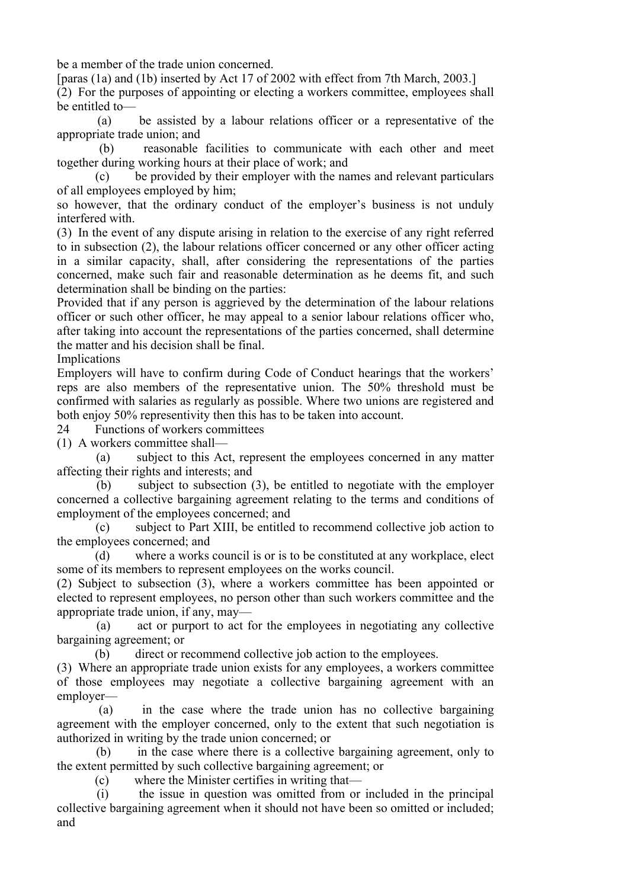be a member of the trade union concerned.

[paras (1a) and (1b) inserted by Act 17 of 2002 with effect from 7th March, 2003.]

(2) For the purposes of appointing or electing a workers committee, employees shall be entitled to—

 (a) be assisted by a labour relations officer or a representative of the appropriate trade union; and

 (b) reasonable facilities to communicate with each other and meet together during working hours at their place of work; and

 (c) be provided by their employer with the names and relevant particulars of all employees employed by him;

so however, that the ordinary conduct of the employer's business is not unduly interfered with.

(3) In the event of any dispute arising in relation to the exercise of any right referred to in subsection (2), the labour relations officer concerned or any other officer acting in a similar capacity, shall, after considering the representations of the parties concerned, make such fair and reasonable determination as he deems fit, and such determination shall be binding on the parties:

Provided that if any person is aggrieved by the determination of the labour relations officer or such other officer, he may appeal to a senior labour relations officer who, after taking into account the representations of the parties concerned, shall determine the matter and his decision shall be final.

**Implications** 

Employers will have to confirm during Code of Conduct hearings that the workers' reps are also members of the representative union. The 50% threshold must be confirmed with salaries as regularly as possible. Where two unions are registered and both enjoy 50% representivity then this has to be taken into account.

24 Functions of workers committees

(1) A workers committee shall—

 (a) subject to this Act, represent the employees concerned in any matter affecting their rights and interests; and

 $(b)$  subject to subsection (3), be entitled to negotiate with the employer concerned a collective bargaining agreement relating to the terms and conditions of employment of the employees concerned; and

 (c) subject to Part XIII, be entitled to recommend collective job action to the employees concerned; and

 (d) where a works council is or is to be constituted at any workplace, elect some of its members to represent employees on the works council.

(2) Subject to subsection (3), where a workers committee has been appointed or elected to represent employees, no person other than such workers committee and the appropriate trade union, if any, may—

 (a) act or purport to act for the employees in negotiating any collective bargaining agreement; or

(b) direct or recommend collective job action to the employees.

(3) Where an appropriate trade union exists for any employees, a workers committee of those employees may negotiate a collective bargaining agreement with an employer—

 (a) in the case where the trade union has no collective bargaining agreement with the employer concerned, only to the extent that such negotiation is authorized in writing by the trade union concerned; or

 (b) in the case where there is a collective bargaining agreement, only to the extent permitted by such collective bargaining agreement; or

(c) where the Minister certifies in writing that—

 (i) the issue in question was omitted from or included in the principal collective bargaining agreement when it should not have been so omitted or included; and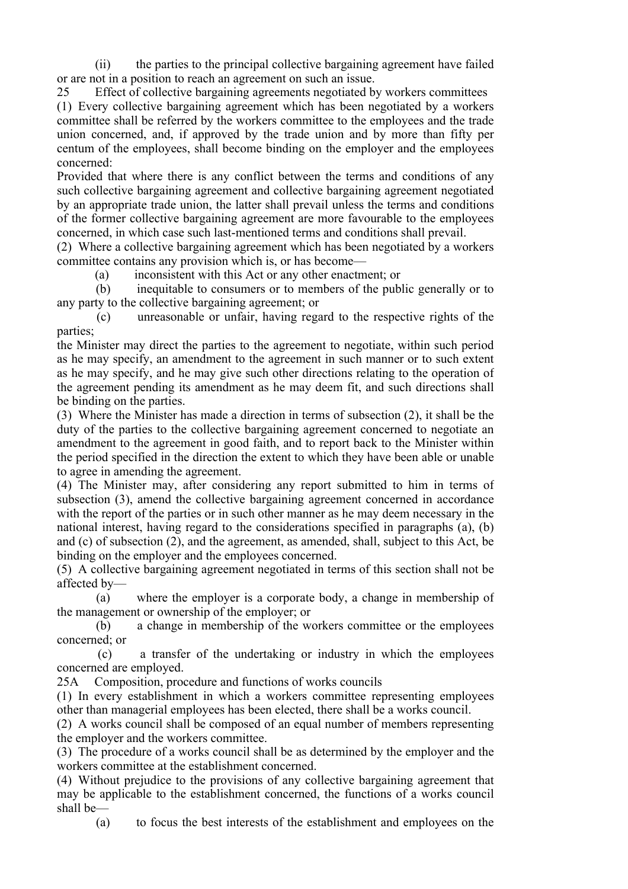(ii) the parties to the principal collective bargaining agreement have failed or are not in a position to reach an agreement on such an issue.

25 Effect of collective bargaining agreements negotiated by workers committees (1) Every collective bargaining agreement which has been negotiated by a workers committee shall be referred by the workers committee to the employees and the trade union concerned, and, if approved by the trade union and by more than fifty per centum of the employees, shall become binding on the employer and the employees concerned:

Provided that where there is any conflict between the terms and conditions of any such collective bargaining agreement and collective bargaining agreement negotiated by an appropriate trade union, the latter shall prevail unless the terms and conditions of the former collective bargaining agreement are more favourable to the employees concerned, in which case such last-mentioned terms and conditions shall prevail.

(2) Where a collective bargaining agreement which has been negotiated by a workers committee contains any provision which is, or has become—

(a) inconsistent with this Act or any other enactment; or

 (b) inequitable to consumers or to members of the public generally or to any party to the collective bargaining agreement; or

 (c) unreasonable or unfair, having regard to the respective rights of the parties;

the Minister may direct the parties to the agreement to negotiate, within such period as he may specify, an amendment to the agreement in such manner or to such extent as he may specify, and he may give such other directions relating to the operation of the agreement pending its amendment as he may deem fit, and such directions shall be binding on the parties.

(3) Where the Minister has made a direction in terms of subsection (2), it shall be the duty of the parties to the collective bargaining agreement concerned to negotiate an amendment to the agreement in good faith, and to report back to the Minister within the period specified in the direction the extent to which they have been able or unable to agree in amending the agreement.

(4) The Minister may, after considering any report submitted to him in terms of subsection (3), amend the collective bargaining agreement concerned in accordance with the report of the parties or in such other manner as he may deem necessary in the national interest, having regard to the considerations specified in paragraphs (a), (b) and (c) of subsection (2), and the agreement, as amended, shall, subject to this Act, be binding on the employer and the employees concerned.

(5) A collective bargaining agreement negotiated in terms of this section shall not be affected by—

 (a) where the employer is a corporate body, a change in membership of the management or ownership of the employer; or

 (b) a change in membership of the workers committee or the employees concerned; or

 (c) a transfer of the undertaking or industry in which the employees concerned are employed.

25A Composition, procedure and functions of works councils

(1) In every establishment in which a workers committee representing employees other than managerial employees has been elected, there shall be a works council.

(2) A works council shall be composed of an equal number of members representing the employer and the workers committee.

(3) The procedure of a works council shall be as determined by the employer and the workers committee at the establishment concerned.

(4) Without prejudice to the provisions of any collective bargaining agreement that may be applicable to the establishment concerned, the functions of a works council shall be—

(a) to focus the best interests of the establishment and employees on the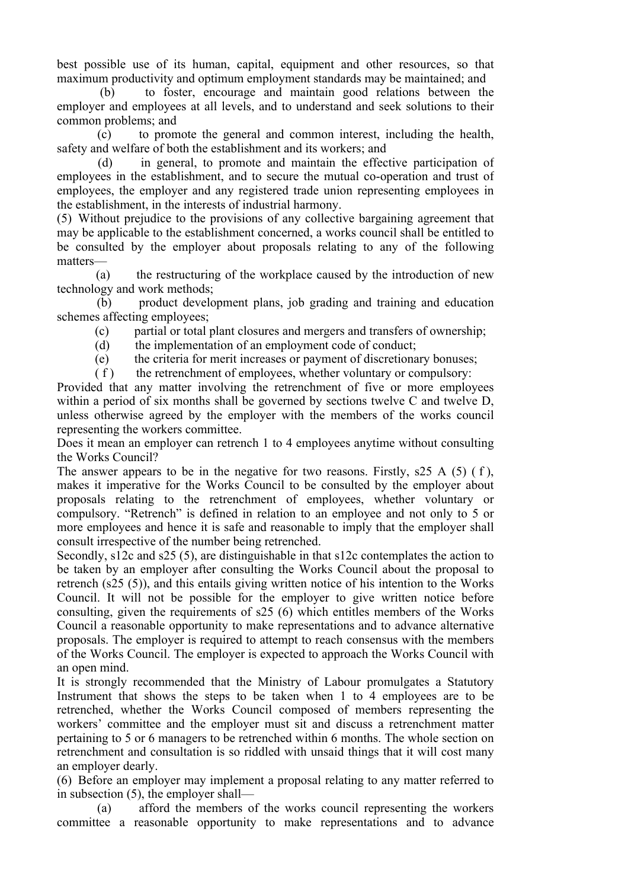best possible use of its human, capital, equipment and other resources, so that maximum productivity and optimum employment standards may be maintained; and

 (b) to foster, encourage and maintain good relations between the employer and employees at all levels, and to understand and seek solutions to their common problems; and

 (c) to promote the general and common interest, including the health, safety and welfare of both the establishment and its workers; and

 (d) in general, to promote and maintain the effective participation of employees in the establishment, and to secure the mutual co-operation and trust of employees, the employer and any registered trade union representing employees in the establishment, in the interests of industrial harmony.

(5) Without prejudice to the provisions of any collective bargaining agreement that may be applicable to the establishment concerned, a works council shall be entitled to be consulted by the employer about proposals relating to any of the following matters—

 (a) the restructuring of the workplace caused by the introduction of new technology and work methods;

 (b) product development plans, job grading and training and education schemes affecting employees;

(c) partial or total plant closures and mergers and transfers of ownership;

(d) the implementation of an employment code of conduct;

(e) the criteria for merit increases or payment of discretionary bonuses;

 $(f)$  the retrenchment of employees, whether voluntary or compulsory:

Provided that any matter involving the retrenchment of five or more employees within a period of six months shall be governed by sections twelve C and twelve D, unless otherwise agreed by the employer with the members of the works council representing the workers committee.

Does it mean an employer can retrench 1 to 4 employees anytime without consulting the Works Council?

The answer appears to be in the negative for two reasons. Firstly,  $s25$  A (5) (f), makes it imperative for the Works Council to be consulted by the employer about proposals relating to the retrenchment of employees, whether voluntary or compulsory. "Retrench" is defined in relation to an employee and not only to 5 or more employees and hence it is safe and reasonable to imply that the employer shall consult irrespective of the number being retrenched.

Secondly, s12c and s25 (5), are distinguishable in that s12c contemplates the action to be taken by an employer after consulting the Works Council about the proposal to retrench (s25 (5)), and this entails giving written notice of his intention to the Works Council. It will not be possible for the employer to give written notice before consulting, given the requirements of s25 (6) which entitles members of the Works Council a reasonable opportunity to make representations and to advance alternative proposals. The employer is required to attempt to reach consensus with the members of the Works Council. The employer is expected to approach the Works Council with an open mind.

It is strongly recommended that the Ministry of Labour promulgates a Statutory Instrument that shows the steps to be taken when 1 to 4 employees are to be retrenched, whether the Works Council composed of members representing the workers' committee and the employer must sit and discuss a retrenchment matter pertaining to 5 or 6 managers to be retrenched within 6 months. The whole section on retrenchment and consultation is so riddled with unsaid things that it will cost many an employer dearly.

(6) Before an employer may implement a proposal relating to any matter referred to in subsection (5), the employer shall—

 (a) afford the members of the works council representing the workers committee a reasonable opportunity to make representations and to advance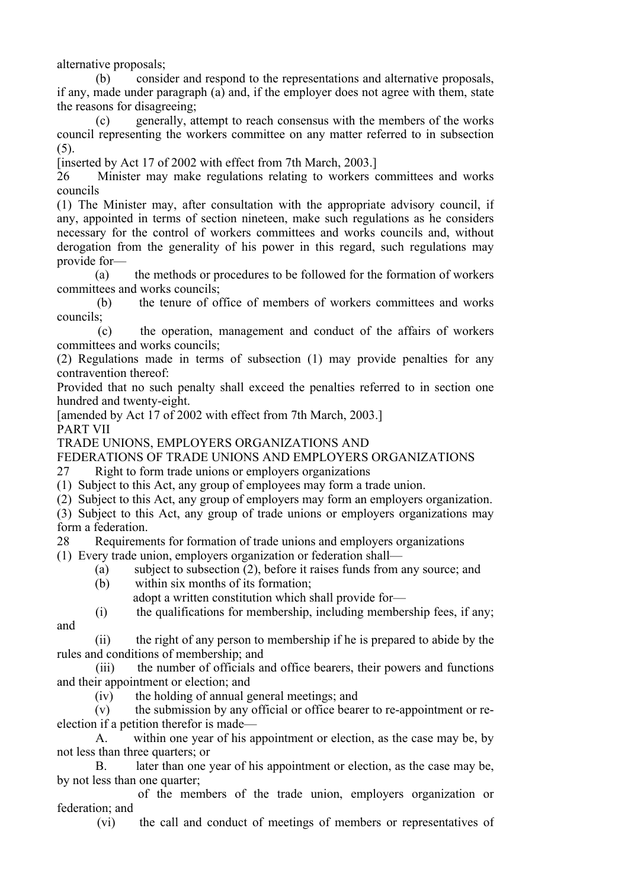alternative proposals;

 (b) consider and respond to the representations and alternative proposals, if any, made under paragraph (a) and, if the employer does not agree with them, state the reasons for disagreeing;

 (c) generally, attempt to reach consensus with the members of the works council representing the workers committee on any matter referred to in subsection (5).

[inserted by Act 17 of 2002 with effect from 7th March, 2003.]

26 Minister may make regulations relating to workers committees and works councils

(1) The Minister may, after consultation with the appropriate advisory council, if any, appointed in terms of section nineteen, make such regulations as he considers necessary for the control of workers committees and works councils and, without derogation from the generality of his power in this regard, such regulations may provide for—

 (a) the methods or procedures to be followed for the formation of workers committees and works councils;

 (b) the tenure of office of members of workers committees and works councils;

 (c) the operation, management and conduct of the affairs of workers committees and works councils;

(2) Regulations made in terms of subsection (1) may provide penalties for any contravention thereof:

Provided that no such penalty shall exceed the penalties referred to in section one hundred and twenty-eight.

[amended by Act 17 of 2002 with effect from 7th March, 2003.]

PART VII

TRADE UNIONS, EMPLOYERS ORGANIZATIONS AND

## FEDERATIONS OF TRADE UNIONS AND EMPLOYERS ORGANIZATIONS

27 Right to form trade unions or employers organizations

(1) Subject to this Act, any group of employees may form a trade union.

(2) Subject to this Act, any group of employers may form an employers organization.

(3) Subject to this Act, any group of trade unions or employers organizations may form a federation.

28 Requirements for formation of trade unions and employers organizations

(1) Every trade union, employers organization or federation shall—

(a) subject to subsection (2), before it raises funds from any source; and

(b) within six months of its formation;

adopt a written constitution which shall provide for—

 (i) the qualifications for membership, including membership fees, if any; and

 (ii) the right of any person to membership if he is prepared to abide by the rules and conditions of membership; and

 (iii) the number of officials and office bearers, their powers and functions and their appointment or election; and

(iv) the holding of annual general meetings; and

 (v) the submission by any official or office bearer to re-appointment or reelection if a petition therefor is made—

 A. within one year of his appointment or election, as the case may be, by not less than three quarters; or

 B. later than one year of his appointment or election, as the case may be, by not less than one quarter;

 of the members of the trade union, employers organization or federation; and

(vi) the call and conduct of meetings of members or representatives of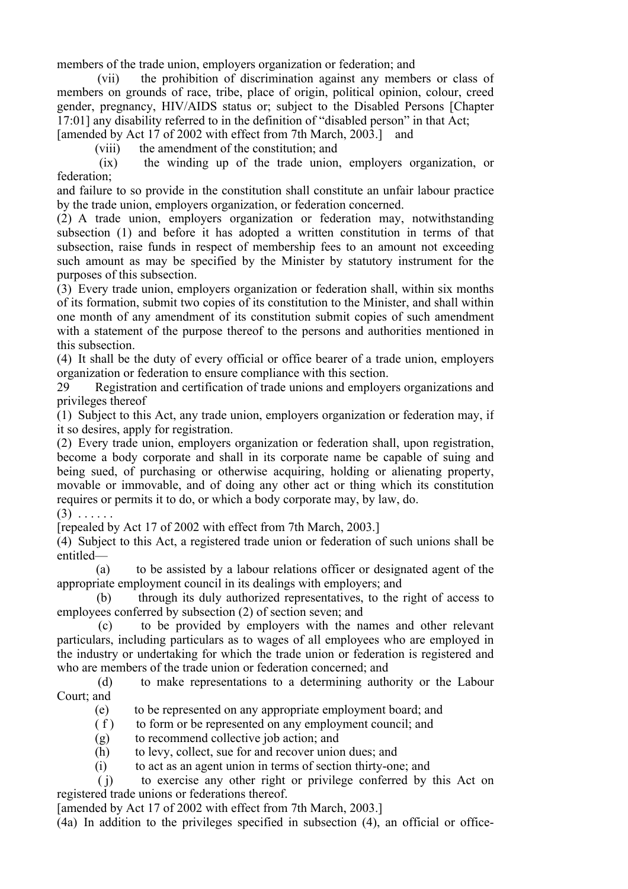members of the trade union, employers organization or federation; and

 (vii) the prohibition of discrimination against any members or class of members on grounds of race, tribe, place of origin, political opinion, colour, creed gender, pregnancy, HIV/AIDS status or; subject to the Disabled Persons [Chapter 17:01] any disability referred to in the definition of "disabled person" in that Act;

[amended by Act 17 of 2002 with effect from 7th March, 2003.] and

(viii) the amendment of the constitution; and

 (ix) the winding up of the trade union, employers organization, or federation;

and failure to so provide in the constitution shall constitute an unfair labour practice by the trade union, employers organization, or federation concerned.

(2) A trade union, employers organization or federation may, notwithstanding subsection (1) and before it has adopted a written constitution in terms of that subsection, raise funds in respect of membership fees to an amount not exceeding such amount as may be specified by the Minister by statutory instrument for the purposes of this subsection.

(3) Every trade union, employers organization or federation shall, within six months of its formation, submit two copies of its constitution to the Minister, and shall within one month of any amendment of its constitution submit copies of such amendment with a statement of the purpose thereof to the persons and authorities mentioned in this subsection.

(4) It shall be the duty of every official or office bearer of a trade union, employers organization or federation to ensure compliance with this section.

29 Registration and certification of trade unions and employers organizations and privileges thereof

(1) Subject to this Act, any trade union, employers organization or federation may, if it so desires, apply for registration.

(2) Every trade union, employers organization or federation shall, upon registration, become a body corporate and shall in its corporate name be capable of suing and being sued, of purchasing or otherwise acquiring, holding or alienating property, movable or immovable, and of doing any other act or thing which its constitution requires or permits it to do, or which a body corporate may, by law, do.

 $(3)$  . . . . . .

[repealed by Act 17 of 2002 with effect from 7th March, 2003.]

(4) Subject to this Act, a registered trade union or federation of such unions shall be entitled—

 (a) to be assisted by a labour relations officer or designated agent of the appropriate employment council in its dealings with employers; and

 (b) through its duly authorized representatives, to the right of access to employees conferred by subsection (2) of section seven; and

 (c) to be provided by employers with the names and other relevant particulars, including particulars as to wages of all employees who are employed in the industry or undertaking for which the trade union or federation is registered and who are members of the trade union or federation concerned; and

 (d) to make representations to a determining authority or the Labour Court; and

(e) to be represented on any appropriate employment board; and

( f ) to form or be represented on any employment council; and

- (g) to recommend collective job action; and
- (h) to levy, collect, sue for and recover union dues; and
- (i) to act as an agent union in terms of section thirty-one; and

 ( j) to exercise any other right or privilege conferred by this Act on registered trade unions or federations thereof.

[amended by Act 17 of 2002 with effect from 7th March, 2003.]

(4a) In addition to the privileges specified in subsection (4), an official or office-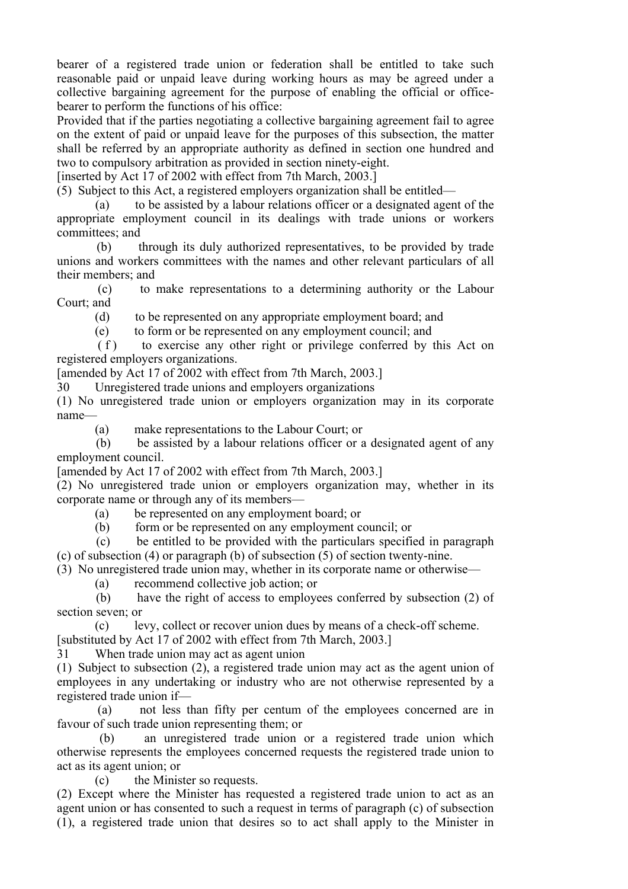bearer of a registered trade union or federation shall be entitled to take such reasonable paid or unpaid leave during working hours as may be agreed under a collective bargaining agreement for the purpose of enabling the official or officebearer to perform the functions of his office:

Provided that if the parties negotiating a collective bargaining agreement fail to agree on the extent of paid or unpaid leave for the purposes of this subsection, the matter shall be referred by an appropriate authority as defined in section one hundred and two to compulsory arbitration as provided in section ninety-eight.

[inserted by Act 17 of 2002 with effect from 7th March, 2003.]

(5) Subject to this Act, a registered employers organization shall be entitled—

 (a) to be assisted by a labour relations officer or a designated agent of the appropriate employment council in its dealings with trade unions or workers committees; and

 (b) through its duly authorized representatives, to be provided by trade unions and workers committees with the names and other relevant particulars of all their members; and

 (c) to make representations to a determining authority or the Labour Court; and

(d) to be represented on any appropriate employment board; and

(e) to form or be represented on any employment council; and

 $(f)$  to exercise any other right or privilege conferred by this Act on registered employers organizations.

[amended by Act 17 of 2002 with effect from 7th March, 2003.]

30 Unregistered trade unions and employers organizations

(1) No unregistered trade union or employers organization may in its corporate name—

(a) make representations to the Labour Court; or

 (b) be assisted by a labour relations officer or a designated agent of any employment council.

[amended by Act 17 of 2002 with effect from 7th March, 2003.]

(2) No unregistered trade union or employers organization may, whether in its corporate name or through any of its members—

(a) be represented on any employment board; or

(b) form or be represented on any employment council; or

 (c) be entitled to be provided with the particulars specified in paragraph (c) of subsection (4) or paragraph (b) of subsection (5) of section twenty-nine.

(3) No unregistered trade union may, whether in its corporate name or otherwise—

(a) recommend collective job action; or

 (b) have the right of access to employees conferred by subsection (2) of section seven; or

 (c) levy, collect or recover union dues by means of a check-off scheme. [substituted by Act 17 of 2002 with effect from 7th March, 2003.]

31 When trade union may act as agent union

(1) Subject to subsection (2), a registered trade union may act as the agent union of employees in any undertaking or industry who are not otherwise represented by a registered trade union if—

 (a) not less than fifty per centum of the employees concerned are in favour of such trade union representing them; or

 (b) an unregistered trade union or a registered trade union which otherwise represents the employees concerned requests the registered trade union to act as its agent union; or

(c) the Minister so requests.

(2) Except where the Minister has requested a registered trade union to act as an agent union or has consented to such a request in terms of paragraph (c) of subsection (1), a registered trade union that desires so to act shall apply to the Minister in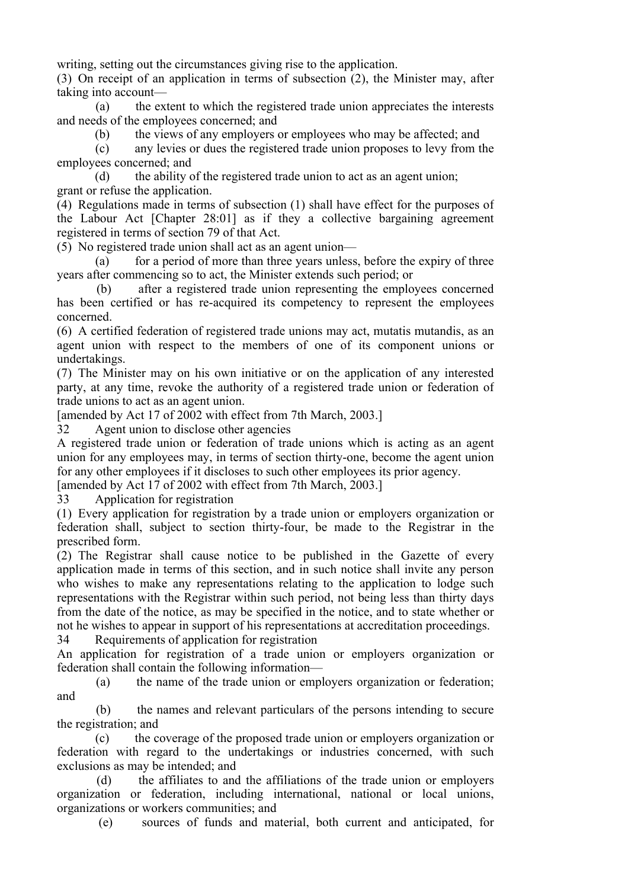writing, setting out the circumstances giving rise to the application.

(3) On receipt of an application in terms of subsection (2), the Minister may, after taking into account—

 (a) the extent to which the registered trade union appreciates the interests and needs of the employees concerned; and

(b) the views of any employers or employees who may be affected; and

 (c) any levies or dues the registered trade union proposes to levy from the employees concerned; and

 (d) the ability of the registered trade union to act as an agent union; grant or refuse the application.

(4) Regulations made in terms of subsection (1) shall have effect for the purposes of the Labour Act [Chapter 28:01] as if they a collective bargaining agreement registered in terms of section 79 of that Act.

(5) No registered trade union shall act as an agent union—

 (a) for a period of more than three years unless, before the expiry of three years after commencing so to act, the Minister extends such period; or

 (b) after a registered trade union representing the employees concerned has been certified or has re-acquired its competency to represent the employees concerned.

(6) A certified federation of registered trade unions may act, mutatis mutandis, as an agent union with respect to the members of one of its component unions or undertakings.

(7) The Minister may on his own initiative or on the application of any interested party, at any time, revoke the authority of a registered trade union or federation of trade unions to act as an agent union.

[amended by Act 17 of 2002 with effect from 7th March, 2003.]

32 Agent union to disclose other agencies

A registered trade union or federation of trade unions which is acting as an agent union for any employees may, in terms of section thirty-one, become the agent union for any other employees if it discloses to such other employees its prior agency.

[amended by Act 17 of 2002 with effect from 7th March, 2003.]

33 Application for registration

(1) Every application for registration by a trade union or employers organization or federation shall, subject to section thirty-four, be made to the Registrar in the prescribed form.

(2) The Registrar shall cause notice to be published in the Gazette of every application made in terms of this section, and in such notice shall invite any person who wishes to make any representations relating to the application to lodge such representations with the Registrar within such period, not being less than thirty days from the date of the notice, as may be specified in the notice, and to state whether or not he wishes to appear in support of his representations at accreditation proceedings.

34 Requirements of application for registration

An application for registration of a trade union or employers organization or federation shall contain the following information—

 (a) the name of the trade union or employers organization or federation; and

 (b) the names and relevant particulars of the persons intending to secure the registration; and

 (c) the coverage of the proposed trade union or employers organization or federation with regard to the undertakings or industries concerned, with such exclusions as may be intended; and

 (d) the affiliates to and the affiliations of the trade union or employers organization or federation, including international, national or local unions, organizations or workers communities; and

(e) sources of funds and material, both current and anticipated, for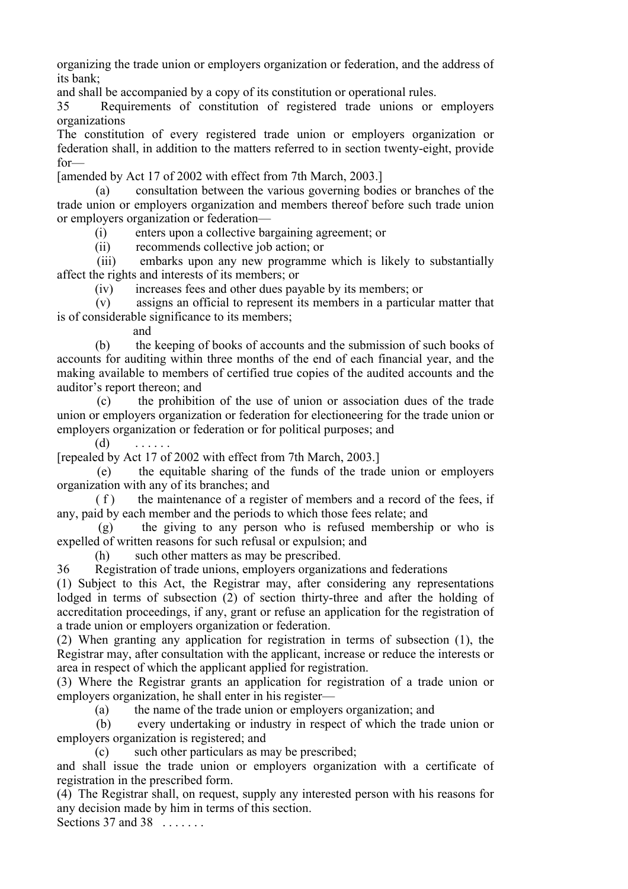organizing the trade union or employers organization or federation, and the address of its bank;

and shall be accompanied by a copy of its constitution or operational rules.

35 Requirements of constitution of registered trade unions or employers organizations

The constitution of every registered trade union or employers organization or federation shall, in addition to the matters referred to in section twenty-eight, provide for—

[amended by Act 17 of 2002 with effect from 7th March, 2003.]

 (a) consultation between the various governing bodies or branches of the trade union or employers organization and members thereof before such trade union or employers organization or federation—

(i) enters upon a collective bargaining agreement; or

(ii) recommends collective job action; or

 (iii) embarks upon any new programme which is likely to substantially affect the rights and interests of its members; or

(iv) increases fees and other dues payable by its members; or

 (v) assigns an official to represent its members in a particular matter that is of considerable significance to its members;

and

 (b) the keeping of books of accounts and the submission of such books of accounts for auditing within three months of the end of each financial year, and the making available to members of certified true copies of the audited accounts and the auditor's report thereon; and

 (c) the prohibition of the use of union or association dues of the trade union or employers organization or federation for electioneering for the trade union or employers organization or federation or for political purposes; and

 $(d)$ 

[repealed by Act 17 of 2002 with effect from 7th March, 2003.]

 (e) the equitable sharing of the funds of the trade union or employers organization with any of its branches; and

 $(f)$  the maintenance of a register of members and a record of the fees, if any, paid by each member and the periods to which those fees relate; and

 (g) the giving to any person who is refused membership or who is expelled of written reasons for such refusal or expulsion; and

(h) such other matters as may be prescribed.

36 Registration of trade unions, employers organizations and federations

(1) Subject to this Act, the Registrar may, after considering any representations lodged in terms of subsection (2) of section thirty-three and after the holding of accreditation proceedings, if any, grant or refuse an application for the registration of a trade union or employers organization or federation.

(2) When granting any application for registration in terms of subsection (1), the Registrar may, after consultation with the applicant, increase or reduce the interests or area in respect of which the applicant applied for registration.

(3) Where the Registrar grants an application for registration of a trade union or employers organization, he shall enter in his register—

(a) the name of the trade union or employers organization; and

 (b) every undertaking or industry in respect of which the trade union or employers organization is registered; and

(c) such other particulars as may be prescribed;

and shall issue the trade union or employers organization with a certificate of registration in the prescribed form.

(4) The Registrar shall, on request, supply any interested person with his reasons for any decision made by him in terms of this section.

Sections 37 and 38 . . . . . . . .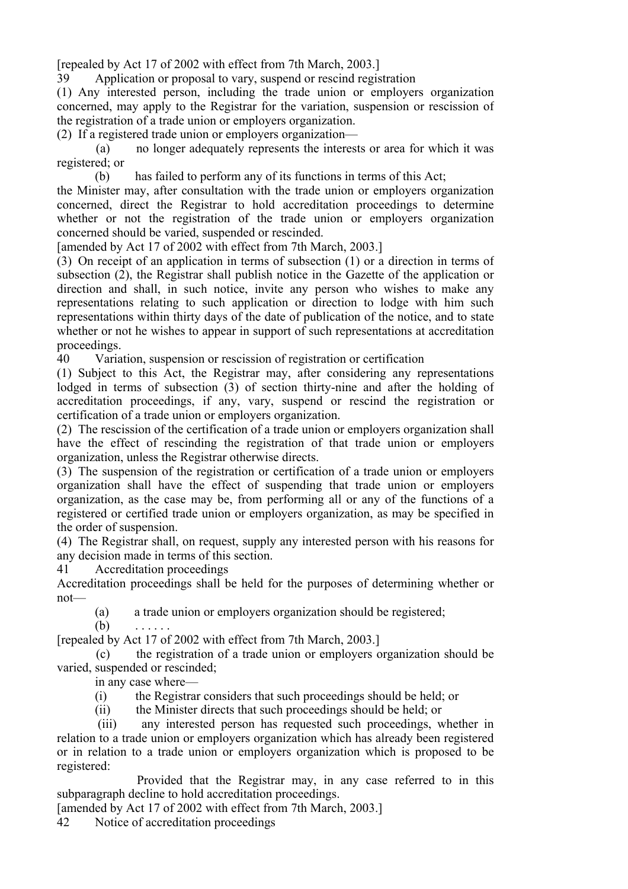[repealed by Act 17 of 2002 with effect from 7th March, 2003.]<br>39 Application or proposal to vary, suspend or rescind regis

Application or proposal to vary, suspend or rescind registration

(1) Any interested person, including the trade union or employers organization concerned, may apply to the Registrar for the variation, suspension or rescission of the registration of a trade union or employers organization.

(2) If a registered trade union or employers organization—

 (a) no longer adequately represents the interests or area for which it was registered; or

(b) has failed to perform any of its functions in terms of this Act;

the Minister may, after consultation with the trade union or employers organization concerned, direct the Registrar to hold accreditation proceedings to determine whether or not the registration of the trade union or employers organization concerned should be varied, suspended or rescinded.

[amended by Act 17 of 2002 with effect from 7th March, 2003.]

(3) On receipt of an application in terms of subsection (1) or a direction in terms of subsection (2), the Registrar shall publish notice in the Gazette of the application or direction and shall, in such notice, invite any person who wishes to make any representations relating to such application or direction to lodge with him such representations within thirty days of the date of publication of the notice, and to state whether or not he wishes to appear in support of such representations at accreditation proceedings.

40 Variation, suspension or rescission of registration or certification

(1) Subject to this Act, the Registrar may, after considering any representations lodged in terms of subsection (3) of section thirty-nine and after the holding of accreditation proceedings, if any, vary, suspend or rescind the registration or certification of a trade union or employers organization.

(2) The rescission of the certification of a trade union or employers organization shall have the effect of rescinding the registration of that trade union or employers organization, unless the Registrar otherwise directs.

(3) The suspension of the registration or certification of a trade union or employers organization shall have the effect of suspending that trade union or employers organization, as the case may be, from performing all or any of the functions of a registered or certified trade union or employers organization, as may be specified in the order of suspension.

(4) The Registrar shall, on request, supply any interested person with his reasons for any decision made in terms of this section.

41 Accreditation proceedings

Accreditation proceedings shall be held for the purposes of determining whether or not—

(a) a trade union or employers organization should be registered;

 $(b)$ 

[repealed by Act 17 of 2002 with effect from 7th March, 2003.]

 (c) the registration of a trade union or employers organization should be varied, suspended or rescinded;

in any case where—

(i) the Registrar considers that such proceedings should be held; or

(ii) the Minister directs that such proceedings should be held; or

 (iii) any interested person has requested such proceedings, whether in relation to a trade union or employers organization which has already been registered or in relation to a trade union or employers organization which is proposed to be registered:

 Provided that the Registrar may, in any case referred to in this subparagraph decline to hold accreditation proceedings.

[amended by Act 17 of 2002 with effect from 7th March, 2003.]

42 Notice of accreditation proceedings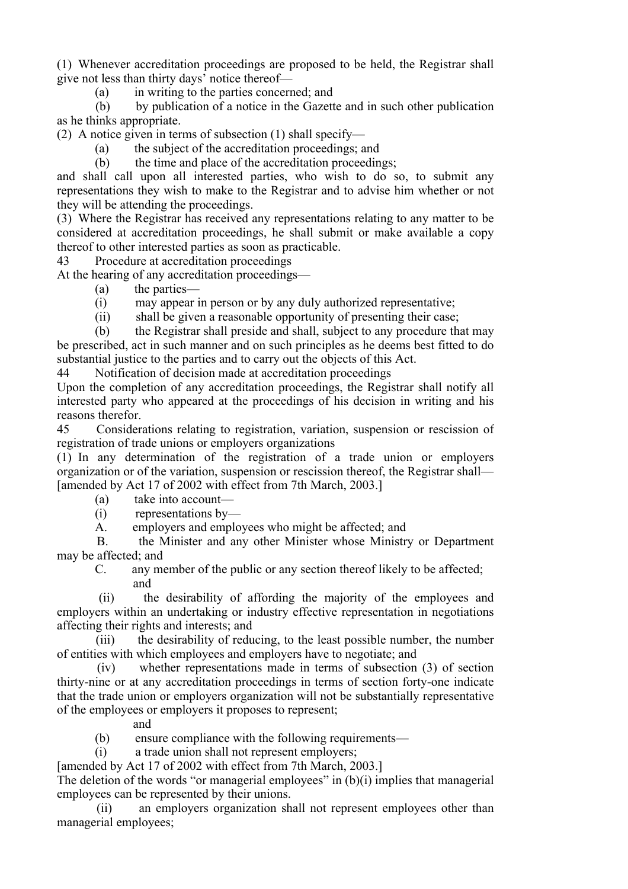(1) Whenever accreditation proceedings are proposed to be held, the Registrar shall give not less than thirty days' notice thereof—

(a) in writing to the parties concerned; and

 (b) by publication of a notice in the Gazette and in such other publication as he thinks appropriate.

(2) A notice given in terms of subsection (1) shall specify—

- (a) the subject of the accreditation proceedings; and
- (b) the time and place of the accreditation proceedings;

and shall call upon all interested parties, who wish to do so, to submit any representations they wish to make to the Registrar and to advise him whether or not they will be attending the proceedings.

(3) Where the Registrar has received any representations relating to any matter to be considered at accreditation proceedings, he shall submit or make available a copy thereof to other interested parties as soon as practicable.

43 Procedure at accreditation proceedings

At the hearing of any accreditation proceedings—

(a) the parties—

- (i) may appear in person or by any duly authorized representative;
- (ii) shall be given a reasonable opportunity of presenting their case;

 (b) the Registrar shall preside and shall, subject to any procedure that may be prescribed, act in such manner and on such principles as he deems best fitted to do substantial justice to the parties and to carry out the objects of this Act.

44 Notification of decision made at accreditation proceedings

Upon the completion of any accreditation proceedings, the Registrar shall notify all interested party who appeared at the proceedings of his decision in writing and his reasons therefor.

45 Considerations relating to registration, variation, suspension or rescission of registration of trade unions or employers organizations

(1) In any determination of the registration of a trade union or employers organization or of the variation, suspension or rescission thereof, the Registrar shall— [amended by Act 17 of 2002 with effect from 7th March, 2003.]

(a) take into account—

(i) representations by—

A. employers and employees who might be affected; and

 B. the Minister and any other Minister whose Ministry or Department may be affected; and

 C. any member of the public or any section thereof likely to be affected; and

 (ii) the desirability of affording the majority of the employees and employers within an undertaking or industry effective representation in negotiations affecting their rights and interests; and

 (iii) the desirability of reducing, to the least possible number, the number of entities with which employees and employers have to negotiate; and

 (iv) whether representations made in terms of subsection (3) of section thirty-nine or at any accreditation proceedings in terms of section forty-one indicate that the trade union or employers organization will not be substantially representative of the employees or employers it proposes to represent;

and

(b) ensure compliance with the following requirements—

(i) a trade union shall not represent employers;

[amended by Act 17 of 2002 with effect from 7th March, 2003.]

The deletion of the words "or managerial employees" in (b)(i) implies that managerial employees can be represented by their unions.

 (ii) an employers organization shall not represent employees other than managerial employees;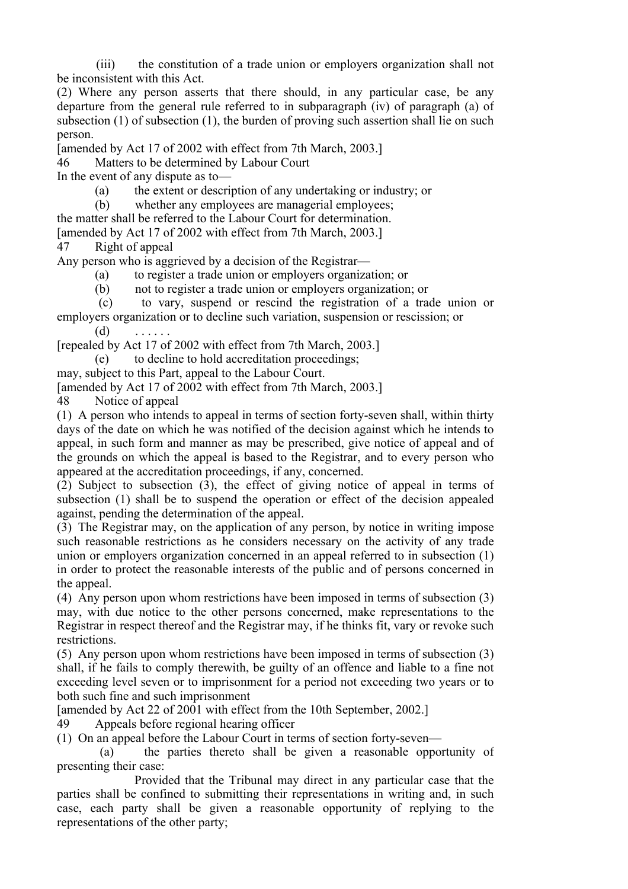(iii) the constitution of a trade union or employers organization shall not be inconsistent with this Act.

(2) Where any person asserts that there should, in any particular case, be any departure from the general rule referred to in subparagraph (iv) of paragraph (a) of subsection (1) of subsection (1), the burden of proving such assertion shall lie on such person.

[amended by Act 17 of 2002 with effect from 7th March, 2003.]

46 Matters to be determined by Labour Court

In the event of any dispute as to—

(a) the extent or description of any undertaking or industry; or

(b) whether any employees are managerial employees;

the matter shall be referred to the Labour Court for determination.

- [amended by Act 17 of 2002 with effect from 7th March, 2003.]
- 47 Right of appeal

Any person who is aggrieved by a decision of the Registrar—

(a) to register a trade union or employers organization; or

(b) not to register a trade union or employers organization; or

 (c) to vary, suspend or rescind the registration of a trade union or employers organization or to decline such variation, suspension or rescission; or

 $(d)$ [repealed by Act 17 of 2002 with effect from 7th March, 2003.]

(e) to decline to hold accreditation proceedings;

may, subject to this Part, appeal to the Labour Court.

[amended by Act 17 of 2002 with effect from 7th March, 2003.]

48 Notice of appeal

(1) A person who intends to appeal in terms of section forty-seven shall, within thirty days of the date on which he was notified of the decision against which he intends to appeal, in such form and manner as may be prescribed, give notice of appeal and of the grounds on which the appeal is based to the Registrar, and to every person who appeared at the accreditation proceedings, if any, concerned.

(2) Subject to subsection (3), the effect of giving notice of appeal in terms of subsection (1) shall be to suspend the operation or effect of the decision appealed against, pending the determination of the appeal.

(3) The Registrar may, on the application of any person, by notice in writing impose such reasonable restrictions as he considers necessary on the activity of any trade union or employers organization concerned in an appeal referred to in subsection (1) in order to protect the reasonable interests of the public and of persons concerned in the appeal.

(4) Any person upon whom restrictions have been imposed in terms of subsection (3) may, with due notice to the other persons concerned, make representations to the Registrar in respect thereof and the Registrar may, if he thinks fit, vary or revoke such restrictions.

(5) Any person upon whom restrictions have been imposed in terms of subsection (3) shall, if he fails to comply therewith, be guilty of an offence and liable to a fine not exceeding level seven or to imprisonment for a period not exceeding two years or to both such fine and such imprisonment

[amended by Act 22 of 2001 with effect from the 10th September, 2002.]

49 Appeals before regional hearing officer

(1) On an appeal before the Labour Court in terms of section forty-seven—

 (a) the parties thereto shall be given a reasonable opportunity of presenting their case:

 Provided that the Tribunal may direct in any particular case that the parties shall be confined to submitting their representations in writing and, in such case, each party shall be given a reasonable opportunity of replying to the representations of the other party;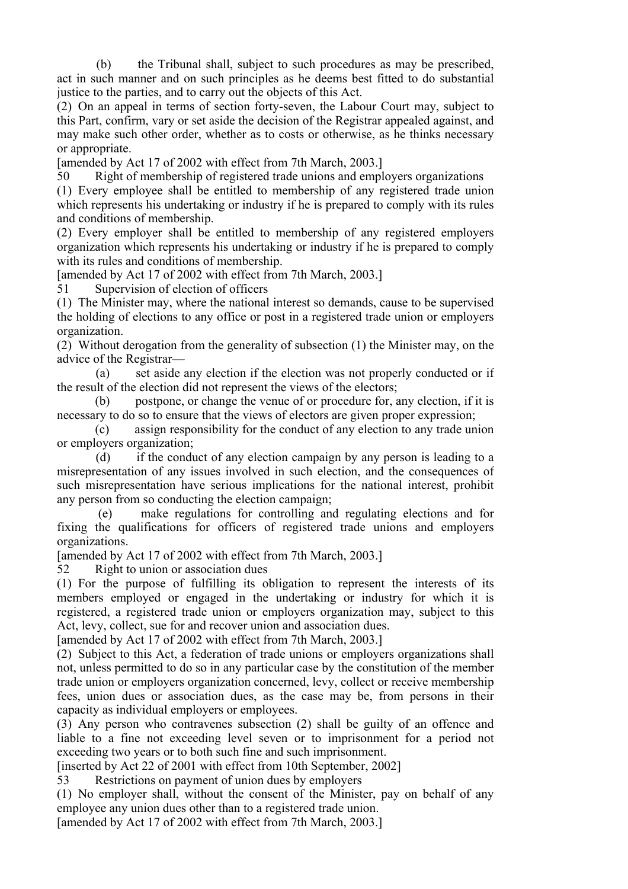(b) the Tribunal shall, subject to such procedures as may be prescribed, act in such manner and on such principles as he deems best fitted to do substantial justice to the parties, and to carry out the objects of this Act.

(2) On an appeal in terms of section forty-seven, the Labour Court may, subject to this Part, confirm, vary or set aside the decision of the Registrar appealed against, and may make such other order, whether as to costs or otherwise, as he thinks necessary or appropriate.

[amended by Act 17 of 2002 with effect from 7th March, 2003.]

50 Right of membership of registered trade unions and employers organizations

(1) Every employee shall be entitled to membership of any registered trade union which represents his undertaking or industry if he is prepared to comply with its rules and conditions of membership.

(2) Every employer shall be entitled to membership of any registered employers organization which represents his undertaking or industry if he is prepared to comply with its rules and conditions of membership.

[amended by Act 17 of 2002 with effect from 7th March, 2003.]

51 Supervision of election of officers

(1) The Minister may, where the national interest so demands, cause to be supervised the holding of elections to any office or post in a registered trade union or employers organization.

(2) Without derogation from the generality of subsection (1) the Minister may, on the advice of the Registrar—

 (a) set aside any election if the election was not properly conducted or if the result of the election did not represent the views of the electors;

 (b) postpone, or change the venue of or procedure for, any election, if it is necessary to do so to ensure that the views of electors are given proper expression;

 (c) assign responsibility for the conduct of any election to any trade union or employers organization;

 (d) if the conduct of any election campaign by any person is leading to a misrepresentation of any issues involved in such election, and the consequences of such misrepresentation have serious implications for the national interest, prohibit any person from so conducting the election campaign;

 (e) make regulations for controlling and regulating elections and for fixing the qualifications for officers of registered trade unions and employers organizations.

[amended by Act 17 of 2002 with effect from 7th March, 2003.]

52 Right to union or association dues

(1) For the purpose of fulfilling its obligation to represent the interests of its members employed or engaged in the undertaking or industry for which it is registered, a registered trade union or employers organization may, subject to this Act, levy, collect, sue for and recover union and association dues.

[amended by Act 17 of 2002 with effect from 7th March, 2003.]

(2) Subject to this Act, a federation of trade unions or employers organizations shall not, unless permitted to do so in any particular case by the constitution of the member trade union or employers organization concerned, levy, collect or receive membership fees, union dues or association dues, as the case may be, from persons in their capacity as individual employers or employees.

(3) Any person who contravenes subsection (2) shall be guilty of an offence and liable to a fine not exceeding level seven or to imprisonment for a period not exceeding two years or to both such fine and such imprisonment.

[inserted by Act 22 of 2001 with effect from 10th September, 2002]

53 Restrictions on payment of union dues by employers

(1) No employer shall, without the consent of the Minister, pay on behalf of any employee any union dues other than to a registered trade union.

[amended by Act 17 of 2002 with effect from 7th March, 2003.]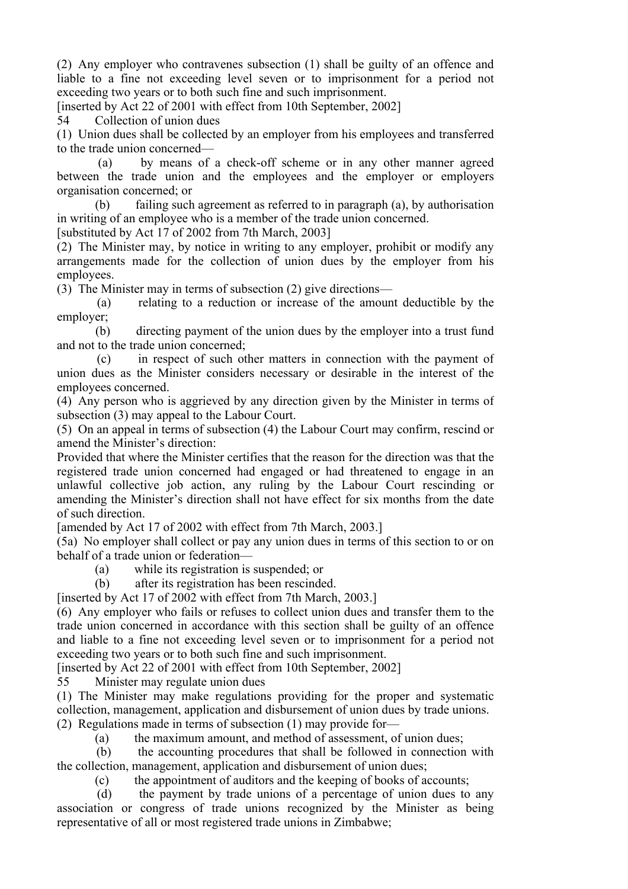(2) Any employer who contravenes subsection (1) shall be guilty of an offence and liable to a fine not exceeding level seven or to imprisonment for a period not exceeding two years or to both such fine and such imprisonment.

[inserted by Act 22 of 2001 with effect from 10th September, 2002]

54 Collection of union dues

(1) Union dues shall be collected by an employer from his employees and transferred to the trade union concerned—

 (a) by means of a check-off scheme or in any other manner agreed between the trade union and the employees and the employer or employers organisation concerned; or

 (b) failing such agreement as referred to in paragraph (a), by authorisation in writing of an employee who is a member of the trade union concerned.

[substituted by Act 17 of 2002 from 7th March, 2003]

(2) The Minister may, by notice in writing to any employer, prohibit or modify any arrangements made for the collection of union dues by the employer from his employees.

(3) The Minister may in terms of subsection (2) give directions—

 (a) relating to a reduction or increase of the amount deductible by the employer;

 (b) directing payment of the union dues by the employer into a trust fund and not to the trade union concerned;

 (c) in respect of such other matters in connection with the payment of union dues as the Minister considers necessary or desirable in the interest of the employees concerned.

(4) Any person who is aggrieved by any direction given by the Minister in terms of subsection (3) may appeal to the Labour Court.

(5) On an appeal in terms of subsection (4) the Labour Court may confirm, rescind or amend the Minister's direction:

Provided that where the Minister certifies that the reason for the direction was that the registered trade union concerned had engaged or had threatened to engage in an unlawful collective job action, any ruling by the Labour Court rescinding or amending the Minister's direction shall not have effect for six months from the date of such direction.

[amended by Act 17 of 2002 with effect from 7th March, 2003.]

(5a) No employer shall collect or pay any union dues in terms of this section to or on behalf of a trade union or federation—

(a) while its registration is suspended; or

(b) after its registration has been rescinded.

[inserted by Act 17 of 2002 with effect from 7th March, 2003.]

(6) Any employer who fails or refuses to collect union dues and transfer them to the trade union concerned in accordance with this section shall be guilty of an offence and liable to a fine not exceeding level seven or to imprisonment for a period not exceeding two years or to both such fine and such imprisonment.

[inserted by Act 22 of 2001 with effect from 10th September, 2002]

55 Minister may regulate union dues

(1) The Minister may make regulations providing for the proper and systematic collection, management, application and disbursement of union dues by trade unions. (2) Regulations made in terms of subsection (1) may provide for—

(a) the maximum amount, and method of assessment, of union dues;

 (b) the accounting procedures that shall be followed in connection with the collection, management, application and disbursement of union dues;

(c) the appointment of auditors and the keeping of books of accounts;

 (d) the payment by trade unions of a percentage of union dues to any association or congress of trade unions recognized by the Minister as being representative of all or most registered trade unions in Zimbabwe;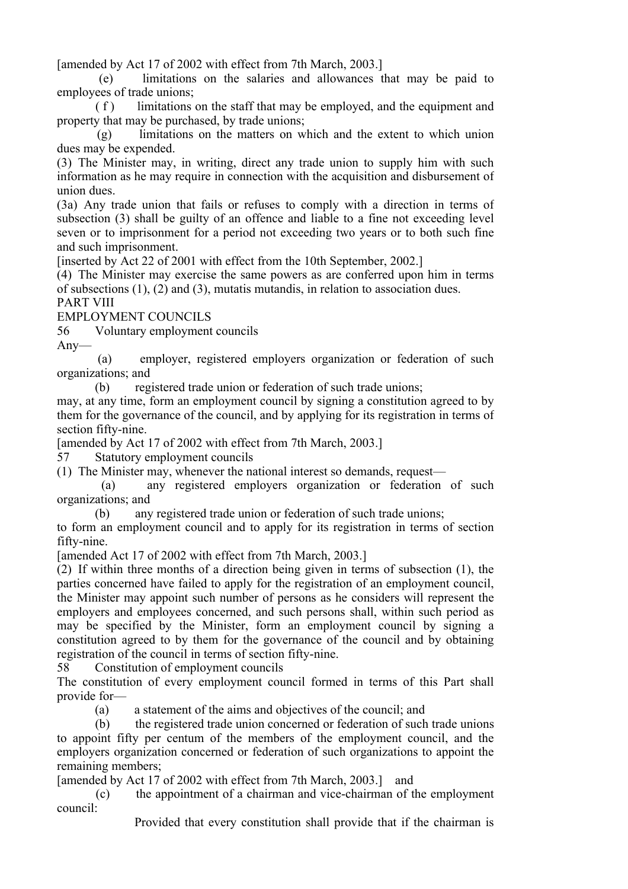[amended by Act 17 of 2002 with effect from 7th March, 2003.]

 (e) limitations on the salaries and allowances that may be paid to employees of trade unions;

 ( f ) limitations on the staff that may be employed, and the equipment and property that may be purchased, by trade unions;

 (g) limitations on the matters on which and the extent to which union dues may be expended.

(3) The Minister may, in writing, direct any trade union to supply him with such information as he may require in connection with the acquisition and disbursement of union dues.

(3a) Any trade union that fails or refuses to comply with a direction in terms of subsection (3) shall be guilty of an offence and liable to a fine not exceeding level seven or to imprisonment for a period not exceeding two years or to both such fine and such imprisonment.

[inserted by Act 22 of 2001 with effect from the 10th September, 2002.]

(4) The Minister may exercise the same powers as are conferred upon him in terms of subsections (1), (2) and (3), mutatis mutandis, in relation to association dues.

PART VIII

EMPLOYMENT COUNCILS

56 Voluntary employment councils

Any—

 (a) employer, registered employers organization or federation of such organizations; and

(b) registered trade union or federation of such trade unions;

may, at any time, form an employment council by signing a constitution agreed to by them for the governance of the council, and by applying for its registration in terms of section fifty-nine.

[amended by Act 17 of 2002 with effect from 7th March, 2003.]

57 Statutory employment councils

(1) The Minister may, whenever the national interest so demands, request—

 (a) any registered employers organization or federation of such organizations; and

(b) any registered trade union or federation of such trade unions;

to form an employment council and to apply for its registration in terms of section fifty-nine.

[amended Act 17 of 2002 with effect from 7th March, 2003.]

(2) If within three months of a direction being given in terms of subsection (1), the parties concerned have failed to apply for the registration of an employment council, the Minister may appoint such number of persons as he considers will represent the employers and employees concerned, and such persons shall, within such period as may be specified by the Minister, form an employment council by signing a constitution agreed to by them for the governance of the council and by obtaining registration of the council in terms of section fifty-nine.

58 Constitution of employment councils

The constitution of every employment council formed in terms of this Part shall provide for—

(a) a statement of the aims and objectives of the council; and

 (b) the registered trade union concerned or federation of such trade unions to appoint fifty per centum of the members of the employment council, and the employers organization concerned or federation of such organizations to appoint the remaining members;

[amended by Act 17 of 2002 with effect from 7th March, 2003.] and

 (c) the appointment of a chairman and vice-chairman of the employment council:

Provided that every constitution shall provide that if the chairman is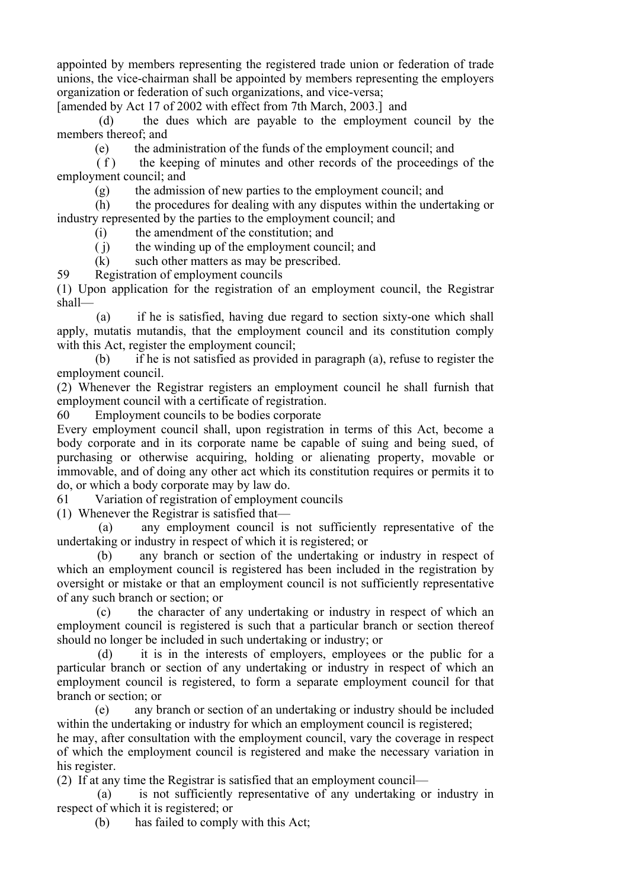appointed by members representing the registered trade union or federation of trade unions, the vice-chairman shall be appointed by members representing the employers organization or federation of such organizations, and vice-versa;

[amended by Act 17 of 2002 with effect from 7th March, 2003.] and

 (d) the dues which are payable to the employment council by the members thereof; and

(e) the administration of the funds of the employment council; and

 ( f ) the keeping of minutes and other records of the proceedings of the employment council; and

 $(g)$  the admission of new parties to the employment council; and

 (h) the procedures for dealing with any disputes within the undertaking or industry represented by the parties to the employment council; and

(i) the amendment of the constitution; and

( j) the winding up of the employment council; and

(k) such other matters as may be prescribed.

59 Registration of employment councils

(1) Upon application for the registration of an employment council, the Registrar shall—

 (a) if he is satisfied, having due regard to section sixty-one which shall apply, mutatis mutandis, that the employment council and its constitution comply with this Act, register the employment council;

 (b) if he is not satisfied as provided in paragraph (a), refuse to register the employment council.

(2) Whenever the Registrar registers an employment council he shall furnish that employment council with a certificate of registration.

60 Employment councils to be bodies corporate

Every employment council shall, upon registration in terms of this Act, become a body corporate and in its corporate name be capable of suing and being sued, of purchasing or otherwise acquiring, holding or alienating property, movable or immovable, and of doing any other act which its constitution requires or permits it to do, or which a body corporate may by law do.

61 Variation of registration of employment councils

(1) Whenever the Registrar is satisfied that—

 (a) any employment council is not sufficiently representative of the undertaking or industry in respect of which it is registered; or

 (b) any branch or section of the undertaking or industry in respect of which an employment council is registered has been included in the registration by oversight or mistake or that an employment council is not sufficiently representative of any such branch or section; or

 (c) the character of any undertaking or industry in respect of which an employment council is registered is such that a particular branch or section thereof should no longer be included in such undertaking or industry; or

 (d) it is in the interests of employers, employees or the public for a particular branch or section of any undertaking or industry in respect of which an employment council is registered, to form a separate employment council for that branch or section; or

 (e) any branch or section of an undertaking or industry should be included within the undertaking or industry for which an employment council is registered;

he may, after consultation with the employment council, vary the coverage in respect of which the employment council is registered and make the necessary variation in his register.

(2) If at any time the Registrar is satisfied that an employment council—

 (a) is not sufficiently representative of any undertaking or industry in respect of which it is registered; or

(b) has failed to comply with this Act;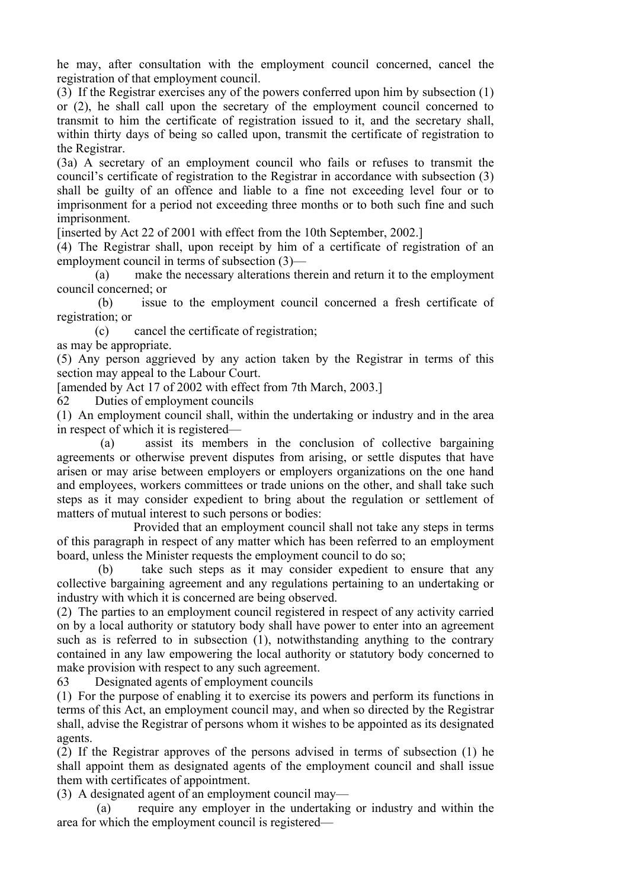he may, after consultation with the employment council concerned, cancel the registration of that employment council.

(3) If the Registrar exercises any of the powers conferred upon him by subsection (1) or (2), he shall call upon the secretary of the employment council concerned to transmit to him the certificate of registration issued to it, and the secretary shall, within thirty days of being so called upon, transmit the certificate of registration to the Registrar.

(3a) A secretary of an employment council who fails or refuses to transmit the council's certificate of registration to the Registrar in accordance with subsection (3) shall be guilty of an offence and liable to a fine not exceeding level four or to imprisonment for a period not exceeding three months or to both such fine and such imprisonment.

[inserted by Act 22 of 2001 with effect from the 10th September, 2002.]

(4) The Registrar shall, upon receipt by him of a certificate of registration of an employment council in terms of subsection (3)—

 (a) make the necessary alterations therein and return it to the employment council concerned; or

 (b) issue to the employment council concerned a fresh certificate of registration; or

(c) cancel the certificate of registration;

as may be appropriate.

(5) Any person aggrieved by any action taken by the Registrar in terms of this section may appeal to the Labour Court.

[amended by Act 17 of 2002 with effect from 7th March, 2003.]

62 Duties of employment councils

(1) An employment council shall, within the undertaking or industry and in the area in respect of which it is registered—

 (a) assist its members in the conclusion of collective bargaining agreements or otherwise prevent disputes from arising, or settle disputes that have arisen or may arise between employers or employers organizations on the one hand and employees, workers committees or trade unions on the other, and shall take such steps as it may consider expedient to bring about the regulation or settlement of matters of mutual interest to such persons or bodies:

 Provided that an employment council shall not take any steps in terms of this paragraph in respect of any matter which has been referred to an employment board, unless the Minister requests the employment council to do so;

 (b) take such steps as it may consider expedient to ensure that any collective bargaining agreement and any regulations pertaining to an undertaking or industry with which it is concerned are being observed.

(2) The parties to an employment council registered in respect of any activity carried on by a local authority or statutory body shall have power to enter into an agreement such as is referred to in subsection (1), notwithstanding anything to the contrary contained in any law empowering the local authority or statutory body concerned to make provision with respect to any such agreement.

63 Designated agents of employment councils

(1) For the purpose of enabling it to exercise its powers and perform its functions in terms of this Act, an employment council may, and when so directed by the Registrar shall, advise the Registrar of persons whom it wishes to be appointed as its designated agents.

(2) If the Registrar approves of the persons advised in terms of subsection (1) he shall appoint them as designated agents of the employment council and shall issue them with certificates of appointment.

(3) A designated agent of an employment council may—

 (a) require any employer in the undertaking or industry and within the area for which the employment council is registered—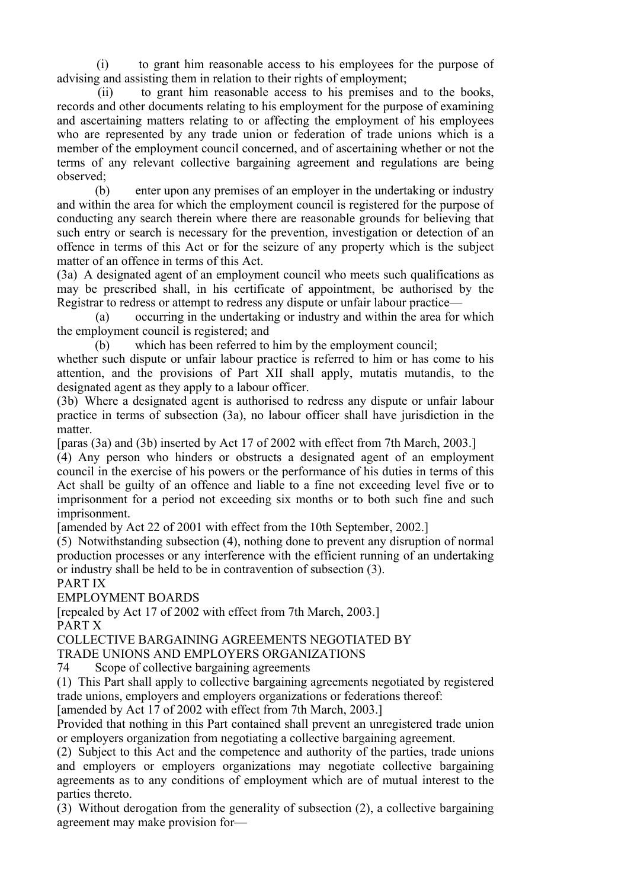(i) to grant him reasonable access to his employees for the purpose of advising and assisting them in relation to their rights of employment;

 (ii) to grant him reasonable access to his premises and to the books, records and other documents relating to his employment for the purpose of examining and ascertaining matters relating to or affecting the employment of his employees who are represented by any trade union or federation of trade unions which is a member of the employment council concerned, and of ascertaining whether or not the terms of any relevant collective bargaining agreement and regulations are being observed;

 (b) enter upon any premises of an employer in the undertaking or industry and within the area for which the employment council is registered for the purpose of conducting any search therein where there are reasonable grounds for believing that such entry or search is necessary for the prevention, investigation or detection of an offence in terms of this Act or for the seizure of any property which is the subject matter of an offence in terms of this Act.

(3a) A designated agent of an employment council who meets such qualifications as may be prescribed shall, in his certificate of appointment, be authorised by the Registrar to redress or attempt to redress any dispute or unfair labour practice—

 (a) occurring in the undertaking or industry and within the area for which the employment council is registered; and

(b) which has been referred to him by the employment council;

whether such dispute or unfair labour practice is referred to him or has come to his attention, and the provisions of Part XII shall apply, mutatis mutandis, to the designated agent as they apply to a labour officer.

(3b) Where a designated agent is authorised to redress any dispute or unfair labour practice in terms of subsection (3a), no labour officer shall have jurisdiction in the matter.

[paras (3a) and (3b) inserted by Act 17 of 2002 with effect from 7th March, 2003.]

(4) Any person who hinders or obstructs a designated agent of an employment council in the exercise of his powers or the performance of his duties in terms of this Act shall be guilty of an offence and liable to a fine not exceeding level five or to imprisonment for a period not exceeding six months or to both such fine and such imprisonment.

[amended by Act 22 of 2001 with effect from the 10th September, 2002.]

(5) Notwithstanding subsection (4), nothing done to prevent any disruption of normal production processes or any interference with the efficient running of an undertaking or industry shall be held to be in contravention of subsection (3).

PART IX

EMPLOYMENT BOARDS

[repealed by Act 17 of 2002 with effect from 7th March, 2003.] PART X

COLLECTIVE BARGAINING AGREEMENTS NEGOTIATED BY

TRADE UNIONS AND EMPLOYERS ORGANIZATIONS

74 Scope of collective bargaining agreements

(1) This Part shall apply to collective bargaining agreements negotiated by registered trade unions, employers and employers organizations or federations thereof:

[amended by Act 17 of 2002 with effect from 7th March, 2003.]

Provided that nothing in this Part contained shall prevent an unregistered trade union or employers organization from negotiating a collective bargaining agreement.

(2) Subject to this Act and the competence and authority of the parties, trade unions and employers or employers organizations may negotiate collective bargaining agreements as to any conditions of employment which are of mutual interest to the parties thereto.

(3) Without derogation from the generality of subsection (2), a collective bargaining agreement may make provision for—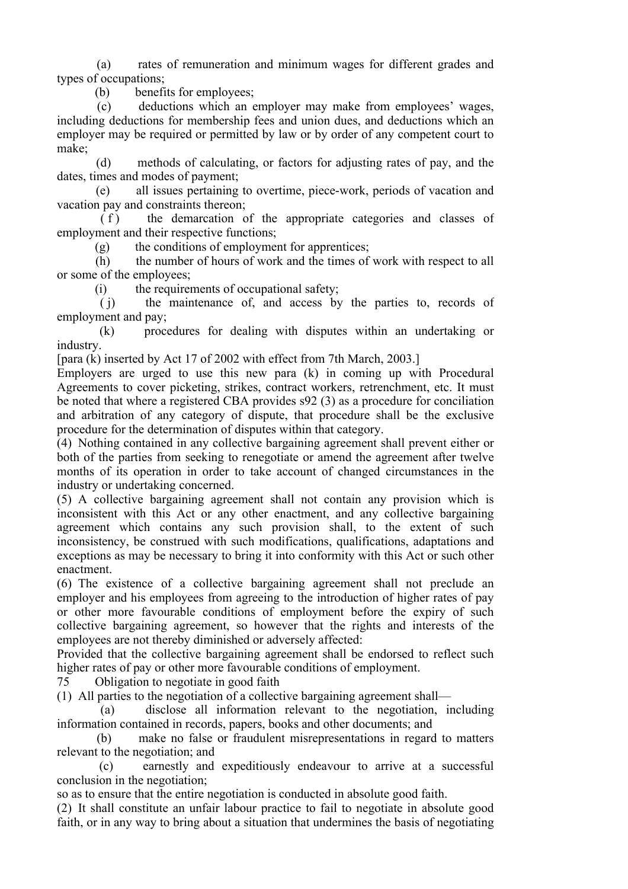(a) rates of remuneration and minimum wages for different grades and types of occupations;

(b) benefits for employees;

 (c) deductions which an employer may make from employees' wages, including deductions for membership fees and union dues, and deductions which an employer may be required or permitted by law or by order of any competent court to make;

 (d) methods of calculating, or factors for adjusting rates of pay, and the dates, times and modes of payment;

 (e) all issues pertaining to overtime, piece-work, periods of vacation and vacation pay and constraints thereon;

 $(f)$  the demarcation of the appropriate categories and classes of employment and their respective functions;

(g) the conditions of employment for apprentices;

 (h) the number of hours of work and the times of work with respect to all or some of the employees;

(i) the requirements of occupational safety;

 ( j) the maintenance of, and access by the parties to, records of employment and pay;

 (k) procedures for dealing with disputes within an undertaking or industry.

[para (k) inserted by Act 17 of 2002 with effect from 7th March, 2003.]

Employers are urged to use this new para (k) in coming up with Procedural Agreements to cover picketing, strikes, contract workers, retrenchment, etc. It must be noted that where a registered CBA provides s92 (3) as a procedure for conciliation and arbitration of any category of dispute, that procedure shall be the exclusive procedure for the determination of disputes within that category.

(4) Nothing contained in any collective bargaining agreement shall prevent either or both of the parties from seeking to renegotiate or amend the agreement after twelve months of its operation in order to take account of changed circumstances in the industry or undertaking concerned.

(5) A collective bargaining agreement shall not contain any provision which is inconsistent with this Act or any other enactment, and any collective bargaining agreement which contains any such provision shall, to the extent of such inconsistency, be construed with such modifications, qualifications, adaptations and exceptions as may be necessary to bring it into conformity with this Act or such other enactment.

(6) The existence of a collective bargaining agreement shall not preclude an employer and his employees from agreeing to the introduction of higher rates of pay or other more favourable conditions of employment before the expiry of such collective bargaining agreement, so however that the rights and interests of the employees are not thereby diminished or adversely affected:

Provided that the collective bargaining agreement shall be endorsed to reflect such higher rates of pay or other more favourable conditions of employment.

75 Obligation to negotiate in good faith

(1) All parties to the negotiation of a collective bargaining agreement shall—

 (a) disclose all information relevant to the negotiation, including information contained in records, papers, books and other documents; and

 (b) make no false or fraudulent misrepresentations in regard to matters relevant to the negotiation; and

 (c) earnestly and expeditiously endeavour to arrive at a successful conclusion in the negotiation;

so as to ensure that the entire negotiation is conducted in absolute good faith.

(2) It shall constitute an unfair labour practice to fail to negotiate in absolute good faith, or in any way to bring about a situation that undermines the basis of negotiating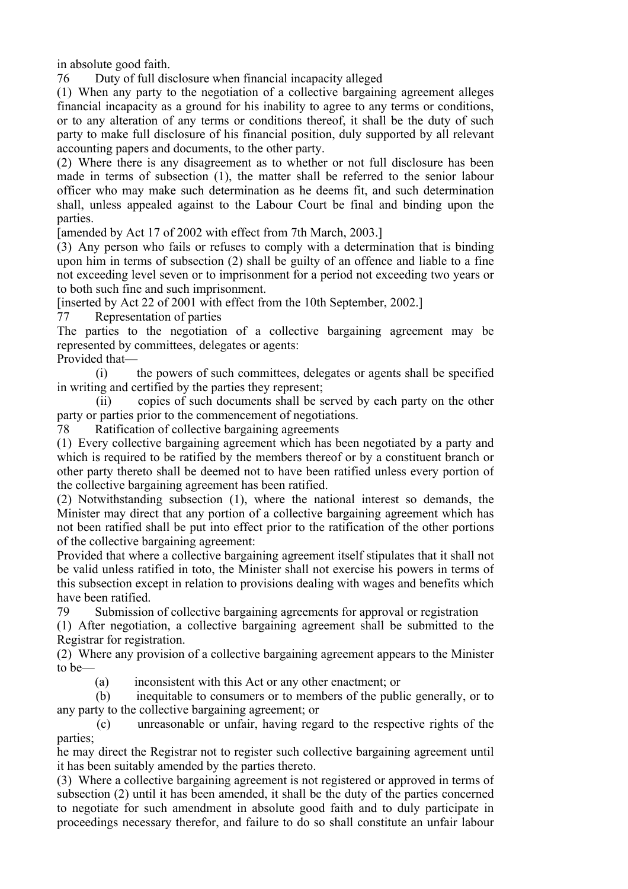in absolute good faith.

76 Duty of full disclosure when financial incapacity alleged

(1) When any party to the negotiation of a collective bargaining agreement alleges financial incapacity as a ground for his inability to agree to any terms or conditions, or to any alteration of any terms or conditions thereof, it shall be the duty of such party to make full disclosure of his financial position, duly supported by all relevant accounting papers and documents, to the other party.

(2) Where there is any disagreement as to whether or not full disclosure has been made in terms of subsection (1), the matter shall be referred to the senior labour officer who may make such determination as he deems fit, and such determination shall, unless appealed against to the Labour Court be final and binding upon the parties.

[amended by Act 17 of 2002 with effect from 7th March, 2003.]

(3) Any person who fails or refuses to comply with a determination that is binding upon him in terms of subsection (2) shall be guilty of an offence and liable to a fine not exceeding level seven or to imprisonment for a period not exceeding two years or to both such fine and such imprisonment.

[inserted by Act 22 of 2001 with effect from the 10th September, 2002.]

77 Representation of parties

The parties to the negotiation of a collective bargaining agreement may be represented by committees, delegates or agents:

Provided that—

 (i) the powers of such committees, delegates or agents shall be specified in writing and certified by the parties they represent;

 (ii) copies of such documents shall be served by each party on the other party or parties prior to the commencement of negotiations.

78 Ratification of collective bargaining agreements

(1) Every collective bargaining agreement which has been negotiated by a party and which is required to be ratified by the members thereof or by a constituent branch or other party thereto shall be deemed not to have been ratified unless every portion of the collective bargaining agreement has been ratified.

(2) Notwithstanding subsection (1), where the national interest so demands, the Minister may direct that any portion of a collective bargaining agreement which has not been ratified shall be put into effect prior to the ratification of the other portions of the collective bargaining agreement:

Provided that where a collective bargaining agreement itself stipulates that it shall not be valid unless ratified in toto, the Minister shall not exercise his powers in terms of this subsection except in relation to provisions dealing with wages and benefits which have been ratified.

79 Submission of collective bargaining agreements for approval or registration

(1) After negotiation, a collective bargaining agreement shall be submitted to the Registrar for registration.

(2) Where any provision of a collective bargaining agreement appears to the Minister to be—

(a) inconsistent with this Act or any other enactment; or

 (b) inequitable to consumers or to members of the public generally, or to any party to the collective bargaining agreement; or

 (c) unreasonable or unfair, having regard to the respective rights of the parties;

he may direct the Registrar not to register such collective bargaining agreement until it has been suitably amended by the parties thereto.

(3) Where a collective bargaining agreement is not registered or approved in terms of subsection (2) until it has been amended, it shall be the duty of the parties concerned to negotiate for such amendment in absolute good faith and to duly participate in proceedings necessary therefor, and failure to do so shall constitute an unfair labour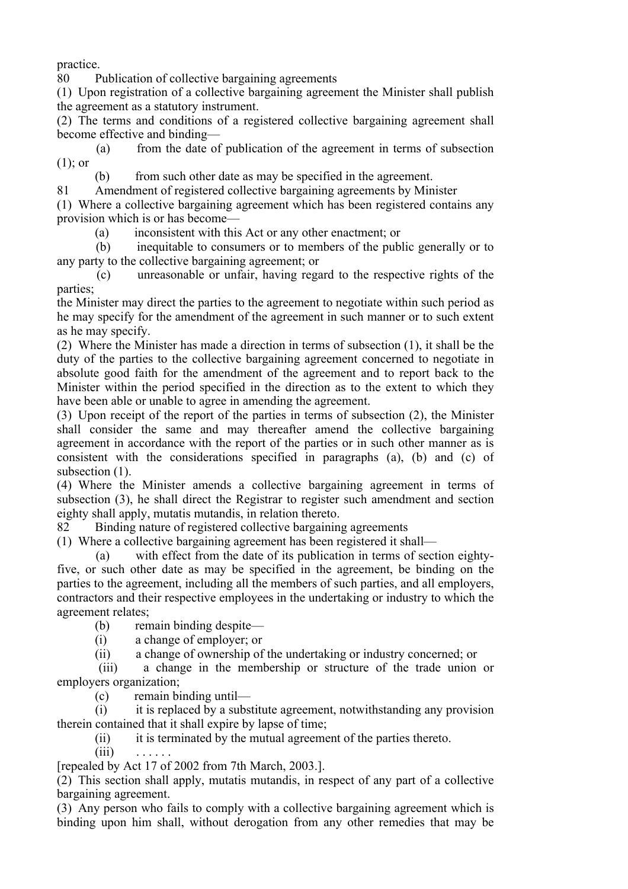practice.

80 Publication of collective bargaining agreements

(1) Upon registration of a collective bargaining agreement the Minister shall publish the agreement as a statutory instrument.

(2) The terms and conditions of a registered collective bargaining agreement shall become effective and binding—

 (a) from the date of publication of the agreement in terms of subsection (1); or

(b) from such other date as may be specified in the agreement.

81 Amendment of registered collective bargaining agreements by Minister

(1) Where a collective bargaining agreement which has been registered contains any provision which is or has become—

(a) inconsistent with this Act or any other enactment; or

 (b) inequitable to consumers or to members of the public generally or to any party to the collective bargaining agreement; or

 (c) unreasonable or unfair, having regard to the respective rights of the parties;

the Minister may direct the parties to the agreement to negotiate within such period as he may specify for the amendment of the agreement in such manner or to such extent as he may specify.

(2) Where the Minister has made a direction in terms of subsection (1), it shall be the duty of the parties to the collective bargaining agreement concerned to negotiate in absolute good faith for the amendment of the agreement and to report back to the Minister within the period specified in the direction as to the extent to which they have been able or unable to agree in amending the agreement.

(3) Upon receipt of the report of the parties in terms of subsection (2), the Minister shall consider the same and may thereafter amend the collective bargaining agreement in accordance with the report of the parties or in such other manner as is consistent with the considerations specified in paragraphs (a), (b) and (c) of subsection  $(1)$ .

(4) Where the Minister amends a collective bargaining agreement in terms of subsection (3), he shall direct the Registrar to register such amendment and section eighty shall apply, mutatis mutandis, in relation thereto.

82 Binding nature of registered collective bargaining agreements

(1) Where a collective bargaining agreement has been registered it shall—

 (a) with effect from the date of its publication in terms of section eightyfive, or such other date as may be specified in the agreement, be binding on the parties to the agreement, including all the members of such parties, and all employers, contractors and their respective employees in the undertaking or industry to which the agreement relates;

(b) remain binding despite—

(i) a change of employer; or

(ii) a change of ownership of the undertaking or industry concerned; or

 (iii) a change in the membership or structure of the trade union or employers organization;

(c) remain binding until—

 $(i)$  it is replaced by a substitute agreement, notwithstanding any provision therein contained that it shall expire by lapse of time;

(ii) it is terminated by the mutual agreement of the parties thereto.

 $(iii)$  . . . . . .

[repealed by Act 17 of 2002 from 7th March, 2003.].

(2) This section shall apply, mutatis mutandis, in respect of any part of a collective bargaining agreement.

(3) Any person who fails to comply with a collective bargaining agreement which is binding upon him shall, without derogation from any other remedies that may be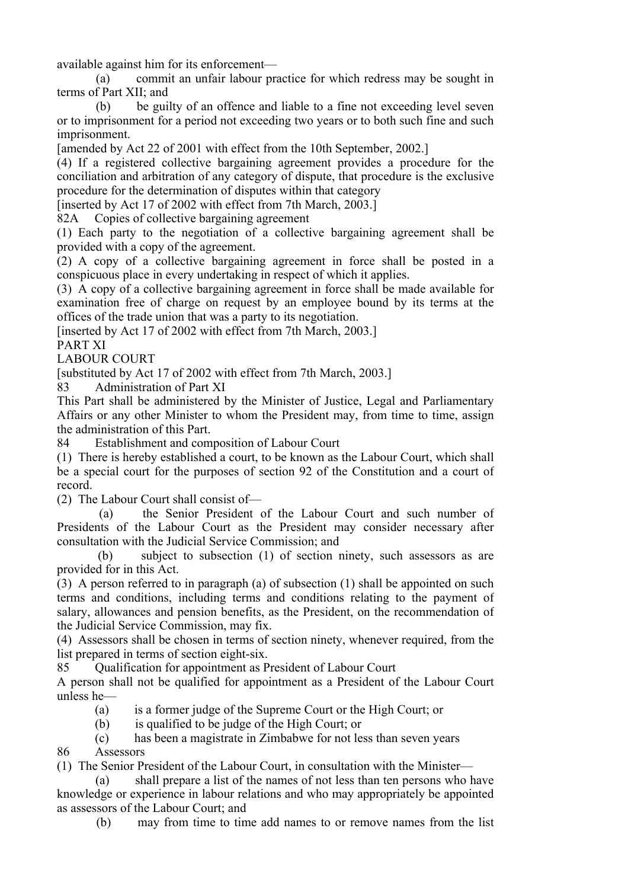available against him for its enforcement—

 (a) commit an unfair labour practice for which redress may be sought in terms of Part XII; and

 (b) be guilty of an offence and liable to a fine not exceeding level seven or to imprisonment for a period not exceeding two years or to both such fine and such imprisonment.

[amended by Act 22 of 2001 with effect from the 10th September, 2002.]

(4) If a registered collective bargaining agreement provides a procedure for the conciliation and arbitration of any category of dispute, that procedure is the exclusive procedure for the determination of disputes within that category

[inserted by Act 17 of 2002 with effect from 7th March, 2003.]

82A Copies of collective bargaining agreement

(1) Each party to the negotiation of a collective bargaining agreement shall be provided with a copy of the agreement.

(2) A copy of a collective bargaining agreement in force shall be posted in a conspicuous place in every undertaking in respect of which it applies.

(3) A copy of a collective bargaining agreement in force shall be made available for examination free of charge on request by an employee bound by its terms at the offices of the trade union that was a party to its negotiation.

[inserted by Act 17 of 2002 with effect from 7th March, 2003.]

## PART XI

LABOUR COURT

[substituted by Act 17 of 2002 with effect from 7th March, 2003.]

83 Administration of Part XI

This Part shall be administered by the Minister of Justice, Legal and Parliamentary Affairs or any other Minister to whom the President may, from time to time, assign the administration of this Part.

84 Establishment and composition of Labour Court

(1) There is hereby established a court, to be known as the Labour Court, which shall be a special court for the purposes of section 92 of the Constitution and a court of record.

(2) The Labour Court shall consist of—

 (a) the Senior President of the Labour Court and such number of Presidents of the Labour Court as the President may consider necessary after consultation with the Judicial Service Commission; and

 (b) subject to subsection (1) of section ninety, such assessors as are provided for in this Act.

(3) A person referred to in paragraph (a) of subsection (1) shall be appointed on such terms and conditions, including terms and conditions relating to the payment of salary, allowances and pension benefits, as the President, on the recommendation of the Judicial Service Commission, may fix.

(4) Assessors shall be chosen in terms of section ninety, whenever required, from the list prepared in terms of section eight-six.

85 Oualification for appointment as President of Labour Court

A person shall not be qualified for appointment as a President of the Labour Court unless he—

- (a) is a former judge of the Supreme Court or the High Court; or
- (b) is qualified to be judge of the High Court; or
- (c) has been a magistrate in Zimbabwe for not less than seven years

86 Assessors

(1) The Senior President of the Labour Court, in consultation with the Minister—

 (a) shall prepare a list of the names of not less than ten persons who have knowledge or experience in labour relations and who may appropriately be appointed as assessors of the Labour Court; and

(b) may from time to time add names to or remove names from the list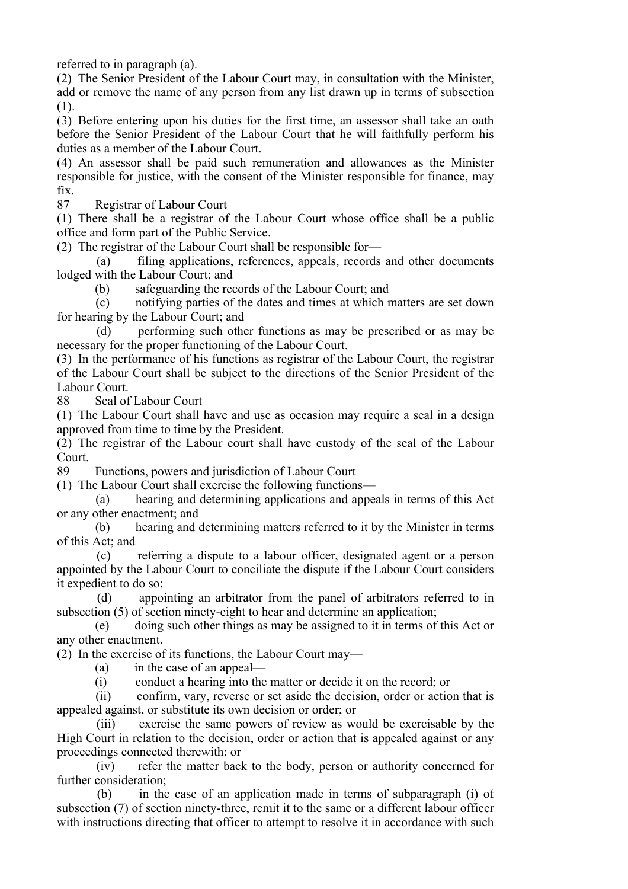referred to in paragraph (a).

(2) The Senior President of the Labour Court may, in consultation with the Minister, add or remove the name of any person from any list drawn up in terms of subsection (1).

(3) Before entering upon his duties for the first time, an assessor shall take an oath before the Senior President of the Labour Court that he will faithfully perform his duties as a member of the Labour Court.

(4) An assessor shall be paid such remuneration and allowances as the Minister responsible for justice, with the consent of the Minister responsible for finance, may fix.

87 Registrar of Labour Court

(1) There shall be a registrar of the Labour Court whose office shall be a public office and form part of the Public Service.

(2) The registrar of the Labour Court shall be responsible for—

 (a) filing applications, references, appeals, records and other documents lodged with the Labour Court; and

(b) safeguarding the records of the Labour Court; and

 (c) notifying parties of the dates and times at which matters are set down for hearing by the Labour Court; and

 (d) performing such other functions as may be prescribed or as may be necessary for the proper functioning of the Labour Court.

(3) In the performance of his functions as registrar of the Labour Court, the registrar of the Labour Court shall be subject to the directions of the Senior President of the Labour Court.

88 Seal of Labour Court

(1) The Labour Court shall have and use as occasion may require a seal in a design approved from time to time by the President.

(2) The registrar of the Labour court shall have custody of the seal of the Labour Court.

89 Functions, powers and jurisdiction of Labour Court

(1) The Labour Court shall exercise the following functions—

 (a) hearing and determining applications and appeals in terms of this Act or any other enactment; and

 (b) hearing and determining matters referred to it by the Minister in terms of this Act; and

 (c) referring a dispute to a labour officer, designated agent or a person appointed by the Labour Court to conciliate the dispute if the Labour Court considers it expedient to do so;

 (d) appointing an arbitrator from the panel of arbitrators referred to in subsection (5) of section ninety-eight to hear and determine an application;

 (e) doing such other things as may be assigned to it in terms of this Act or any other enactment.

(2) In the exercise of its functions, the Labour Court may—

(a) in the case of an appeal—

(i) conduct a hearing into the matter or decide it on the record; or

 (ii) confirm, vary, reverse or set aside the decision, order or action that is appealed against, or substitute its own decision or order; or

 (iii) exercise the same powers of review as would be exercisable by the High Court in relation to the decision, order or action that is appealed against or any proceedings connected therewith; or

 (iv) refer the matter back to the body, person or authority concerned for further consideration;

 (b) in the case of an application made in terms of subparagraph (i) of subsection (7) of section ninety-three, remit it to the same or a different labour officer with instructions directing that officer to attempt to resolve it in accordance with such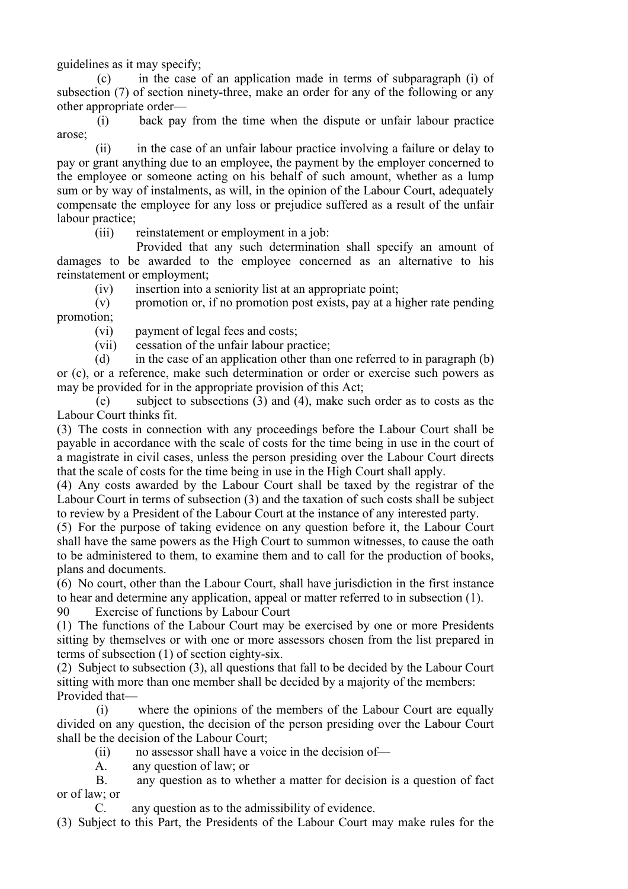guidelines as it may specify;

 (c) in the case of an application made in terms of subparagraph (i) of subsection (7) of section ninety-three, make an order for any of the following or any other appropriate order—

 (i) back pay from the time when the dispute or unfair labour practice arose;

 (ii) in the case of an unfair labour practice involving a failure or delay to pay or grant anything due to an employee, the payment by the employer concerned to the employee or someone acting on his behalf of such amount, whether as a lump sum or by way of instalments, as will, in the opinion of the Labour Court, adequately compensate the employee for any loss or prejudice suffered as a result of the unfair labour practice:

(iii) reinstatement or employment in a job:

 Provided that any such determination shall specify an amount of damages to be awarded to the employee concerned as an alternative to his reinstatement or employment;

(iv) insertion into a seniority list at an appropriate point;

 (v) promotion or, if no promotion post exists, pay at a higher rate pending promotion;

(vi) payment of legal fees and costs;

(vii) cessation of the unfair labour practice;

 $(d)$  in the case of an application other than one referred to in paragraph (b) or (c), or a reference, make such determination or order or exercise such powers as may be provided for in the appropriate provision of this Act;

 (e) subject to subsections (3) and (4), make such order as to costs as the Labour Court thinks fit.

(3) The costs in connection with any proceedings before the Labour Court shall be payable in accordance with the scale of costs for the time being in use in the court of a magistrate in civil cases, unless the person presiding over the Labour Court directs that the scale of costs for the time being in use in the High Court shall apply.

(4) Any costs awarded by the Labour Court shall be taxed by the registrar of the Labour Court in terms of subsection (3) and the taxation of such costs shall be subject to review by a President of the Labour Court at the instance of any interested party.

(5) For the purpose of taking evidence on any question before it, the Labour Court shall have the same powers as the High Court to summon witnesses, to cause the oath to be administered to them, to examine them and to call for the production of books, plans and documents.

(6) No court, other than the Labour Court, shall have jurisdiction in the first instance to hear and determine any application, appeal or matter referred to in subsection (1).

90 Exercise of functions by Labour Court

(1) The functions of the Labour Court may be exercised by one or more Presidents sitting by themselves or with one or more assessors chosen from the list prepared in terms of subsection (1) of section eighty-six.

(2) Subject to subsection (3), all questions that fall to be decided by the Labour Court sitting with more than one member shall be decided by a majority of the members: Provided that—

 (i) where the opinions of the members of the Labour Court are equally divided on any question, the decision of the person presiding over the Labour Court shall be the decision of the Labour Court;

(ii) no assessor shall have a voice in the decision of—

A. any question of law; or

 B. any question as to whether a matter for decision is a question of fact or of law; or

C. any question as to the admissibility of evidence.

(3) Subject to this Part, the Presidents of the Labour Court may make rules for the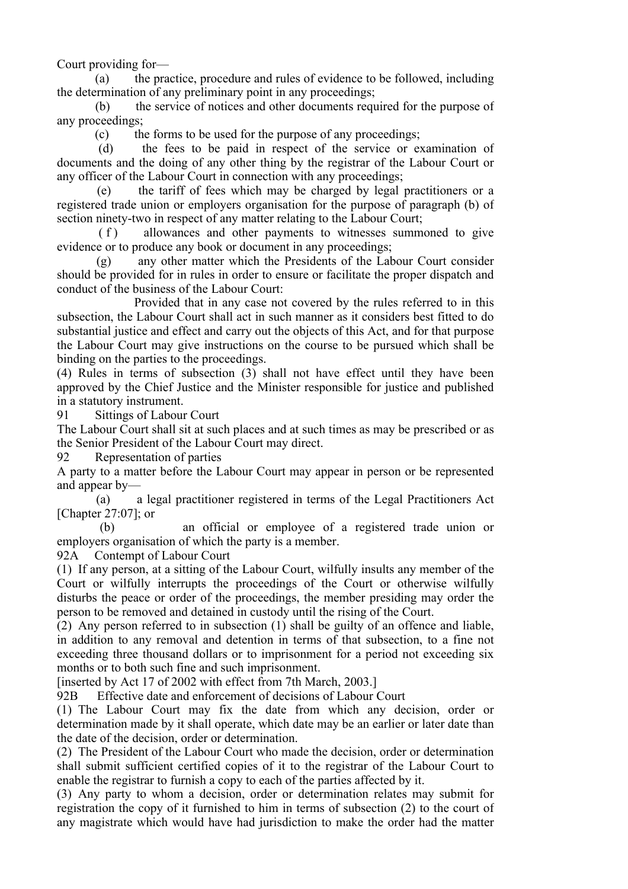Court providing for—

 (a) the practice, procedure and rules of evidence to be followed, including the determination of any preliminary point in any proceedings;

 (b) the service of notices and other documents required for the purpose of any proceedings;

(c) the forms to be used for the purpose of any proceedings;

 (d) the fees to be paid in respect of the service or examination of documents and the doing of any other thing by the registrar of the Labour Court or any officer of the Labour Court in connection with any proceedings;

 (e) the tariff of fees which may be charged by legal practitioners or a registered trade union or employers organisation for the purpose of paragraph (b) of section ninety-two in respect of any matter relating to the Labour Court;

(f) allowances and other payments to witnesses summoned to give evidence or to produce any book or document in any proceedings;

 (g) any other matter which the Presidents of the Labour Court consider should be provided for in rules in order to ensure or facilitate the proper dispatch and conduct of the business of the Labour Court:

 Provided that in any case not covered by the rules referred to in this subsection, the Labour Court shall act in such manner as it considers best fitted to do substantial justice and effect and carry out the objects of this Act, and for that purpose the Labour Court may give instructions on the course to be pursued which shall be binding on the parties to the proceedings.

(4) Rules in terms of subsection  $(3)$  shall not have effect until they have been approved by the Chief Justice and the Minister responsible for justice and published in a statutory instrument.

91 Sittings of Labour Court

The Labour Court shall sit at such places and at such times as may be prescribed or as the Senior President of the Labour Court may direct.

92 Representation of parties

A party to a matter before the Labour Court may appear in person or be represented and appear by—

 (a) a legal practitioner registered in terms of the Legal Practitioners Act [Chapter 27:07]; or

 (b) an official or employee of a registered trade union or employers organisation of which the party is a member.

92A Contempt of Labour Court

(1) If any person, at a sitting of the Labour Court, wilfully insults any member of the Court or wilfully interrupts the proceedings of the Court or otherwise wilfully disturbs the peace or order of the proceedings, the member presiding may order the person to be removed and detained in custody until the rising of the Court.

(2) Any person referred to in subsection (1) shall be guilty of an offence and liable, in addition to any removal and detention in terms of that subsection, to a fine not exceeding three thousand dollars or to imprisonment for a period not exceeding six months or to both such fine and such imprisonment.

[inserted by Act 17 of 2002 with effect from 7th March, 2003.]

92B Effective date and enforcement of decisions of Labour Court

(1) The Labour Court may fix the date from which any decision, order or determination made by it shall operate, which date may be an earlier or later date than the date of the decision, order or determination.

(2) The President of the Labour Court who made the decision, order or determination shall submit sufficient certified copies of it to the registrar of the Labour Court to enable the registrar to furnish a copy to each of the parties affected by it.

(3) Any party to whom a decision, order or determination relates may submit for registration the copy of it furnished to him in terms of subsection (2) to the court of any magistrate which would have had jurisdiction to make the order had the matter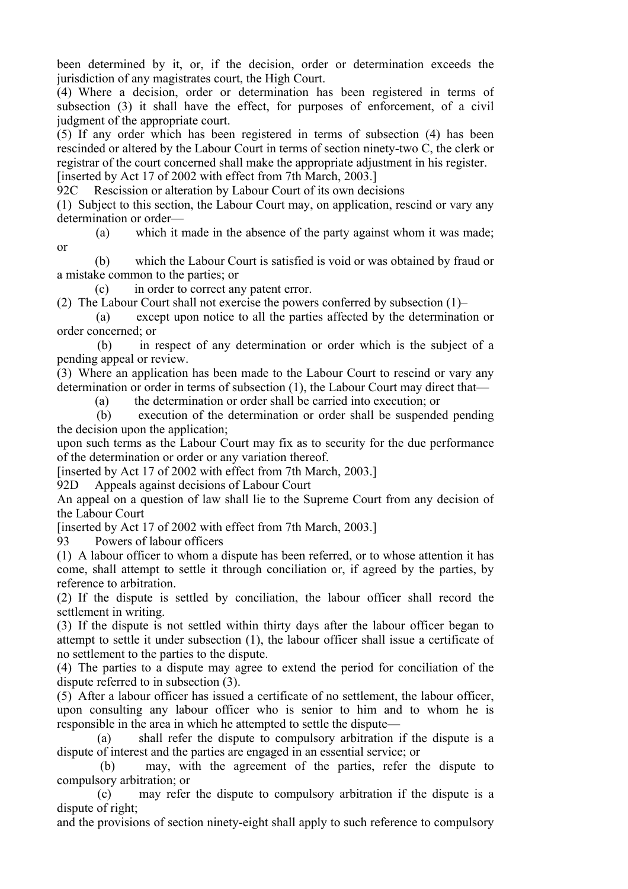been determined by it, or, if the decision, order or determination exceeds the jurisdiction of any magistrates court, the High Court.

(4) Where a decision, order or determination has been registered in terms of subsection (3) it shall have the effect, for purposes of enforcement, of a civil judgment of the appropriate court.

(5) If any order which has been registered in terms of subsection (4) has been rescinded or altered by the Labour Court in terms of section ninety-two C, the clerk or registrar of the court concerned shall make the appropriate adjustment in his register. [inserted by Act 17 of 2002 with effect from 7th March, 2003.]

92C Rescission or alteration by Labour Court of its own decisions

(1) Subject to this section, the Labour Court may, on application, rescind or vary any determination or order—

 (a) which it made in the absence of the party against whom it was made; or

 (b) which the Labour Court is satisfied is void or was obtained by fraud or a mistake common to the parties; or

(c) in order to correct any patent error.

(2) The Labour Court shall not exercise the powers conferred by subsection (1)–

 (a) except upon notice to all the parties affected by the determination or order concerned; or

 (b) in respect of any determination or order which is the subject of a pending appeal or review.

(3) Where an application has been made to the Labour Court to rescind or vary any determination or order in terms of subsection (1), the Labour Court may direct that—

(a) the determination or order shall be carried into execution; or

 (b) execution of the determination or order shall be suspended pending the decision upon the application;

upon such terms as the Labour Court may fix as to security for the due performance of the determination or order or any variation thereof.

[inserted by Act 17 of 2002 with effect from 7th March, 2003.]

92D Appeals against decisions of Labour Court

An appeal on a question of law shall lie to the Supreme Court from any decision of the Labour Court

[inserted by Act 17 of 2002 with effect from 7th March, 2003.]

93 Powers of labour officers

(1) A labour officer to whom a dispute has been referred, or to whose attention it has come, shall attempt to settle it through conciliation or, if agreed by the parties, by reference to arbitration.

(2) If the dispute is settled by conciliation, the labour officer shall record the settlement in writing.

(3) If the dispute is not settled within thirty days after the labour officer began to attempt to settle it under subsection (1), the labour officer shall issue a certificate of no settlement to the parties to the dispute.

(4) The parties to a dispute may agree to extend the period for conciliation of the dispute referred to in subsection (3).

(5) After a labour officer has issued a certificate of no settlement, the labour officer, upon consulting any labour officer who is senior to him and to whom he is responsible in the area in which he attempted to settle the dispute—

 (a) shall refer the dispute to compulsory arbitration if the dispute is a dispute of interest and the parties are engaged in an essential service; or

 (b) may, with the agreement of the parties, refer the dispute to compulsory arbitration; or

 (c) may refer the dispute to compulsory arbitration if the dispute is a dispute of right;

and the provisions of section ninety-eight shall apply to such reference to compulsory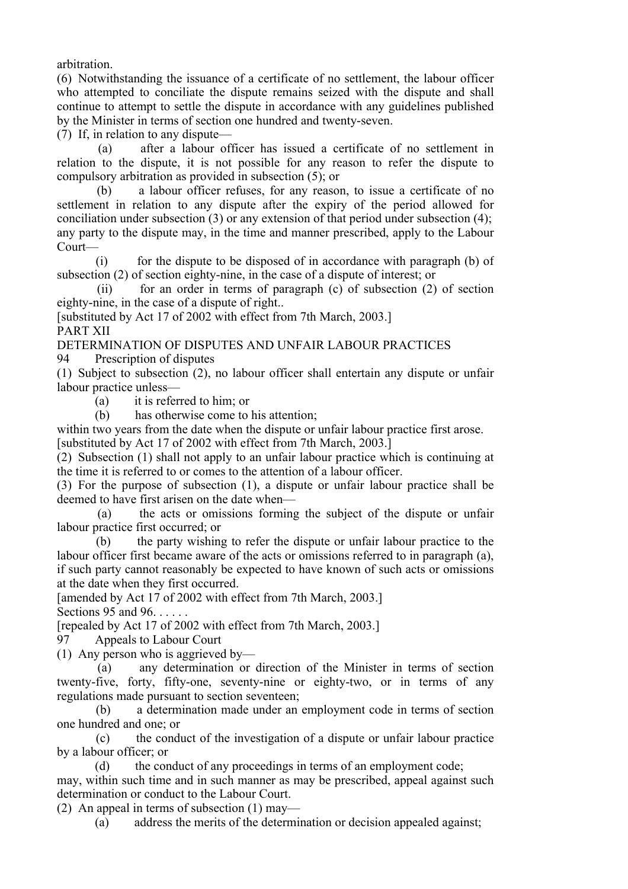arbitration.

(6) Notwithstanding the issuance of a certificate of no settlement, the labour officer who attempted to conciliate the dispute remains seized with the dispute and shall continue to attempt to settle the dispute in accordance with any guidelines published by the Minister in terms of section one hundred and twenty-seven.

(7) If, in relation to any dispute—

 (a) after a labour officer has issued a certificate of no settlement in relation to the dispute, it is not possible for any reason to refer the dispute to compulsory arbitration as provided in subsection (5); or

 (b) a labour officer refuses, for any reason, to issue a certificate of no settlement in relation to any dispute after the expiry of the period allowed for conciliation under subsection (3) or any extension of that period under subsection (4); any party to the dispute may, in the time and manner prescribed, apply to the Labour Court—

 $(i)$  for the dispute to be disposed of in accordance with paragraph  $(b)$  of subsection (2) of section eighty-nine, in the case of a dispute of interest; or

 (ii) for an order in terms of paragraph (c) of subsection (2) of section eighty-nine, in the case of a dispute of right..

[substituted by Act 17 of 2002 with effect from 7th March, 2003.] PART XII

DETERMINATION OF DISPUTES AND UNFAIR LABOUR PRACTICES

94 Prescription of disputes

(1) Subject to subsection (2), no labour officer shall entertain any dispute or unfair labour practice unless—

(a) it is referred to him; or

(b) has otherwise come to his attention;

within two years from the date when the dispute or unfair labour practice first arose. [substituted by Act 17 of 2002 with effect from 7th March, 2003.]

(2) Subsection (1) shall not apply to an unfair labour practice which is continuing at the time it is referred to or comes to the attention of a labour officer.

(3) For the purpose of subsection (1), a dispute or unfair labour practice shall be deemed to have first arisen on the date when—

 (a) the acts or omissions forming the subject of the dispute or unfair labour practice first occurred; or

 (b) the party wishing to refer the dispute or unfair labour practice to the labour officer first became aware of the acts or omissions referred to in paragraph (a), if such party cannot reasonably be expected to have known of such acts or omissions at the date when they first occurred.

[amended by Act 17 of 2002 with effect from 7th March, 2003.] Sections 95 and 96. . . . . . .

[repealed by Act 17 of 2002 with effect from 7th March, 2003.]

97 Appeals to Labour Court

(1) Any person who is aggrieved by—

 (a) any determination or direction of the Minister in terms of section twenty-five, forty, fifty-one, seventy-nine or eighty-two, or in terms of any regulations made pursuant to section seventeen;

 (b) a determination made under an employment code in terms of section one hundred and one; or

 (c) the conduct of the investigation of a dispute or unfair labour practice by a labour officer; or

 (d) the conduct of any proceedings in terms of an employment code; may, within such time and in such manner as may be prescribed, appeal against such determination or conduct to the Labour Court.

(2) An appeal in terms of subsection (1) may—

(a) address the merits of the determination or decision appealed against;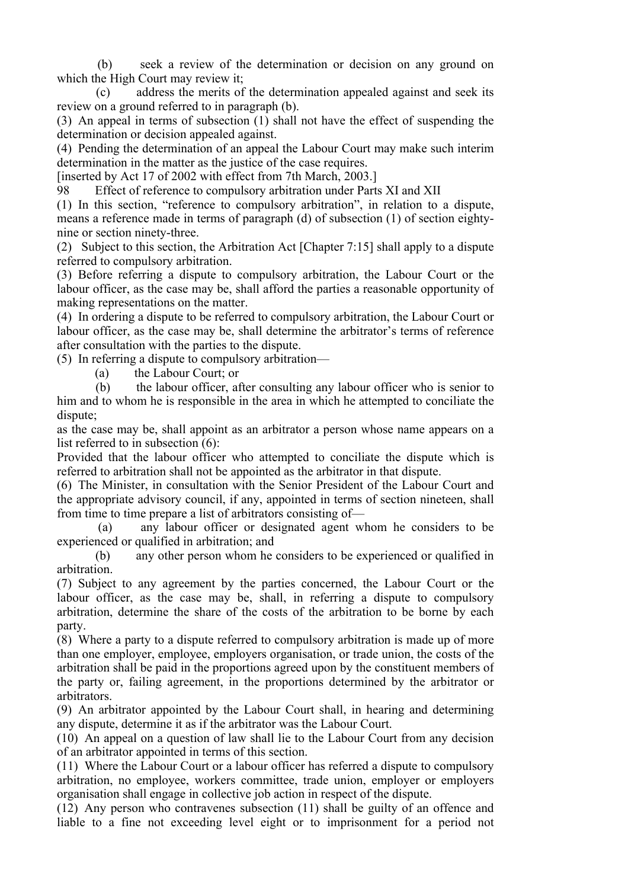(b) seek a review of the determination or decision on any ground on which the High Court may review it;

 (c) address the merits of the determination appealed against and seek its review on a ground referred to in paragraph (b).

(3) An appeal in terms of subsection (1) shall not have the effect of suspending the determination or decision appealed against.

(4) Pending the determination of an appeal the Labour Court may make such interim determination in the matter as the justice of the case requires.

[inserted by Act 17 of 2002 with effect from 7th March, 2003.]

98 Effect of reference to compulsory arbitration under Parts XI and XII

(1) In this section, "reference to compulsory arbitration", in relation to a dispute, means a reference made in terms of paragraph (d) of subsection (1) of section eightynine or section ninety-three.

(2) Subject to this section, the Arbitration Act [Chapter 7:15] shall apply to a dispute referred to compulsory arbitration.

(3) Before referring a dispute to compulsory arbitration, the Labour Court or the labour officer, as the case may be, shall afford the parties a reasonable opportunity of making representations on the matter.

(4) In ordering a dispute to be referred to compulsory arbitration, the Labour Court or labour officer, as the case may be, shall determine the arbitrator's terms of reference after consultation with the parties to the dispute.

(5) In referring a dispute to compulsory arbitration—

(a) the Labour Court; or

 (b) the labour officer, after consulting any labour officer who is senior to him and to whom he is responsible in the area in which he attempted to conciliate the dispute;

as the case may be, shall appoint as an arbitrator a person whose name appears on a list referred to in subsection (6):

Provided that the labour officer who attempted to conciliate the dispute which is referred to arbitration shall not be appointed as the arbitrator in that dispute.

(6) The Minister, in consultation with the Senior President of the Labour Court and the appropriate advisory council, if any, appointed in terms of section nineteen, shall from time to time prepare a list of arbitrators consisting of—

 (a) any labour officer or designated agent whom he considers to be experienced or qualified in arbitration; and

 (b) any other person whom he considers to be experienced or qualified in arbitration.

(7) Subject to any agreement by the parties concerned, the Labour Court or the labour officer, as the case may be, shall, in referring a dispute to compulsory arbitration, determine the share of the costs of the arbitration to be borne by each party.

(8) Where a party to a dispute referred to compulsory arbitration is made up of more than one employer, employee, employers organisation, or trade union, the costs of the arbitration shall be paid in the proportions agreed upon by the constituent members of the party or, failing agreement, in the proportions determined by the arbitrator or arbitrators.

(9) An arbitrator appointed by the Labour Court shall, in hearing and determining any dispute, determine it as if the arbitrator was the Labour Court.

(10) An appeal on a question of law shall lie to the Labour Court from any decision of an arbitrator appointed in terms of this section.

(11) Where the Labour Court or a labour officer has referred a dispute to compulsory arbitration, no employee, workers committee, trade union, employer or employers organisation shall engage in collective job action in respect of the dispute.

(12) Any person who contravenes subsection (11) shall be guilty of an offence and liable to a fine not exceeding level eight or to imprisonment for a period not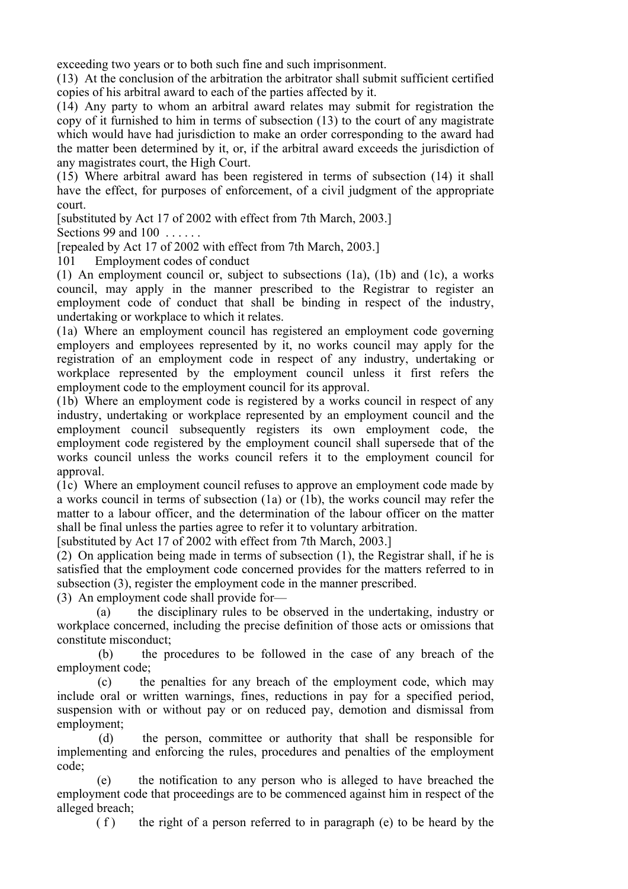exceeding two years or to both such fine and such imprisonment.

(13) At the conclusion of the arbitration the arbitrator shall submit sufficient certified copies of his arbitral award to each of the parties affected by it.

(14) Any party to whom an arbitral award relates may submit for registration the copy of it furnished to him in terms of subsection (13) to the court of any magistrate which would have had jurisdiction to make an order corresponding to the award had the matter been determined by it, or, if the arbitral award exceeds the jurisdiction of any magistrates court, the High Court.

(15) Where arbitral award has been registered in terms of subsection (14) it shall have the effect, for purposes of enforcement, of a civil judgment of the appropriate court.

[substituted by Act 17 of 2002 with effect from 7th March, 2003.]

Sections 99 and 100 . . . . . .

[repealed by Act 17 of 2002 with effect from 7th March, 2003.]

101 Employment codes of conduct

(1) An employment council or, subject to subsections (1a), (1b) and (1c), a works council, may apply in the manner prescribed to the Registrar to register an employment code of conduct that shall be binding in respect of the industry, undertaking or workplace to which it relates.

(1a) Where an employment council has registered an employment code governing employers and employees represented by it, no works council may apply for the registration of an employment code in respect of any industry, undertaking or workplace represented by the employment council unless it first refers the employment code to the employment council for its approval.

(1b) Where an employment code is registered by a works council in respect of any industry, undertaking or workplace represented by an employment council and the employment council subsequently registers its own employment code, the employment code registered by the employment council shall supersede that of the works council unless the works council refers it to the employment council for approval.

(1c) Where an employment council refuses to approve an employment code made by a works council in terms of subsection (1a) or (1b), the works council may refer the matter to a labour officer, and the determination of the labour officer on the matter shall be final unless the parties agree to refer it to voluntary arbitration.

[substituted by Act 17 of 2002 with effect from 7th March, 2003.]

(2) On application being made in terms of subsection (1), the Registrar shall, if he is satisfied that the employment code concerned provides for the matters referred to in subsection (3), register the employment code in the manner prescribed.

(3) An employment code shall provide for—

 (a) the disciplinary rules to be observed in the undertaking, industry or workplace concerned, including the precise definition of those acts or omissions that constitute misconduct;

 (b) the procedures to be followed in the case of any breach of the employment code;

 (c) the penalties for any breach of the employment code, which may include oral or written warnings, fines, reductions in pay for a specified period, suspension with or without pay or on reduced pay, demotion and dismissal from employment;

 (d) the person, committee or authority that shall be responsible for implementing and enforcing the rules, procedures and penalties of the employment code;

 (e) the notification to any person who is alleged to have breached the employment code that proceedings are to be commenced against him in respect of the alleged breach;

 $(f)$  the right of a person referred to in paragraph (e) to be heard by the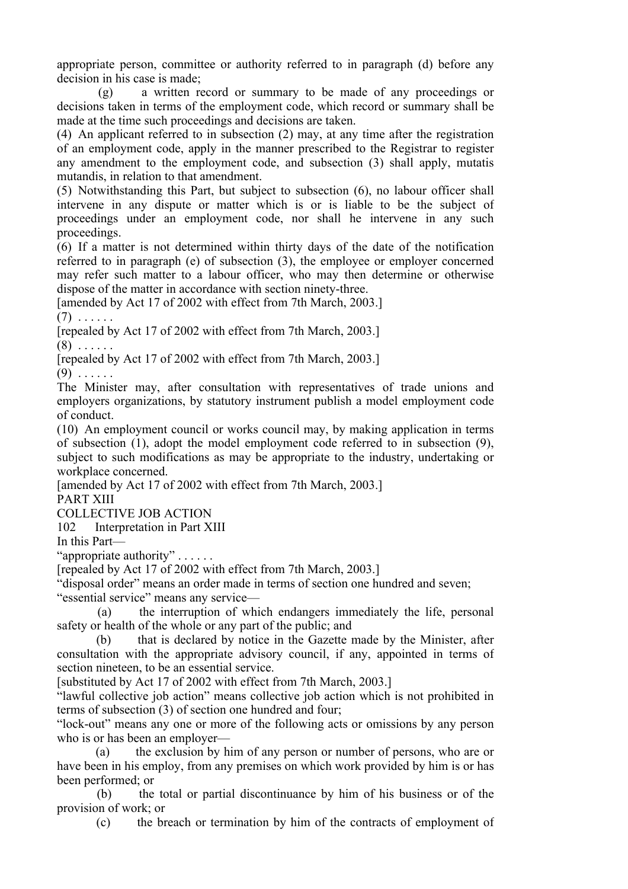appropriate person, committee or authority referred to in paragraph (d) before any decision in his case is made;

 (g) a written record or summary to be made of any proceedings or decisions taken in terms of the employment code, which record or summary shall be made at the time such proceedings and decisions are taken.

(4) An applicant referred to in subsection (2) may, at any time after the registration of an employment code, apply in the manner prescribed to the Registrar to register any amendment to the employment code, and subsection (3) shall apply, mutatis mutandis, in relation to that amendment.

(5) Notwithstanding this Part, but subject to subsection (6), no labour officer shall intervene in any dispute or matter which is or is liable to be the subject of proceedings under an employment code, nor shall he intervene in any such proceedings.

(6) If a matter is not determined within thirty days of the date of the notification referred to in paragraph (e) of subsection (3), the employee or employer concerned may refer such matter to a labour officer, who may then determine or otherwise dispose of the matter in accordance with section ninety-three.

[amended by Act 17 of 2002 with effect from 7th March, 2003.]  $(7)$  . . . . . .

[repealed by Act 17 of 2002 with effect from 7th March, 2003.]

 $(8)$  . . . . . .

[repealed by Act 17 of 2002 with effect from 7th March, 2003.]

 $(9)$  . . . . . .

The Minister may, after consultation with representatives of trade unions and employers organizations, by statutory instrument publish a model employment code of conduct.

(10) An employment council or works council may, by making application in terms of subsection (1), adopt the model employment code referred to in subsection (9), subject to such modifications as may be appropriate to the industry, undertaking or workplace concerned.

[amended by Act 17 of 2002 with effect from 7th March, 2003.]

PART XIII

COLLECTIVE JOB ACTION

102 Interpretation in Part XIII

In this Part—

"appropriate authority" . . . . . .

[repealed by Act 17 of 2002 with effect from 7th March, 2003.]

"disposal order" means an order made in terms of section one hundred and seven;

"essential service" means any service—

 (a) the interruption of which endangers immediately the life, personal safety or health of the whole or any part of the public; and

 (b) that is declared by notice in the Gazette made by the Minister, after consultation with the appropriate advisory council, if any, appointed in terms of section nineteen, to be an essential service.

[substituted by Act 17 of 2002 with effect from 7th March, 2003.]

"lawful collective job action" means collective job action which is not prohibited in terms of subsection (3) of section one hundred and four;

"lock-out" means any one or more of the following acts or omissions by any person who is or has been an employer—

 (a) the exclusion by him of any person or number of persons, who are or have been in his employ, from any premises on which work provided by him is or has been performed; or

 (b) the total or partial discontinuance by him of his business or of the provision of work; or

(c) the breach or termination by him of the contracts of employment of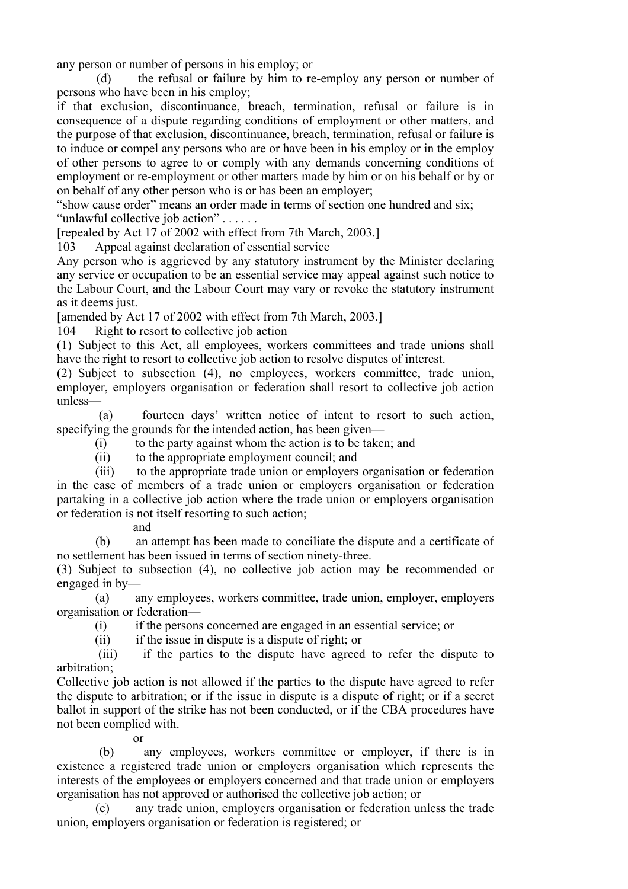any person or number of persons in his employ; or

 (d) the refusal or failure by him to re-employ any person or number of persons who have been in his employ;

if that exclusion, discontinuance, breach, termination, refusal or failure is in consequence of a dispute regarding conditions of employment or other matters, and the purpose of that exclusion, discontinuance, breach, termination, refusal or failure is to induce or compel any persons who are or have been in his employ or in the employ of other persons to agree to or comply with any demands concerning conditions of employment or re-employment or other matters made by him or on his behalf or by or on behalf of any other person who is or has been an employer;

"show cause order" means an order made in terms of section one hundred and six; "unlawful collective job action" . . . . . .

[repealed by Act 17 of 2002 with effect from 7th March, 2003.]

103 Appeal against declaration of essential service

Any person who is aggrieved by any statutory instrument by the Minister declaring any service or occupation to be an essential service may appeal against such notice to the Labour Court, and the Labour Court may vary or revoke the statutory instrument as it deems just.

[amended by Act 17 of 2002 with effect from 7th March, 2003.]

104 Right to resort to collective job action

(1) Subject to this Act, all employees, workers committees and trade unions shall have the right to resort to collective job action to resolve disputes of interest.

(2) Subject to subsection (4), no employees, workers committee, trade union, employer, employers organisation or federation shall resort to collective job action unless—

 (a) fourteen days' written notice of intent to resort to such action, specifying the grounds for the intended action, has been given—

(i) to the party against whom the action is to be taken; and

(ii) to the appropriate employment council; and

 (iii) to the appropriate trade union or employers organisation or federation in the case of members of a trade union or employers organisation or federation partaking in a collective job action where the trade union or employers organisation or federation is not itself resorting to such action;

and

 (b) an attempt has been made to conciliate the dispute and a certificate of no settlement has been issued in terms of section ninety-three.

(3) Subject to subsection (4), no collective job action may be recommended or engaged in by—

 (a) any employees, workers committee, trade union, employer, employers organisation or federation—

(i) if the persons concerned are engaged in an essential service; or

(ii) if the issue in dispute is a dispute of right; or

 (iii) if the parties to the dispute have agreed to refer the dispute to arbitration;

Collective job action is not allowed if the parties to the dispute have agreed to refer the dispute to arbitration; or if the issue in dispute is a dispute of right; or if a secret ballot in support of the strike has not been conducted, or if the CBA procedures have not been complied with.

or

 (b) any employees, workers committee or employer, if there is in existence a registered trade union or employers organisation which represents the interests of the employees or employers concerned and that trade union or employers organisation has not approved or authorised the collective job action; or

 (c) any trade union, employers organisation or federation unless the trade union, employers organisation or federation is registered; or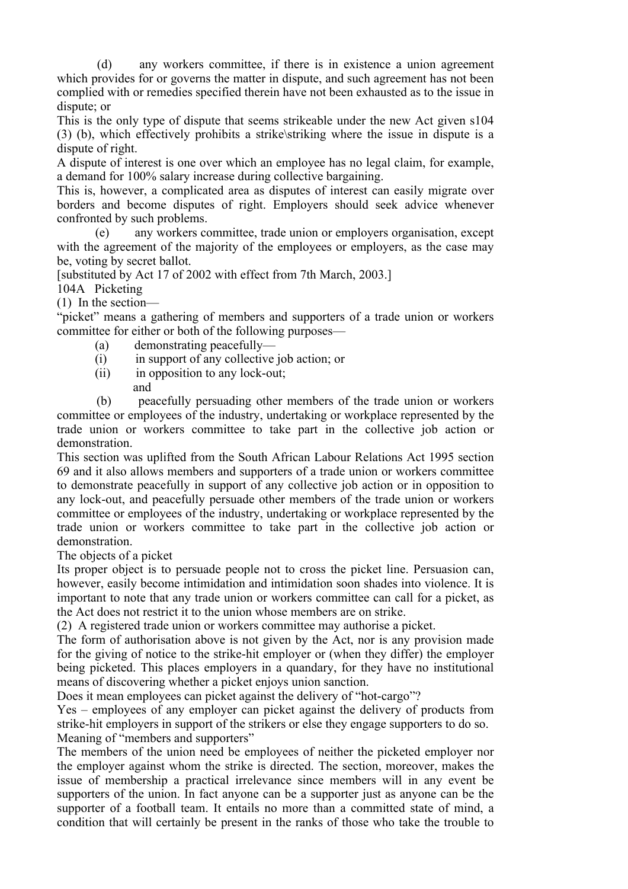(d) any workers committee, if there is in existence a union agreement which provides for or governs the matter in dispute, and such agreement has not been complied with or remedies specified therein have not been exhausted as to the issue in dispute; or

This is the only type of dispute that seems strikeable under the new Act given s104 (3) (b), which effectively prohibits a strike\striking where the issue in dispute is a dispute of right.

A dispute of interest is one over which an employee has no legal claim, for example, a demand for 100% salary increase during collective bargaining.

This is, however, a complicated area as disputes of interest can easily migrate over borders and become disputes of right. Employers should seek advice whenever confronted by such problems.

 (e) any workers committee, trade union or employers organisation, except with the agreement of the majority of the employees or employers, as the case may be, voting by secret ballot.

[substituted by Act 17 of 2002 with effect from 7th March, 2003.]

104A Picketing

(1) In the section—

"picket" means a gathering of members and supporters of a trade union or workers committee for either or both of the following purposes—

- (a) demonstrating peacefully—
- (i) in support of any collective job action; or
- (ii) in opposition to any lock-out;
	- and

 (b) peacefully persuading other members of the trade union or workers committee or employees of the industry, undertaking or workplace represented by the trade union or workers committee to take part in the collective job action or demonstration.

This section was uplifted from the South African Labour Relations Act 1995 section 69 and it also allows members and supporters of a trade union or workers committee to demonstrate peacefully in support of any collective job action or in opposition to any lock-out, and peacefully persuade other members of the trade union or workers committee or employees of the industry, undertaking or workplace represented by the trade union or workers committee to take part in the collective job action or demonstration.

The objects of a picket

Its proper object is to persuade people not to cross the picket line. Persuasion can, however, easily become intimidation and intimidation soon shades into violence. It is important to note that any trade union or workers committee can call for a picket, as the Act does not restrict it to the union whose members are on strike.

(2) A registered trade union or workers committee may authorise a picket.

The form of authorisation above is not given by the Act, nor is any provision made for the giving of notice to the strike-hit employer or (when they differ) the employer being picketed. This places employers in a quandary, for they have no institutional means of discovering whether a picket enjoys union sanction.

Does it mean employees can picket against the delivery of "hot-cargo"?

Yes – employees of any employer can picket against the delivery of products from strike-hit employers in support of the strikers or else they engage supporters to do so. Meaning of "members and supporters"

The members of the union need be employees of neither the picketed employer nor the employer against whom the strike is directed. The section, moreover, makes the issue of membership a practical irrelevance since members will in any event be supporters of the union. In fact anyone can be a supporter just as anyone can be the supporter of a football team. It entails no more than a committed state of mind, a condition that will certainly be present in the ranks of those who take the trouble to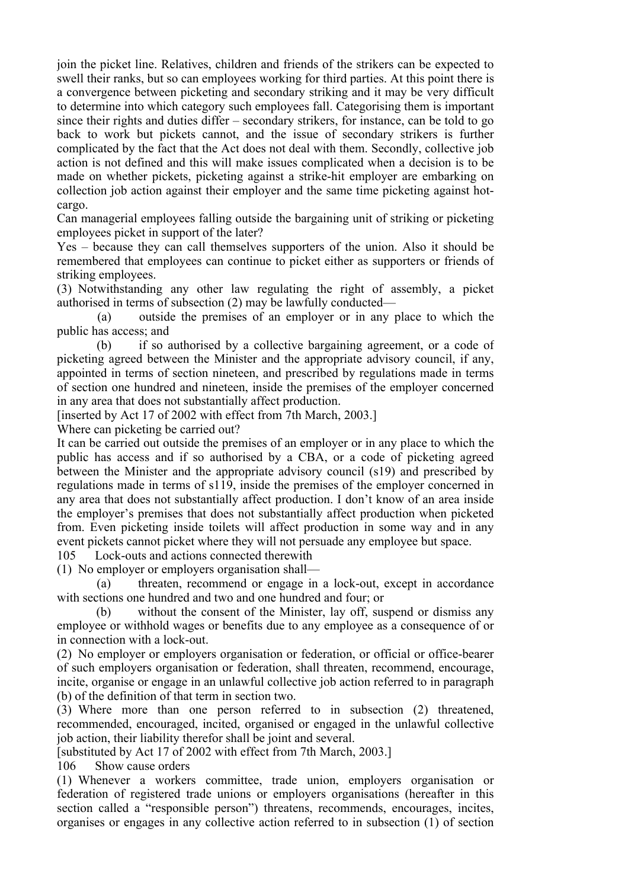join the picket line. Relatives, children and friends of the strikers can be expected to swell their ranks, but so can employees working for third parties. At this point there is a convergence between picketing and secondary striking and it may be very difficult to determine into which category such employees fall. Categorising them is important since their rights and duties differ – secondary strikers, for instance, can be told to go back to work but pickets cannot, and the issue of secondary strikers is further complicated by the fact that the Act does not deal with them. Secondly, collective job action is not defined and this will make issues complicated when a decision is to be made on whether pickets, picketing against a strike-hit employer are embarking on collection job action against their employer and the same time picketing against hotcargo.

Can managerial employees falling outside the bargaining unit of striking or picketing employees picket in support of the later?

Yes – because they can call themselves supporters of the union. Also it should be remembered that employees can continue to picket either as supporters or friends of striking employees.

(3) Notwithstanding any other law regulating the right of assembly, a picket authorised in terms of subsection (2) may be lawfully conducted—

 (a) outside the premises of an employer or in any place to which the public has access; and

 (b) if so authorised by a collective bargaining agreement, or a code of picketing agreed between the Minister and the appropriate advisory council, if any, appointed in terms of section nineteen, and prescribed by regulations made in terms of section one hundred and nineteen, inside the premises of the employer concerned in any area that does not substantially affect production.

[inserted by Act 17 of 2002 with effect from 7th March, 2003.]

Where can picketing be carried out?

It can be carried out outside the premises of an employer or in any place to which the public has access and if so authorised by a CBA, or a code of picketing agreed between the Minister and the appropriate advisory council (s19) and prescribed by regulations made in terms of s119, inside the premises of the employer concerned in any area that does not substantially affect production. I don't know of an area inside the employer's premises that does not substantially affect production when picketed from. Even picketing inside toilets will affect production in some way and in any event pickets cannot picket where they will not persuade any employee but space.

105 Lock-outs and actions connected therewith

(1) No employer or employers organisation shall—

 (a) threaten, recommend or engage in a lock-out, except in accordance with sections one hundred and two and one hundred and four; or

 (b) without the consent of the Minister, lay off, suspend or dismiss any employee or withhold wages or benefits due to any employee as a consequence of or in connection with a lock-out.

(2) No employer or employers organisation or federation, or official or office-bearer of such employers organisation or federation, shall threaten, recommend, encourage, incite, organise or engage in an unlawful collective job action referred to in paragraph (b) of the definition of that term in section two.

(3) Where more than one person referred to in subsection (2) threatened, recommended, encouraged, incited, organised or engaged in the unlawful collective job action, their liability therefor shall be joint and several.

[substituted by Act 17 of 2002 with effect from 7th March, 2003.]

106 Show cause orders

(1) Whenever a workers committee, trade union, employers organisation or federation of registered trade unions or employers organisations (hereafter in this section called a "responsible person") threatens, recommends, encourages, incites, organises or engages in any collective action referred to in subsection (1) of section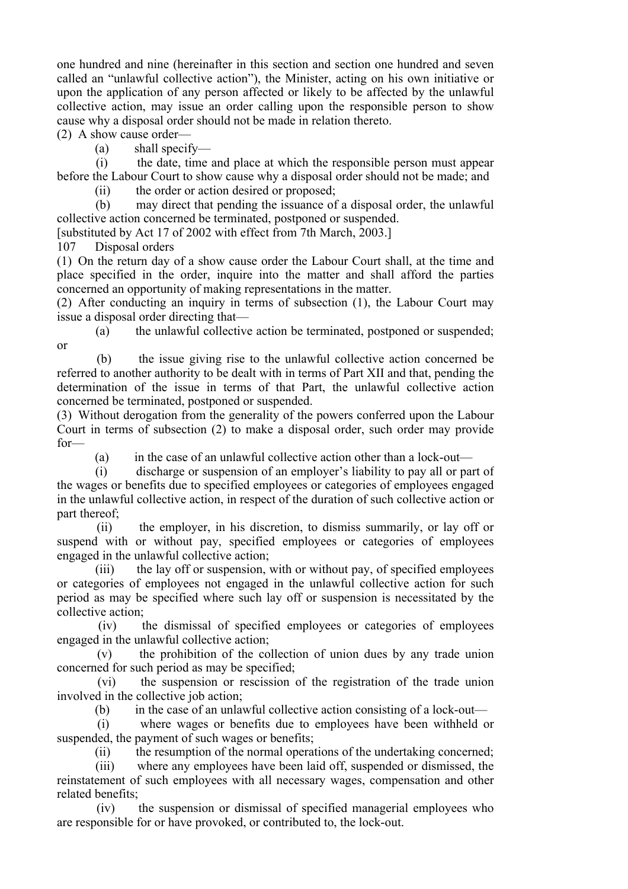one hundred and nine (hereinafter in this section and section one hundred and seven called an "unlawful collective action"), the Minister, acting on his own initiative or upon the application of any person affected or likely to be affected by the unlawful collective action, may issue an order calling upon the responsible person to show cause why a disposal order should not be made in relation thereto.

(2) A show cause order—

(a) shall specify—

 (i) the date, time and place at which the responsible person must appear before the Labour Court to show cause why a disposal order should not be made; and

(ii) the order or action desired or proposed;

 (b) may direct that pending the issuance of a disposal order, the unlawful collective action concerned be terminated, postponed or suspended.

[substituted by Act 17 of 2002 with effect from 7th March, 2003.]

107 Disposal orders

(1) On the return day of a show cause order the Labour Court shall, at the time and place specified in the order, inquire into the matter and shall afford the parties concerned an opportunity of making representations in the matter.

(2) After conducting an inquiry in terms of subsection (1), the Labour Court may issue a disposal order directing that—

 (a) the unlawful collective action be terminated, postponed or suspended; or

 (b) the issue giving rise to the unlawful collective action concerned be referred to another authority to be dealt with in terms of Part XII and that, pending the determination of the issue in terms of that Part, the unlawful collective action concerned be terminated, postponed or suspended.

(3) Without derogation from the generality of the powers conferred upon the Labour Court in terms of subsection (2) to make a disposal order, such order may provide for—

(a) in the case of an unlawful collective action other than a lock-out—

 (i) discharge or suspension of an employer's liability to pay all or part of the wages or benefits due to specified employees or categories of employees engaged in the unlawful collective action, in respect of the duration of such collective action or part thereof;

 (ii) the employer, in his discretion, to dismiss summarily, or lay off or suspend with or without pay, specified employees or categories of employees engaged in the unlawful collective action;

 (iii) the lay off or suspension, with or without pay, of specified employees or categories of employees not engaged in the unlawful collective action for such period as may be specified where such lay off or suspension is necessitated by the collective action;

 (iv) the dismissal of specified employees or categories of employees engaged in the unlawful collective action;

 (v) the prohibition of the collection of union dues by any trade union concerned for such period as may be specified;

 (vi) the suspension or rescission of the registration of the trade union involved in the collective job action;

(b) in the case of an unlawful collective action consisting of a lock-out—

 (i) where wages or benefits due to employees have been withheld or suspended, the payment of such wages or benefits;

(ii) the resumption of the normal operations of the undertaking concerned;

 (iii) where any employees have been laid off, suspended or dismissed, the reinstatement of such employees with all necessary wages, compensation and other related benefits;

 (iv) the suspension or dismissal of specified managerial employees who are responsible for or have provoked, or contributed to, the lock-out.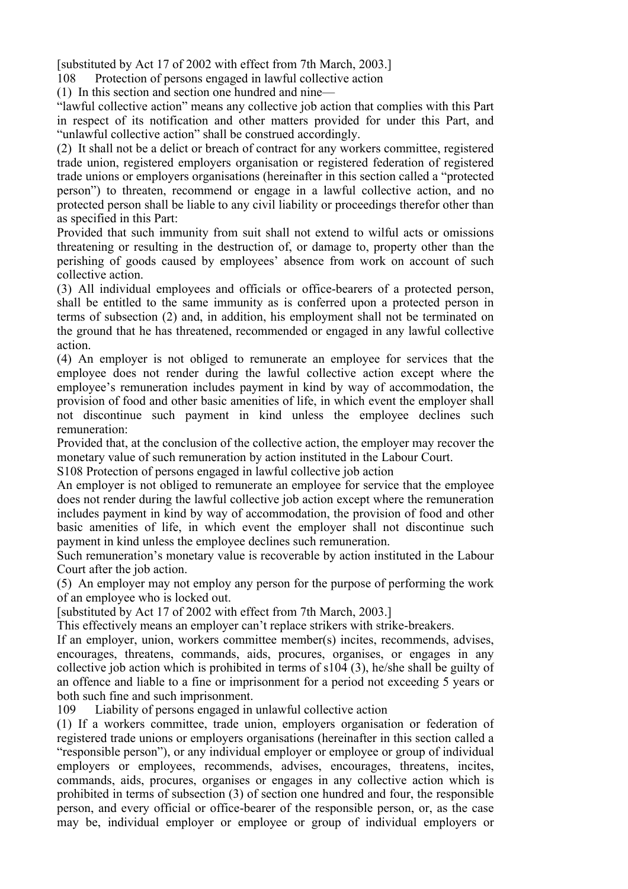[substituted by Act 17 of 2002 with effect from 7th March, 2003.]

108 Protection of persons engaged in lawful collective action

(1) In this section and section one hundred and nine—

"lawful collective action" means any collective job action that complies with this Part in respect of its notification and other matters provided for under this Part, and "unlawful collective action" shall be construed accordingly.

(2) It shall not be a delict or breach of contract for any workers committee, registered trade union, registered employers organisation or registered federation of registered trade unions or employers organisations (hereinafter in this section called a "protected person") to threaten, recommend or engage in a lawful collective action, and no protected person shall be liable to any civil liability or proceedings therefor other than as specified in this Part:

Provided that such immunity from suit shall not extend to wilful acts or omissions threatening or resulting in the destruction of, or damage to, property other than the perishing of goods caused by employees' absence from work on account of such collective action.

(3) All individual employees and officials or office-bearers of a protected person, shall be entitled to the same immunity as is conferred upon a protected person in terms of subsection (2) and, in addition, his employment shall not be terminated on the ground that he has threatened, recommended or engaged in any lawful collective action.

(4) An employer is not obliged to remunerate an employee for services that the employee does not render during the lawful collective action except where the employee's remuneration includes payment in kind by way of accommodation, the provision of food and other basic amenities of life, in which event the employer shall not discontinue such payment in kind unless the employee declines such remuneration:

Provided that, at the conclusion of the collective action, the employer may recover the monetary value of such remuneration by action instituted in the Labour Court.

S108 Protection of persons engaged in lawful collective job action

An employer is not obliged to remunerate an employee for service that the employee does not render during the lawful collective job action except where the remuneration includes payment in kind by way of accommodation, the provision of food and other basic amenities of life, in which event the employer shall not discontinue such payment in kind unless the employee declines such remuneration.

Such remuneration's monetary value is recoverable by action instituted in the Labour Court after the job action.

(5) An employer may not employ any person for the purpose of performing the work of an employee who is locked out.

[substituted by Act 17 of 2002 with effect from 7th March, 2003.]

This effectively means an employer can't replace strikers with strike-breakers.

If an employer, union, workers committee member(s) incites, recommends, advises, encourages, threatens, commands, aids, procures, organises, or engages in any collective job action which is prohibited in terms of s104 (3), he/she shall be guilty of an offence and liable to a fine or imprisonment for a period not exceeding 5 years or both such fine and such imprisonment.

109 Liability of persons engaged in unlawful collective action

(1) If a workers committee, trade union, employers organisation or federation of registered trade unions or employers organisations (hereinafter in this section called a "responsible person"), or any individual employer or employee or group of individual employers or employees, recommends, advises, encourages, threatens, incites, commands, aids, procures, organises or engages in any collective action which is prohibited in terms of subsection (3) of section one hundred and four, the responsible person, and every official or office-bearer of the responsible person, or, as the case may be, individual employer or employee or group of individual employers or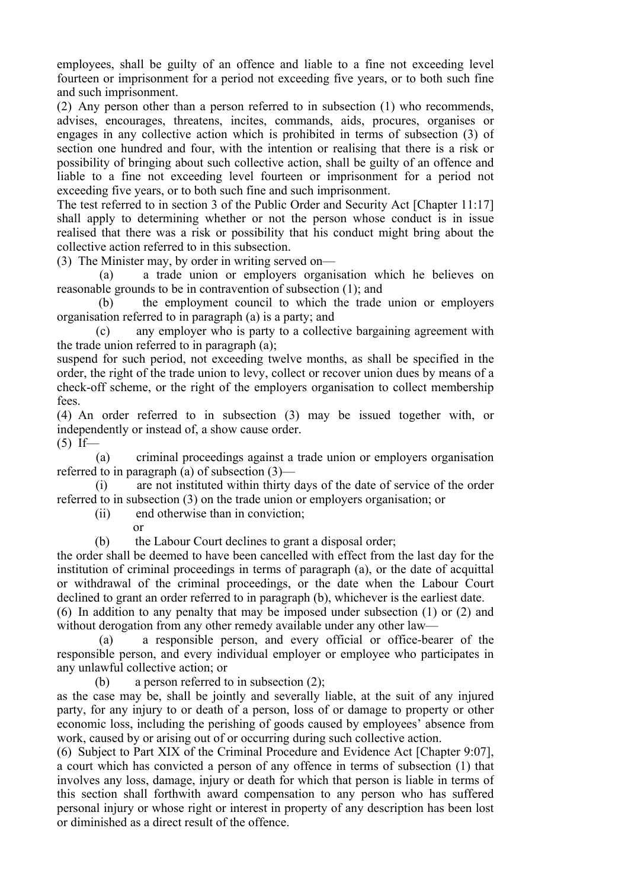employees, shall be guilty of an offence and liable to a fine not exceeding level fourteen or imprisonment for a period not exceeding five years, or to both such fine and such imprisonment.

(2) Any person other than a person referred to in subsection (1) who recommends, advises, encourages, threatens, incites, commands, aids, procures, organises or engages in any collective action which is prohibited in terms of subsection (3) of section one hundred and four, with the intention or realising that there is a risk or possibility of bringing about such collective action, shall be guilty of an offence and liable to a fine not exceeding level fourteen or imprisonment for a period not exceeding five years, or to both such fine and such imprisonment.

The test referred to in section 3 of the Public Order and Security Act [Chapter 11:17] shall apply to determining whether or not the person whose conduct is in issue realised that there was a risk or possibility that his conduct might bring about the collective action referred to in this subsection.

(3) The Minister may, by order in writing served on—

 (a) a trade union or employers organisation which he believes on reasonable grounds to be in contravention of subsection (1); and

 (b) the employment council to which the trade union or employers organisation referred to in paragraph (a) is a party; and

 (c) any employer who is party to a collective bargaining agreement with the trade union referred to in paragraph (a);

suspend for such period, not exceeding twelve months, as shall be specified in the order, the right of the trade union to levy, collect or recover union dues by means of a check-off scheme, or the right of the employers organisation to collect membership fees.

(4) An order referred to in subsection (3) may be issued together with, or independently or instead of, a show cause order.

 $(5)$  If—

 (a) criminal proceedings against a trade union or employers organisation referred to in paragraph (a) of subsection (3)—

 (i) are not instituted within thirty days of the date of service of the order referred to in subsection (3) on the trade union or employers organisation; or

(ii) end otherwise than in conviction;

or

(b) the Labour Court declines to grant a disposal order;

the order shall be deemed to have been cancelled with effect from the last day for the institution of criminal proceedings in terms of paragraph (a), or the date of acquittal or withdrawal of the criminal proceedings, or the date when the Labour Court declined to grant an order referred to in paragraph (b), whichever is the earliest date.

(6) In addition to any penalty that may be imposed under subsection (1) or (2) and without derogation from any other remedy available under any other law—

 (a) a responsible person, and every official or office-bearer of the responsible person, and every individual employer or employee who participates in any unlawful collective action; or

(b) a person referred to in subsection (2);

as the case may be, shall be jointly and severally liable, at the suit of any injured party, for any injury to or death of a person, loss of or damage to property or other economic loss, including the perishing of goods caused by employees' absence from work, caused by or arising out of or occurring during such collective action.

(6) Subject to Part XIX of the Criminal Procedure and Evidence Act [Chapter 9:07], a court which has convicted a person of any offence in terms of subsection (1) that involves any loss, damage, injury or death for which that person is liable in terms of this section shall forthwith award compensation to any person who has suffered personal injury or whose right or interest in property of any description has been lost or diminished as a direct result of the offence.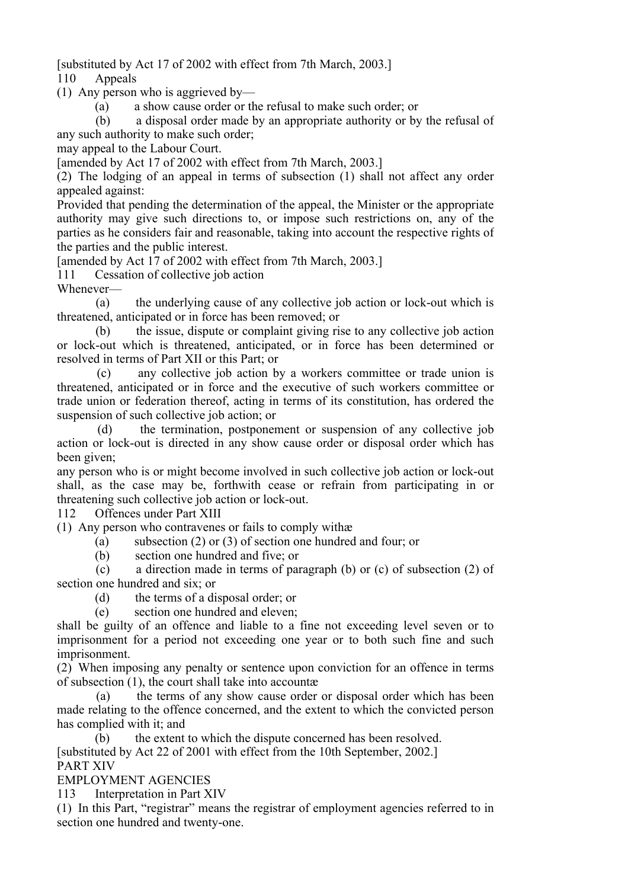[substituted by Act 17 of 2002 with effect from 7th March, 2003.]

110 Appeals

(1) Any person who is aggrieved by—

(a) a show cause order or the refusal to make such order; or

 (b) a disposal order made by an appropriate authority or by the refusal of any such authority to make such order;

may appeal to the Labour Court.

[amended by Act 17 of 2002 with effect from 7th March, 2003.]

(2) The lodging of an appeal in terms of subsection (1) shall not affect any order appealed against:

Provided that pending the determination of the appeal, the Minister or the appropriate authority may give such directions to, or impose such restrictions on, any of the parties as he considers fair and reasonable, taking into account the respective rights of the parties and the public interest.

[amended by Act 17 of 2002 with effect from 7th March, 2003.]

111 Cessation of collective job action

Whenever—

 (a) the underlying cause of any collective job action or lock-out which is threatened, anticipated or in force has been removed; or

 (b) the issue, dispute or complaint giving rise to any collective job action or lock-out which is threatened, anticipated, or in force has been determined or resolved in terms of Part XII or this Part; or

 (c) any collective job action by a workers committee or trade union is threatened, anticipated or in force and the executive of such workers committee or trade union or federation thereof, acting in terms of its constitution, has ordered the suspension of such collective job action; or

 (d) the termination, postponement or suspension of any collective job action or lock-out is directed in any show cause order or disposal order which has been given;

any person who is or might become involved in such collective job action or lock-out shall, as the case may be, forthwith cease or refrain from participating in or threatening such collective job action or lock-out.

112 Offences under Part XIII

(1) Any person who contravenes or fails to comply withæ

- $(a)$  subsection (2) or (3) of section one hundred and four; or
- (b) section one hundred and five; or

 (c) a direction made in terms of paragraph (b) or (c) of subsection (2) of section one hundred and six; or

- (d) the terms of a disposal order; or
- (e) section one hundred and eleven;

shall be guilty of an offence and liable to a fine not exceeding level seven or to imprisonment for a period not exceeding one year or to both such fine and such imprisonment.

(2) When imposing any penalty or sentence upon conviction for an offence in terms of subsection (1), the court shall take into accountæ

 (a) the terms of any show cause order or disposal order which has been made relating to the offence concerned, and the extent to which the convicted person has complied with it; and

 (b) the extent to which the dispute concerned has been resolved. [substituted by Act 22 of 2001 with effect from the 10th September, 2002.] PART XIV

## EMPLOYMENT AGENCIES

113 Interpretation in Part XIV

(1) In this Part, "registrar" means the registrar of employment agencies referred to in section one hundred and twenty-one.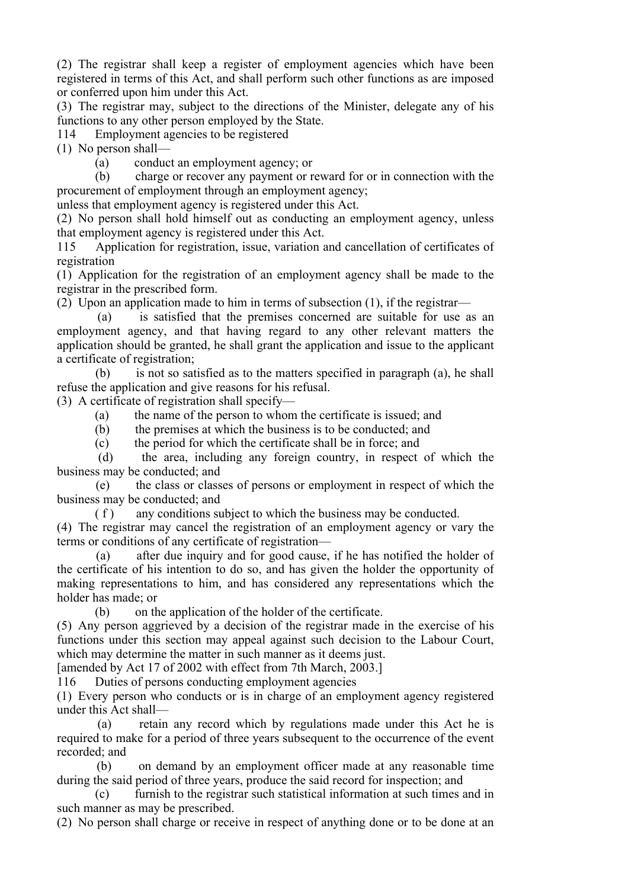(2) The registrar shall keep a register of employment agencies which have been registered in terms of this Act, and shall perform such other functions as are imposed or conferred upon him under this Act.

(3) The registrar may, subject to the directions of the Minister, delegate any of his functions to any other person employed by the State.

114 Employment agencies to be registered

(1) No person shall—

(a) conduct an employment agency; or

 (b) charge or recover any payment or reward for or in connection with the procurement of employment through an employment agency;

unless that employment agency is registered under this Act.

(2) No person shall hold himself out as conducting an employment agency, unless that employment agency is registered under this Act.

115 Application for registration, issue, variation and cancellation of certificates of registration

(1) Application for the registration of an employment agency shall be made to the registrar in the prescribed form.

(2) Upon an application made to him in terms of subsection  $(1)$ , if the registrar—

 (a) is satisfied that the premises concerned are suitable for use as an employment agency, and that having regard to any other relevant matters the application should be granted, he shall grant the application and issue to the applicant a certificate of registration;

 (b) is not so satisfied as to the matters specified in paragraph (a), he shall refuse the application and give reasons for his refusal.

(3) A certificate of registration shall specify—

(a) the name of the person to whom the certificate is issued; and

(b) the premises at which the business is to be conducted; and

(c) the period for which the certificate shall be in force; and

 (d) the area, including any foreign country, in respect of which the business may be conducted; and

 (e) the class or classes of persons or employment in respect of which the business may be conducted; and

( f ) any conditions subject to which the business may be conducted.

(4) The registrar may cancel the registration of an employment agency or vary the terms or conditions of any certificate of registration—

 (a) after due inquiry and for good cause, if he has notified the holder of the certificate of his intention to do so, and has given the holder the opportunity of making representations to him, and has considered any representations which the holder has made; or

(b) on the application of the holder of the certificate.

(5) Any person aggrieved by a decision of the registrar made in the exercise of his functions under this section may appeal against such decision to the Labour Court, which may determine the matter in such manner as it deems just.

[amended by Act 17 of 2002 with effect from 7th March, 2003.]

116 Duties of persons conducting employment agencies

(1) Every person who conducts or is in charge of an employment agency registered under this Act shall—

 (a) retain any record which by regulations made under this Act he is required to make for a period of three years subsequent to the occurrence of the event recorded; and

 (b) on demand by an employment officer made at any reasonable time during the said period of three years, produce the said record for inspection; and

 (c) furnish to the registrar such statistical information at such times and in such manner as may be prescribed.

(2) No person shall charge or receive in respect of anything done or to be done at an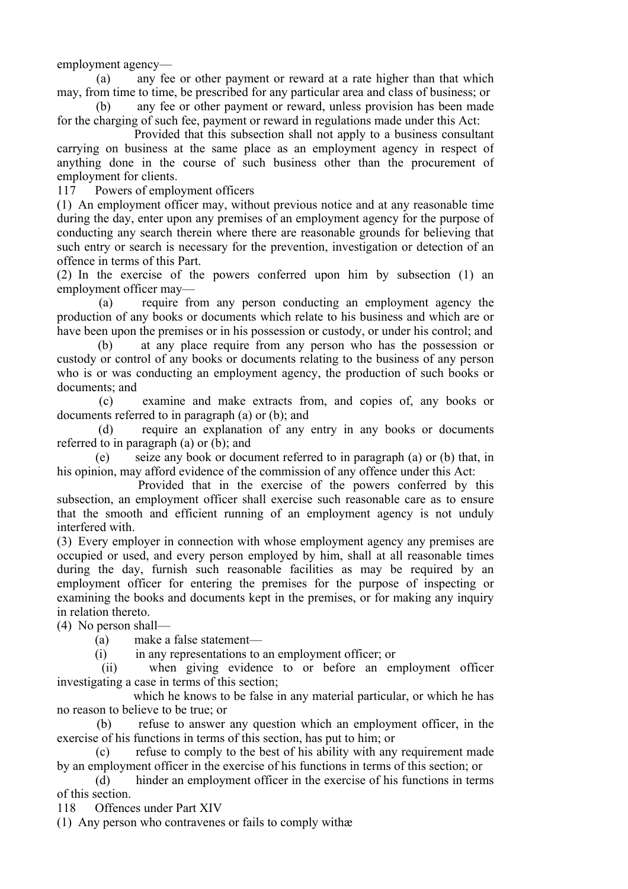employment agency—

 (a) any fee or other payment or reward at a rate higher than that which may, from time to time, be prescribed for any particular area and class of business; or

 (b) any fee or other payment or reward, unless provision has been made for the charging of such fee, payment or reward in regulations made under this Act:

 Provided that this subsection shall not apply to a business consultant carrying on business at the same place as an employment agency in respect of anything done in the course of such business other than the procurement of employment for clients.

117 Powers of employment officers

(1) An employment officer may, without previous notice and at any reasonable time during the day, enter upon any premises of an employment agency for the purpose of conducting any search therein where there are reasonable grounds for believing that such entry or search is necessary for the prevention, investigation or detection of an offence in terms of this Part.

(2) In the exercise of the powers conferred upon him by subsection (1) an employment officer may—

 (a) require from any person conducting an employment agency the production of any books or documents which relate to his business and which are or have been upon the premises or in his possession or custody, or under his control; and

 (b) at any place require from any person who has the possession or custody or control of any books or documents relating to the business of any person who is or was conducting an employment agency, the production of such books or documents; and

 (c) examine and make extracts from, and copies of, any books or documents referred to in paragraph (a) or (b); and

 (d) require an explanation of any entry in any books or documents referred to in paragraph (a) or (b); and

 (e) seize any book or document referred to in paragraph (a) or (b) that, in his opinion, may afford evidence of the commission of any offence under this Act:

 Provided that in the exercise of the powers conferred by this subsection, an employment officer shall exercise such reasonable care as to ensure that the smooth and efficient running of an employment agency is not unduly interfered with.

(3) Every employer in connection with whose employment agency any premises are occupied or used, and every person employed by him, shall at all reasonable times during the day, furnish such reasonable facilities as may be required by an employment officer for entering the premises for the purpose of inspecting or examining the books and documents kept in the premises, or for making any inquiry in relation thereto.

(4) No person shall—

(a) make a false statement—

(i) in any representations to an employment officer; or

 (ii) when giving evidence to or before an employment officer investigating a case in terms of this section;

 which he knows to be false in any material particular, or which he has no reason to believe to be true; or

 (b) refuse to answer any question which an employment officer, in the exercise of his functions in terms of this section, has put to him; or

 (c) refuse to comply to the best of his ability with any requirement made by an employment officer in the exercise of his functions in terms of this section; or

 (d) hinder an employment officer in the exercise of his functions in terms of this section.

118 Offences under Part XIV

(1) Any person who contravenes or fails to comply withæ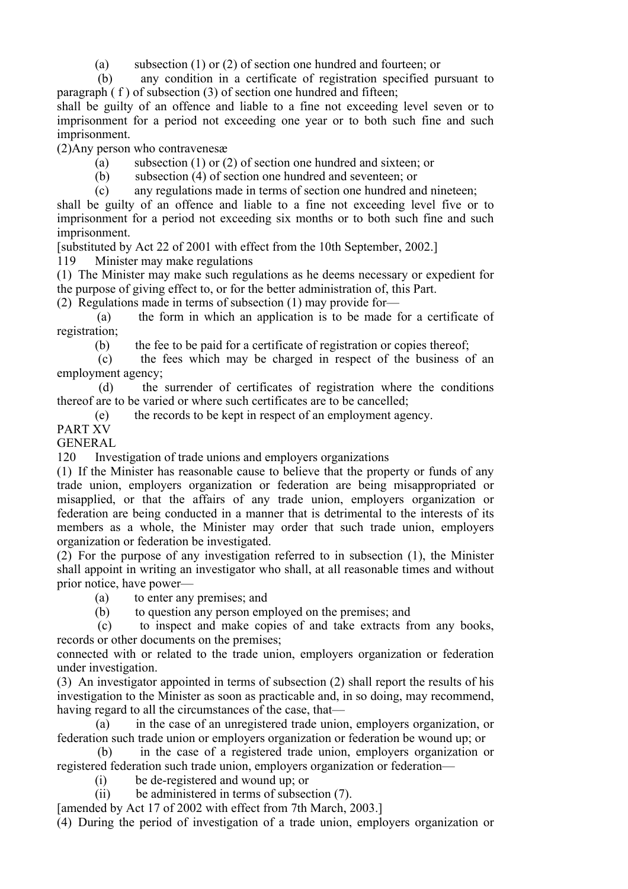(a) subsection (1) or (2) of section one hundred and fourteen; or

 (b) any condition in a certificate of registration specified pursuant to paragraph ( f ) of subsection (3) of section one hundred and fifteen;

shall be guilty of an offence and liable to a fine not exceeding level seven or to imprisonment for a period not exceeding one year or to both such fine and such imprisonment.

(2)Any person who contravenesæ

(a) subsection (1) or (2) of section one hundred and sixteen; or

(b) subsection (4) of section one hundred and seventeen; or

(c) any regulations made in terms of section one hundred and nineteen;

shall be guilty of an offence and liable to a fine not exceeding level five or to imprisonment for a period not exceeding six months or to both such fine and such imprisonment.

[substituted by Act 22 of 2001 with effect from the 10th September, 2002.]

119 Minister may make regulations

(1) The Minister may make such regulations as he deems necessary or expedient for the purpose of giving effect to, or for the better administration of, this Part.

(2) Regulations made in terms of subsection (1) may provide for—

 (a) the form in which an application is to be made for a certificate of registration;

(b) the fee to be paid for a certificate of registration or copies thereof;

 (c) the fees which may be charged in respect of the business of an employment agency;

 (d) the surrender of certificates of registration where the conditions thereof are to be varied or where such certificates are to be cancelled;

(e) the records to be kept in respect of an employment agency.

PART XV

**GENERAL** 

120 Investigation of trade unions and employers organizations

(1) If the Minister has reasonable cause to believe that the property or funds of any trade union, employers organization or federation are being misappropriated or misapplied, or that the affairs of any trade union, employers organization or federation are being conducted in a manner that is detrimental to the interests of its members as a whole, the Minister may order that such trade union, employers organization or federation be investigated.

(2) For the purpose of any investigation referred to in subsection (1), the Minister shall appoint in writing an investigator who shall, at all reasonable times and without prior notice, have power—

(a) to enter any premises; and

(b) to question any person employed on the premises; and

 (c) to inspect and make copies of and take extracts from any books, records or other documents on the premises;

connected with or related to the trade union, employers organization or federation under investigation.

(3) An investigator appointed in terms of subsection (2) shall report the results of his investigation to the Minister as soon as practicable and, in so doing, may recommend, having regard to all the circumstances of the case, that—

 (a) in the case of an unregistered trade union, employers organization, or federation such trade union or employers organization or federation be wound up; or

 (b) in the case of a registered trade union, employers organization or registered federation such trade union, employers organization or federation—

(i) be de-registered and wound up; or

(ii) be administered in terms of subsection (7).

[amended by Act 17 of 2002 with effect from 7th March, 2003.]

(4) During the period of investigation of a trade union, employers organization or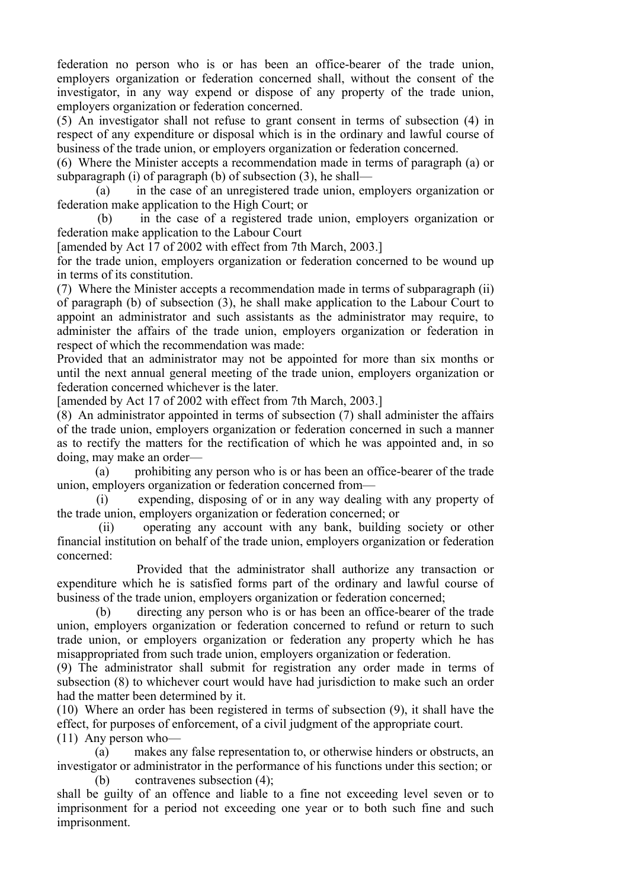federation no person who is or has been an office-bearer of the trade union, employers organization or federation concerned shall, without the consent of the investigator, in any way expend or dispose of any property of the trade union, employers organization or federation concerned.

(5) An investigator shall not refuse to grant consent in terms of subsection (4) in respect of any expenditure or disposal which is in the ordinary and lawful course of business of the trade union, or employers organization or federation concerned.

(6) Where the Minister accepts a recommendation made in terms of paragraph (a) or subparagraph (i) of paragraph (b) of subsection (3), he shall—

 (a) in the case of an unregistered trade union, employers organization or federation make application to the High Court; or

 (b) in the case of a registered trade union, employers organization or federation make application to the Labour Court

[amended by Act 17 of 2002 with effect from 7th March, 2003.]

for the trade union, employers organization or federation concerned to be wound up in terms of its constitution.

(7) Where the Minister accepts a recommendation made in terms of subparagraph (ii) of paragraph (b) of subsection (3), he shall make application to the Labour Court to appoint an administrator and such assistants as the administrator may require, to administer the affairs of the trade union, employers organization or federation in respect of which the recommendation was made:

Provided that an administrator may not be appointed for more than six months or until the next annual general meeting of the trade union, employers organization or federation concerned whichever is the later.

[amended by Act 17 of 2002 with effect from 7th March, 2003.]

(8) An administrator appointed in terms of subsection (7) shall administer the affairs of the trade union, employers organization or federation concerned in such a manner as to rectify the matters for the rectification of which he was appointed and, in so doing, may make an order—

 (a) prohibiting any person who is or has been an office-bearer of the trade union, employers organization or federation concerned from—

 (i) expending, disposing of or in any way dealing with any property of the trade union, employers organization or federation concerned; or

 (ii) operating any account with any bank, building society or other financial institution on behalf of the trade union, employers organization or federation concerned:

 Provided that the administrator shall authorize any transaction or expenditure which he is satisfied forms part of the ordinary and lawful course of business of the trade union, employers organization or federation concerned;

 (b) directing any person who is or has been an office-bearer of the trade union, employers organization or federation concerned to refund or return to such trade union, or employers organization or federation any property which he has misappropriated from such trade union, employers organization or federation.

(9) The administrator shall submit for registration any order made in terms of subsection (8) to whichever court would have had jurisdiction to make such an order had the matter been determined by it.

(10) Where an order has been registered in terms of subsection (9), it shall have the effect, for purposes of enforcement, of a civil judgment of the appropriate court.

(11) Any person who—

 (a) makes any false representation to, or otherwise hinders or obstructs, an investigator or administrator in the performance of his functions under this section; or

 (b) contravenes subsection (4); shall be guilty of an offence and liable to a fine not exceeding level seven or to imprisonment for a period not exceeding one year or to both such fine and such imprisonment.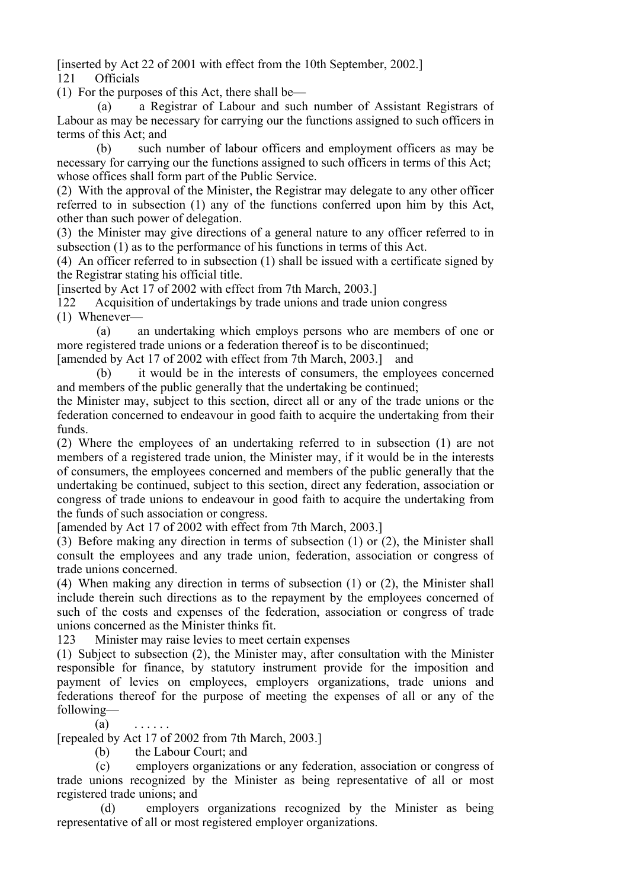[inserted by Act 22 of 2001 with effect from the 10th September, 2002.] 121 Officials

(1) For the purposes of this Act, there shall be—

 (a) a Registrar of Labour and such number of Assistant Registrars of Labour as may be necessary for carrying our the functions assigned to such officers in terms of this Act; and

 (b) such number of labour officers and employment officers as may be necessary for carrying our the functions assigned to such officers in terms of this Act; whose offices shall form part of the Public Service.

(2) With the approval of the Minister, the Registrar may delegate to any other officer referred to in subsection (1) any of the functions conferred upon him by this Act, other than such power of delegation.

(3) the Minister may give directions of a general nature to any officer referred to in subsection (1) as to the performance of his functions in terms of this Act.

(4) An officer referred to in subsection (1) shall be issued with a certificate signed by the Registrar stating his official title.

[inserted by Act 17 of 2002 with effect from 7th March, 2003.]

122 Acquisition of undertakings by trade unions and trade union congress (1) Whenever—

 (a) an undertaking which employs persons who are members of one or more registered trade unions or a federation thereof is to be discontinued;

[amended by Act 17 of 2002 with effect from 7th March, 2003.] and

 (b) it would be in the interests of consumers, the employees concerned and members of the public generally that the undertaking be continued;

the Minister may, subject to this section, direct all or any of the trade unions or the federation concerned to endeavour in good faith to acquire the undertaking from their funds.

(2) Where the employees of an undertaking referred to in subsection (1) are not members of a registered trade union, the Minister may, if it would be in the interests of consumers, the employees concerned and members of the public generally that the undertaking be continued, subject to this section, direct any federation, association or congress of trade unions to endeavour in good faith to acquire the undertaking from the funds of such association or congress.

[amended by Act 17 of 2002 with effect from 7th March, 2003.]

(3) Before making any direction in terms of subsection (1) or (2), the Minister shall consult the employees and any trade union, federation, association or congress of trade unions concerned.

(4) When making any direction in terms of subsection (1) or (2), the Minister shall include therein such directions as to the repayment by the employees concerned of such of the costs and expenses of the federation, association or congress of trade unions concerned as the Minister thinks fit.

123 Minister may raise levies to meet certain expenses

(1) Subject to subsection (2), the Minister may, after consultation with the Minister responsible for finance, by statutory instrument provide for the imposition and payment of levies on employees, employers organizations, trade unions and federations thereof for the purpose of meeting the expenses of all or any of the following—

 $(a)$ 

[repealed by Act 17 of 2002 from 7th March, 2003.]

(b) the Labour Court; and

 (c) employers organizations or any federation, association or congress of trade unions recognized by the Minister as being representative of all or most registered trade unions; and

 (d) employers organizations recognized by the Minister as being representative of all or most registered employer organizations.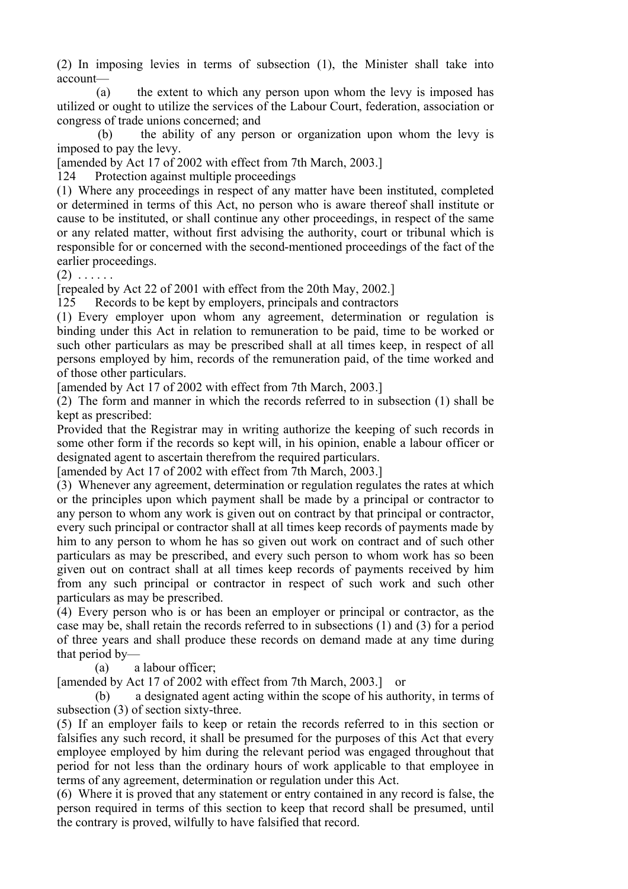(2) In imposing levies in terms of subsection (1), the Minister shall take into account—

 (a) the extent to which any person upon whom the levy is imposed has utilized or ought to utilize the services of the Labour Court, federation, association or congress of trade unions concerned; and

 (b) the ability of any person or organization upon whom the levy is imposed to pay the levy.

[amended by Act 17 of 2002 with effect from 7th March, 2003.]

124 Protection against multiple proceedings

(1) Where any proceedings in respect of any matter have been instituted, completed or determined in terms of this Act, no person who is aware thereof shall institute or cause to be instituted, or shall continue any other proceedings, in respect of the same or any related matter, without first advising the authority, court or tribunal which is responsible for or concerned with the second-mentioned proceedings of the fact of the earlier proceedings.

 $(2)$  . . . . . .

[repealed by Act 22 of 2001 with effect from the 20th May, 2002.]

125 Records to be kept by employers, principals and contractors

(1) Every employer upon whom any agreement, determination or regulation is binding under this Act in relation to remuneration to be paid, time to be worked or such other particulars as may be prescribed shall at all times keep, in respect of all persons employed by him, records of the remuneration paid, of the time worked and of those other particulars.

[amended by Act 17 of 2002 with effect from 7th March, 2003.]

(2) The form and manner in which the records referred to in subsection (1) shall be kept as prescribed:

Provided that the Registrar may in writing authorize the keeping of such records in some other form if the records so kept will, in his opinion, enable a labour officer or designated agent to ascertain therefrom the required particulars.

[amended by Act 17 of 2002 with effect from 7th March, 2003.]

(3) Whenever any agreement, determination or regulation regulates the rates at which or the principles upon which payment shall be made by a principal or contractor to any person to whom any work is given out on contract by that principal or contractor, every such principal or contractor shall at all times keep records of payments made by him to any person to whom he has so given out work on contract and of such other particulars as may be prescribed, and every such person to whom work has so been given out on contract shall at all times keep records of payments received by him from any such principal or contractor in respect of such work and such other particulars as may be prescribed.

(4) Every person who is or has been an employer or principal or contractor, as the case may be, shall retain the records referred to in subsections (1) and (3) for a period of three years and shall produce these records on demand made at any time during that period by—

(a) a labour officer;

[amended by Act 17 of 2002 with effect from 7th March, 2003.] or

 (b) a designated agent acting within the scope of his authority, in terms of subsection (3) of section sixty-three.

(5) If an employer fails to keep or retain the records referred to in this section or falsifies any such record, it shall be presumed for the purposes of this Act that every employee employed by him during the relevant period was engaged throughout that period for not less than the ordinary hours of work applicable to that employee in terms of any agreement, determination or regulation under this Act.

(6) Where it is proved that any statement or entry contained in any record is false, the person required in terms of this section to keep that record shall be presumed, until the contrary is proved, wilfully to have falsified that record.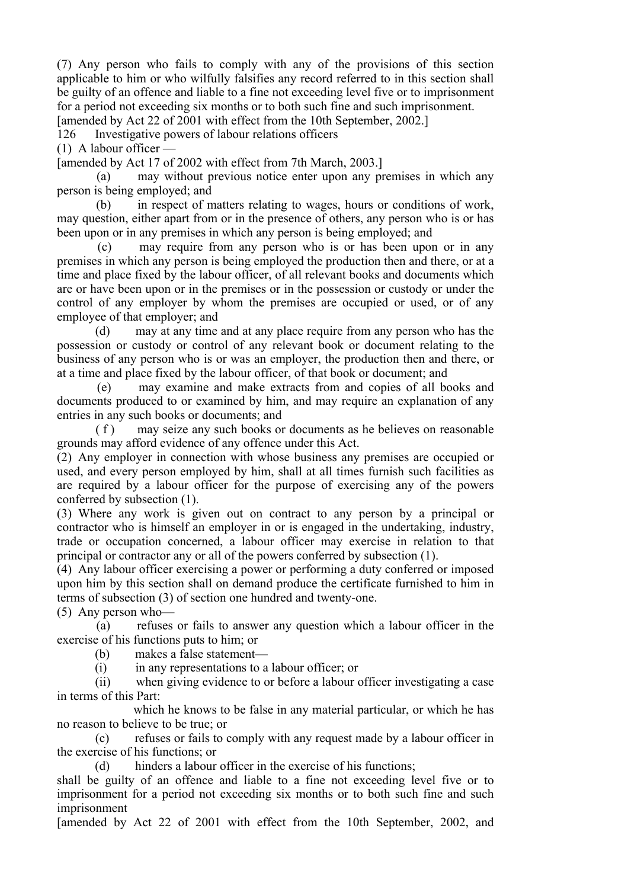(7) Any person who fails to comply with any of the provisions of this section applicable to him or who wilfully falsifies any record referred to in this section shall be guilty of an offence and liable to a fine not exceeding level five or to imprisonment for a period not exceeding six months or to both such fine and such imprisonment. [amended by Act 22 of 2001 with effect from the 10th September, 2002.]

126 Investigative powers of labour relations officers

(1) A labour officer —

[amended by Act 17 of 2002 with effect from 7th March, 2003.]

 (a) may without previous notice enter upon any premises in which any person is being employed; and

 (b) in respect of matters relating to wages, hours or conditions of work, may question, either apart from or in the presence of others, any person who is or has been upon or in any premises in which any person is being employed; and

 (c) may require from any person who is or has been upon or in any premises in which any person is being employed the production then and there, or at a time and place fixed by the labour officer, of all relevant books and documents which are or have been upon or in the premises or in the possession or custody or under the control of any employer by whom the premises are occupied or used, or of any employee of that employer; and

 (d) may at any time and at any place require from any person who has the possession or custody or control of any relevant book or document relating to the business of any person who is or was an employer, the production then and there, or at a time and place fixed by the labour officer, of that book or document; and

 (e) may examine and make extracts from and copies of all books and documents produced to or examined by him, and may require an explanation of any entries in any such books or documents; and

 $(f)$  may seize any such books or documents as he believes on reasonable grounds may afford evidence of any offence under this Act.

(2) Any employer in connection with whose business any premises are occupied or used, and every person employed by him, shall at all times furnish such facilities as are required by a labour officer for the purpose of exercising any of the powers conferred by subsection (1).

(3) Where any work is given out on contract to any person by a principal or contractor who is himself an employer in or is engaged in the undertaking, industry, trade or occupation concerned, a labour officer may exercise in relation to that principal or contractor any or all of the powers conferred by subsection (1).

(4) Any labour officer exercising a power or performing a duty conferred or imposed upon him by this section shall on demand produce the certificate furnished to him in terms of subsection (3) of section one hundred and twenty-one.

(5) Any person who—

 (a) refuses or fails to answer any question which a labour officer in the exercise of his functions puts to him; or

(b) makes a false statement—

(i) in any representations to a labour officer; or

 (ii) when giving evidence to or before a labour officer investigating a case in terms of this Part:

 which he knows to be false in any material particular, or which he has no reason to believe to be true; or

 (c) refuses or fails to comply with any request made by a labour officer in the exercise of his functions; or

(d) hinders a labour officer in the exercise of his functions;

shall be guilty of an offence and liable to a fine not exceeding level five or to imprisonment for a period not exceeding six months or to both such fine and such imprisonment

[amended by Act 22 of 2001 with effect from the 10th September, 2002, and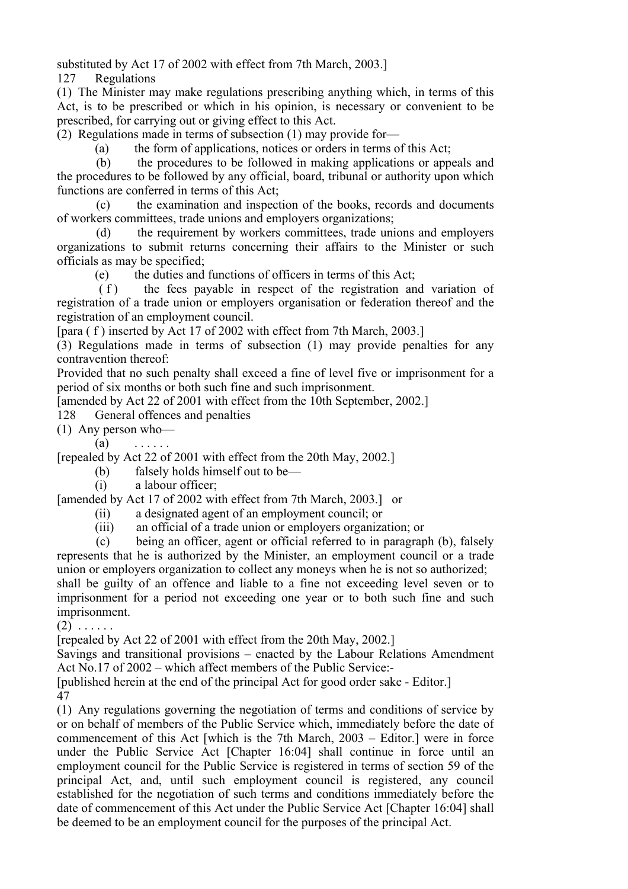substituted by Act 17 of 2002 with effect from 7th March, 2003.]

127 Regulations

(1) The Minister may make regulations prescribing anything which, in terms of this Act, is to be prescribed or which in his opinion, is necessary or convenient to be prescribed, for carrying out or giving effect to this Act.

(2) Regulations made in terms of subsection (1) may provide for—

(a) the form of applications, notices or orders in terms of this Act;

 (b) the procedures to be followed in making applications or appeals and the procedures to be followed by any official, board, tribunal or authority upon which functions are conferred in terms of this Act;

 (c) the examination and inspection of the books, records and documents of workers committees, trade unions and employers organizations;

 (d) the requirement by workers committees, trade unions and employers organizations to submit returns concerning their affairs to the Minister or such officials as may be specified;

(e) the duties and functions of officers in terms of this Act;

 $(f)$  the fees payable in respect of the registration and variation of registration of a trade union or employers organisation or federation thereof and the registration of an employment council.

[para ( f ) inserted by Act 17 of 2002 with effect from 7th March, 2003.]

(3) Regulations made in terms of subsection (1) may provide penalties for any contravention thereof:

Provided that no such penalty shall exceed a fine of level five or imprisonment for a period of six months or both such fine and such imprisonment.

[amended by Act 22 of 2001 with effect from the 10th September, 2002.]

128 General offences and penalties

(1) Any person who—

 $(a)$ 

[repealed by Act 22 of 2001 with effect from the 20th May, 2002.]

(b) falsely holds himself out to be—

(i) a labour officer;

[amended by Act 17 of 2002 with effect from 7th March, 2003.] or

(ii) a designated agent of an employment council; or

(iii) an official of a trade union or employers organization; or

 (c) being an officer, agent or official referred to in paragraph (b), falsely represents that he is authorized by the Minister, an employment council or a trade union or employers organization to collect any moneys when he is not so authorized; shall be guilty of an offence and liable to a fine not exceeding level seven or to imprisonment for a period not exceeding one year or to both such fine and such imprisonment.

 $(2)$  . . . . . .

[repealed by Act 22 of 2001 with effect from the 20th May, 2002.]

Savings and transitional provisions – enacted by the Labour Relations Amendment Act No.17 of 2002 – which affect members of the Public Service:-

[published herein at the end of the principal Act for good order sake - Editor.] 47

(1) Any regulations governing the negotiation of terms and conditions of service by or on behalf of members of the Public Service which, immediately before the date of commencement of this Act [which is the 7th March, 2003 – Editor.] were in force under the Public Service Act [Chapter 16:04] shall continue in force until an employment council for the Public Service is registered in terms of section 59 of the principal Act, and, until such employment council is registered, any council established for the negotiation of such terms and conditions immediately before the date of commencement of this Act under the Public Service Act [Chapter 16:04] shall be deemed to be an employment council for the purposes of the principal Act.